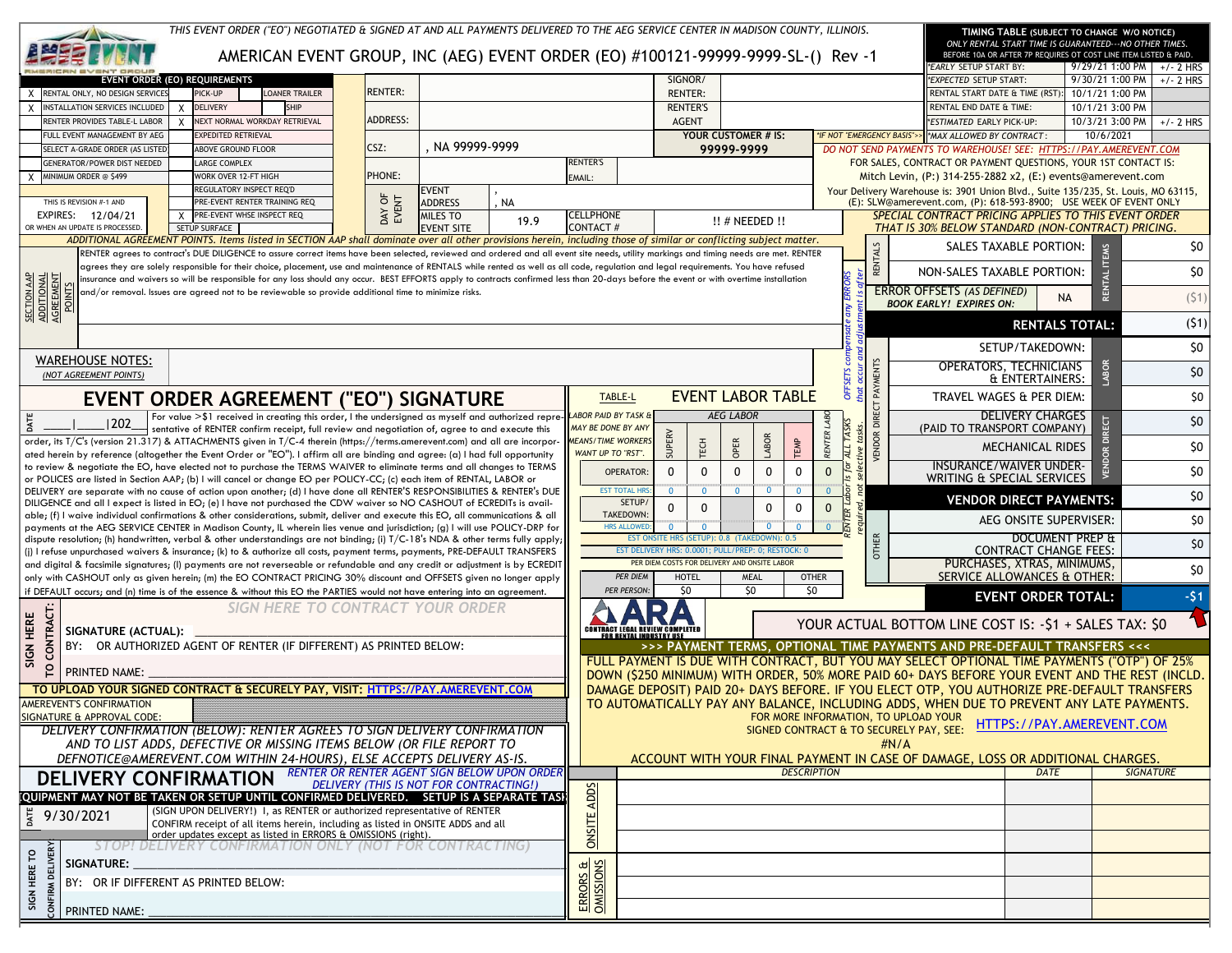|                                                                | THIS EVENT ORDER ("EO") NEGOTIATED & SIGNED AT AND ALL PAYMENTS DELIVERED TO THE AEG SERVICE CENTER IN MADISON COUNTY, ILLINOIS,<br>AMERICAN EVENT GROUP, INC (AEG) EVENT ORDER (EO) #100121-99999-9999-SL-() Rev -1                                                                                                                                                           |                                                     |                            |      |                                                 |                                                     |                                                                                                    |                            |                | TIMING TABLE (SUBJECT TO CHANGE W/O NOTICE)<br>ONLY RENTAL START TIME IS GUARANTEED--- NO OTHER TIMES.<br>BEFORE 10A OR AFTER 7P REQUIRES OT COST LINE ITEM LISTED & PAID.              |                           |                             |
|----------------------------------------------------------------|--------------------------------------------------------------------------------------------------------------------------------------------------------------------------------------------------------------------------------------------------------------------------------------------------------------------------------------------------------------------------------|-----------------------------------------------------|----------------------------|------|-------------------------------------------------|-----------------------------------------------------|----------------------------------------------------------------------------------------------------|----------------------------|----------------|-----------------------------------------------------------------------------------------------------------------------------------------------------------------------------------------|---------------------------|-----------------------------|
|                                                                |                                                                                                                                                                                                                                                                                                                                                                                |                                                     |                            |      |                                                 | SIGNOR/                                             |                                                                                                    |                            |                | EARLY SETUP START BY:<br><i><b>EXPECTED SETUP START:</b></i>                                                                                                                            | 9/30/21 1:00 PM           | $9/29/21$ 1:00 PM +/- 2 HRS |
| RENTAL ONLY, NO DESIGN SERVICE                                 | <b>EVENT ORDER (EO) REQUIREMENTS</b><br>PICK-UP<br>LOANER TRAILER                                                                                                                                                                                                                                                                                                              | <b>RENTER:</b>                                      |                            |      |                                                 | <b>RENTER:</b>                                      |                                                                                                    |                            |                | RENTAL START DATE & TIME (RST):                                                                                                                                                         | 10/1/21 1:00 PM           | $+/- 2$ HRS                 |
| INSTALLATION SERVICES INCLUDED                                 | <b>SHIP</b><br><b>DELIVERY</b>                                                                                                                                                                                                                                                                                                                                                 |                                                     |                            |      |                                                 | <b>RENTER'S</b>                                     |                                                                                                    |                            |                | RENTAL END DATE & TIME:                                                                                                                                                                 | 10/1/21 3:00 PM           |                             |
| RENTER PROVIDES TABLE-L LABOR                                  | NEXT NORMAL WORKDAY RETRIEVAL                                                                                                                                                                                                                                                                                                                                                  | <b>ADDRESS:</b>                                     |                            |      |                                                 | <b>AGENT</b>                                        |                                                                                                    |                            |                | <b>ESTIMATED EARLY PICK-UP:</b>                                                                                                                                                         | 10/3/21 3:00 PM           | $+/- 2$ HRS                 |
| FULL EVENT MANAGEMENT BY AEG                                   | <b>EXPEDITED RETRIEVAL</b>                                                                                                                                                                                                                                                                                                                                                     | CSZ:                                                | . NA 99999-9999            |      |                                                 |                                                     | YOUR CUSTOMER # IS:                                                                                | *IF NOT "EMERGENCY BASIS"> |                | *MAX ALLOWED BY CONTRACT:                                                                                                                                                               | 10/6/2021                 |                             |
| SELECT A-GRADE ORDER (AS LISTED<br>GENERATOR/POWER DIST NEEDED | <b>ABOVE GROUND FLOOR</b><br>LARGE COMPLEX                                                                                                                                                                                                                                                                                                                                     |                                                     |                            |      | <b>RENTER'S</b>                                 |                                                     | 99999-9999                                                                                         |                            |                | DO NOT SEND PAYMENTS TO WAREHOUSE! SEE: HTTPS://PAY.AMEREVENT.COM<br>FOR SALES, CONTRACT OR PAYMENT QUESTIONS, YOUR 1ST CONTACT IS:                                                     |                           |                             |
| MINIMUM ORDER @ \$499                                          | WORK OVER 12-FT HIGH                                                                                                                                                                                                                                                                                                                                                           | PHONE:                                              |                            |      | EMAIL:                                          |                                                     |                                                                                                    |                            |                | Mitch Levin, (P:) 314-255-2882 x2, (E:) events@amerevent.com                                                                                                                            |                           |                             |
|                                                                | REGULATORY INSPECT REQ'D                                                                                                                                                                                                                                                                                                                                                       | ზ                                                   | EVENT                      |      |                                                 |                                                     |                                                                                                    |                            |                | Your Delivery Warehouse is: 3901 Union Blvd., Suite 135/235, St. Louis, MO 63115,                                                                                                       |                           |                             |
| THIS IS REVISION #-1 AND<br>EXPIRES: 12/04/21                  | PRE-EVENT RENTER TRAINING REO<br>X PRE-EVENT WHSE INSPECT REQ                                                                                                                                                                                                                                                                                                                  | DAY OF<br>EVENT                                     | <b>ADDRESS</b><br>MILES TO | , NA | <b>CELLPHONE</b>                                |                                                     |                                                                                                    |                            |                | (E): SLW@amerevent.com, (P): 618-593-8900; USE WEEK OF EVENT ONLY<br>SPECIAL CONTRACT PRICING APPLIES TO THIS EVENT ORDER                                                               |                           |                             |
| OR WHEN AN UPDATE IS PROCESSED                                 | SETUP SURFACE                                                                                                                                                                                                                                                                                                                                                                  |                                                     | <b>EVENT SITE</b>          | 19.9 | <b>CONTACT#</b>                                 |                                                     | $!!$ # NEEDED $!!$                                                                                 |                            |                | THAT IS 30% BELOW STANDARD (NON-CONTRACT) PRICING.                                                                                                                                      |                           |                             |
|                                                                | ADDITIONAL AGREEMENT POINTS. Items listed in SECTION AAP shall dominate over all other provisions herein, including those of similar or conflicting subject matter.                                                                                                                                                                                                            |                                                     |                            |      |                                                 |                                                     |                                                                                                    |                            |                | SALES TAXABLE PORTION:                                                                                                                                                                  |                           | \$0                         |
|                                                                | RENTER agrees to contract's DUE DILIGENCE to assure correct items have been selected, reviewed and ordered and all event site needs, utility markings and timing needs are met. RENTER<br>agrees they are solely responsible for their choice, placement, use and maintenance of RENTALS while rented as well as all code, regulation and legal requirements. You have refused |                                                     |                            |      |                                                 |                                                     |                                                                                                    |                            | <b>RENTALS</b> |                                                                                                                                                                                         |                           |                             |
|                                                                | insurance and waivers so will be responsible for any loss should any occur. BEST EFFORTS apply to contracts confirmed less than 20-days before the event or with overtime installation                                                                                                                                                                                         |                                                     |                            |      |                                                 |                                                     |                                                                                                    |                            |                | NON-SALES TAXABLE PORTION:                                                                                                                                                              | RENTAL                    | \$0                         |
|                                                                | and/or removal. Issues are agreed not to be reviewable so provide additional time to minimize risks.                                                                                                                                                                                                                                                                           |                                                     |                            |      |                                                 |                                                     |                                                                                                    |                            |                | ERROR OFFSETS (AS DEFINED)                                                                                                                                                              | NA                        | (51)                        |
| SECTION AAP<br>ADDITIONAL<br>AGREEMENT<br>POINTS               |                                                                                                                                                                                                                                                                                                                                                                                |                                                     |                            |      |                                                 |                                                     |                                                                                                    |                            |                | <b>BOOK EARLY! EXPIRES ON:</b>                                                                                                                                                          |                           |                             |
|                                                                |                                                                                                                                                                                                                                                                                                                                                                                |                                                     |                            |      |                                                 |                                                     |                                                                                                    |                            |                |                                                                                                                                                                                         | <b>RENTALS TOTAL:</b>     | (51)                        |
|                                                                |                                                                                                                                                                                                                                                                                                                                                                                |                                                     |                            |      |                                                 |                                                     |                                                                                                    |                            |                | SETUP/TAKEDOWN:                                                                                                                                                                         |                           | \$0                         |
| <b>WAREHOUSE NOTES:</b>                                        |                                                                                                                                                                                                                                                                                                                                                                                |                                                     |                            |      |                                                 |                                                     |                                                                                                    |                            |                | OPERATORS, TECHNICIANS                                                                                                                                                                  |                           |                             |
| (NOT AGREEMENT POINTS)                                         |                                                                                                                                                                                                                                                                                                                                                                                |                                                     |                            |      |                                                 |                                                     |                                                                                                    |                            | PAYMENTS       | & ENTERTAINERS:                                                                                                                                                                         |                           | \$0                         |
|                                                                | <b>EVENT ORDER AGREEMENT ("EO") SIGNATURE</b>                                                                                                                                                                                                                                                                                                                                  |                                                     |                            |      | TABLE-L                                         |                                                     | <b>EVENT LABOR TABLE</b>                                                                           |                            |                | TRAVEL WAGES & PER DIEM:                                                                                                                                                                |                           | \$0                         |
|                                                                | For value >\$1 received in creating this order, I the undersigned as myself and authorized repre-LABOR PAID BY TASK &                                                                                                                                                                                                                                                          |                                                     |                            |      |                                                 |                                                     | <b>AEG LABOR</b>                                                                                   |                            | DIRECT         | <b>DELIVERY CHARGES</b>                                                                                                                                                                 |                           | \$0                         |
| 202                                                            | sentative of RENTER confirm receipt, full review and negotiation of, agree to and execute this                                                                                                                                                                                                                                                                                 |                                                     |                            |      | MAY BE DONE BY ANY<br><b>MEANS/TIME WORKERS</b> |                                                     |                                                                                                    |                            |                | (PAID TO TRANSPORT COMPANY)                                                                                                                                                             |                           |                             |
|                                                                | order, its T/C's (version 21.317) & ATTACHMENTS given in T/C-4 therein (https://terms.amerevent.com) and all are incorpor-<br>ated herein by reference (altogether the Event Order or "EO"). I affirm all are binding and agree: (a) I had full opportunity                                                                                                                    |                                                     |                            |      | WANT UP TO "RST".                               | SUPERV<br>TECH                                      | LABOR<br>OPER<br>TEMP                                                                              | <b>RENTER</b>              | <b>VENDOR</b>  | <b>MECHANICAL RIDES</b>                                                                                                                                                                 |                           | \$0                         |
|                                                                | to review & negotiate the EO, have elected not to purchase the TERMS WAIVER to eliminate terms and all changes to TERMS                                                                                                                                                                                                                                                        |                                                     |                            |      |                                                 | $\mathbf 0$<br>$\mathbf 0$<br><b>OPERATOR</b>       | $\mathbf{0}$<br>$\mathbf 0$<br>$\mathbf{0}$                                                        | Is for<br>$\mathbf{0}$     |                | <b>INSURANCE/WAIVER UNDER-</b>                                                                                                                                                          |                           | \$0                         |
|                                                                | or POLICES are listed in Section AAP; (b) I will cancel or change EO per POLICY-CC; (c) each item of RENTAL, LABOR or<br>DELIVERY are separate with no cause of action upon another; (d) I have done all RENTER'S RESPONSIBILITIES & RENTER's DUE                                                                                                                              |                                                     |                            |      |                                                 | $\mathbf{0}$<br>$\mathbf{0}$<br><b>EST TOTAL HR</b> | $\overline{0}$<br>$\mathbf{0}$<br>$\mathbf{0}$                                                     | $\Omega$                   |                | WRITING & SPECIAL SERVICES                                                                                                                                                              |                           |                             |
|                                                                | DILIGENCE and all I expect is listed in EO; (e) I have not purchased the CDW waiver so NO CASHOUT of ECREDITs is avail-                                                                                                                                                                                                                                                        |                                                     |                            |      |                                                 | SETUP.<br>0<br>0                                    | $\mathbf{0}$<br>0                                                                                  | $\mathbf{0}$               |                | <b>VENDOR DIRECT PAYMENTS:</b>                                                                                                                                                          |                           | \$0                         |
|                                                                | able; (f) I waive individual confirmations & other considerations, submit, deliver and execute this EO, all communications & all<br>payments at the AEG SERVICE CENTER in Madison County, IL wherein lies venue and jurisdiction; (g) I will use POLICY-DRP for                                                                                                                |                                                     |                            |      |                                                 | <b>TAKEDOWN</b><br><b>HRS ALLOWE</b><br>$\Omega$    | $\Omega$                                                                                           | ER<br>$\overline{0}$       |                | AEG ONSITE SUPERVISER:                                                                                                                                                                  |                           | \$0                         |
|                                                                | dispute resolution; (h) handwritten, verbal & other understandings are not binding; (i) $T/C-18$ 's NDA & other terms fully apply;                                                                                                                                                                                                                                             |                                                     |                            |      |                                                 |                                                     | EST ONSITE HRS (SETUP): 0.8 (TAKEDOWN): 0.5                                                        |                            |                |                                                                                                                                                                                         | DOCUMENT PREP &           | \$0                         |
|                                                                | (j) I refuse unpurchased waivers & insurance; (k) to & authorize all costs, payment terms, payments, PRE-DEFAULT TRANSFERS                                                                                                                                                                                                                                                     |                                                     |                            |      |                                                 |                                                     | EST DELIVERY HRS: 0.0001; PULL/PREP: 0; RESTOCK: 0<br>PER DIEM COSTS FOR DELIVERY AND ONSITE LABOR |                            | <b>OTHER</b>   | <b>CONTRACT CHANGE FEES:</b><br>PURCHASES, XTRAS, MINIMUMS,                                                                                                                             |                           |                             |
|                                                                | and digital & facsimile signatures; (I) payments are not reverseable or refundable and any credit or adjustment is by ECREDIT<br>only with CASHOUT only as given herein; (m) the EO CONTRACT PRICING 30% discount and OFFSETS given no longer apply                                                                                                                            |                                                     |                            |      |                                                 | <b>HOTEL</b><br><b>PER DIEM</b>                     | <b>MEAL</b>                                                                                        | <b>OTHER</b>               |                | SERVICE ALLOWANCES & OTHER:                                                                                                                                                             |                           | \$0                         |
|                                                                | if DEFAULT occurs; and (n) time is of the essence & without this EO the PARTIES would not have entering into an agreement.                                                                                                                                                                                                                                                     |                                                     |                            |      |                                                 | \$0<br><b>PER PERSON:</b>                           | \$0                                                                                                | \$0                        |                | <b>EVENT ORDER TOTAL:</b>                                                                                                                                                               |                           | $-51$                       |
| Ë                                                              | SIGN HERE TO CONTRACT YOUR ORDER                                                                                                                                                                                                                                                                                                                                               |                                                     |                            |      |                                                 |                                                     |                                                                                                    |                            |                |                                                                                                                                                                                         |                           |                             |
| HERE<br>TRA<br>SIGNATURE (ACTUAL):                             |                                                                                                                                                                                                                                                                                                                                                                                |                                                     |                            |      |                                                 | <b>CONTRACT LEGAL REVIEW COMPLETED</b>              |                                                                                                    |                            |                | YOUR ACTUAL BOTTOM LINE COST IS: - \$1 + SALES TAX: \$0                                                                                                                                 |                           |                             |
| š                                                              | BY: OR AUTHORIZED AGENT OF RENTER (IF DIFFERENT) AS PRINTED BELOW:                                                                                                                                                                                                                                                                                                             |                                                     |                            |      |                                                 | OR RENTAL INDUSTRY USI                              |                                                                                                    |                            |                | >>> PAYMENT TERMS, OPTIONAL TIME PAYMENTS AND PRE-DEFAULT TRANSFERS <<<                                                                                                                 |                           |                             |
| SIGN                                                           |                                                                                                                                                                                                                                                                                                                                                                                |                                                     |                            |      |                                                 |                                                     |                                                                                                    |                            |                | FULL PAYMENT IS DUE WITH CONTRACT, BUT YOU MAY SELECT OPTIONAL TIME PAYMENTS ("OTP") OF 25%                                                                                             |                           |                             |
| $\mathsf{P}$<br>PRINTED NAME:                                  |                                                                                                                                                                                                                                                                                                                                                                                |                                                     |                            |      |                                                 |                                                     |                                                                                                    |                            |                | DOWN (\$250 MINIMUM) WITH ORDER, 50% MORE PAID 60+ DAYS BEFORE YOUR EVENT AND THE REST (INCLD.                                                                                          |                           |                             |
| AMEREVENT'S CONFIRMATION                                       | TO UPLOAD YOUR SIGNED CONTRACT & SECURELY PAY, VISIT: HTTPS://PAY, AMEREVENT.COM                                                                                                                                                                                                                                                                                               |                                                     |                            |      |                                                 |                                                     |                                                                                                    |                            |                | DAMAGE DEPOSIT) PAID 20+ DAYS BEFORE. IF YOU ELECT OTP, YOU AUTHORIZE PRE-DEFAULT TRANSFERS<br>TO AUTOMATICALLY PAY ANY BALANCE, INCLUDING ADDS, WHEN DUE TO PREVENT ANY LATE PAYMENTS. |                           |                             |
| SIGNATURE & APPROVAL CODE:                                     |                                                                                                                                                                                                                                                                                                                                                                                |                                                     |                            |      |                                                 |                                                     |                                                                                                    |                            |                | FOR MORE INFORMATION, TO UPLOAD YOUR LITTDC.                                                                                                                                            |                           |                             |
|                                                                | DELIVERY CONFIRMATION (BELOW): RENTER AGREES TO SIGN DELIVERY CONFIRMATION                                                                                                                                                                                                                                                                                                     |                                                     |                            |      |                                                 |                                                     | SIGNED CONTRACT & TO SECURELY PAY, SEE:                                                            |                            |                |                                                                                                                                                                                         | HTTPS://PAY.AMEREVENT.COM |                             |
|                                                                | AND TO LIST ADDS, DEFECTIVE OR MISSING ITEMS BELOW (OR FILE REPORT TO                                                                                                                                                                                                                                                                                                          |                                                     |                            |      |                                                 |                                                     |                                                                                                    |                            | #N/A           | ACCOUNT WITH YOUR FINAL PAYMENT IN CASE OF DAMAGE, LOSS OR ADDITIONAL CHARGES.                                                                                                          |                           |                             |
|                                                                | DEFNOTICE@AMEREVENT.COM WITHIN 24-HOURS), ELSE ACCEPTS DELIVERY AS-IS.                                                                                                                                                                                                                                                                                                         | <b>RENTER OR RENTER AGENT SIGN BELOW UPON ORDER</b> |                            |      |                                                 |                                                     |                                                                                                    | <b>DESCRIPTION</b>         |                |                                                                                                                                                                                         | DATE                      | <b>SIGNATURE</b>            |
| DELIVERY CONFIRMATION                                          |                                                                                                                                                                                                                                                                                                                                                                                | DELIVERY (THIS IS NOT FOR CONTRACTING!)             |                            |      |                                                 |                                                     |                                                                                                    |                            |                |                                                                                                                                                                                         |                           |                             |
|                                                                | [QUIPMENT MAY NOT BE TAKEN OR SETUP UNTIL CONFIRMED DELIVERED. SETUP IS A SEPARATE TASH<br>(SIGN UPON DELIVERY!) I, as RENTER or authorized representative of RENTER                                                                                                                                                                                                           |                                                     |                            |      |                                                 |                                                     |                                                                                                    |                            |                |                                                                                                                                                                                         |                           |                             |
| DATE<br>9/30/2021                                              | CONFIRM receipt of all items herein, including as listed in ONSITE ADDS and all                                                                                                                                                                                                                                                                                                |                                                     |                            |      |                                                 |                                                     |                                                                                                    |                            |                |                                                                                                                                                                                         |                           |                             |
|                                                                | order updates except as listed in ERRORS & OMISSIONS (right).<br>STOP! DELIVERY CONFIRMATION ONLY (NOT FOR CONTRACTING)                                                                                                                                                                                                                                                        |                                                     |                            |      | <b>ONSITE ADDS</b>                              |                                                     |                                                                                                    |                            |                |                                                                                                                                                                                         |                           |                             |
| SIGNATURE:                                                     |                                                                                                                                                                                                                                                                                                                                                                                |                                                     |                            |      |                                                 |                                                     |                                                                                                    |                            |                |                                                                                                                                                                                         |                           |                             |
|                                                                |                                                                                                                                                                                                                                                                                                                                                                                |                                                     |                            |      |                                                 |                                                     |                                                                                                    |                            |                |                                                                                                                                                                                         |                           |                             |
| SIGN HERE TO                                                   | BY: OR IF DIFFERENT AS PRINTED BELOW:                                                                                                                                                                                                                                                                                                                                          |                                                     |                            |      | ERRORS &<br>OMISSIONS                           |                                                     |                                                                                                    |                            |                |                                                                                                                                                                                         |                           |                             |
| <b>CONFIRM</b><br>PRINTED NAME:                                |                                                                                                                                                                                                                                                                                                                                                                                |                                                     |                            |      |                                                 |                                                     |                                                                                                    |                            |                |                                                                                                                                                                                         |                           |                             |
|                                                                |                                                                                                                                                                                                                                                                                                                                                                                |                                                     |                            |      |                                                 |                                                     |                                                                                                    |                            |                |                                                                                                                                                                                         |                           |                             |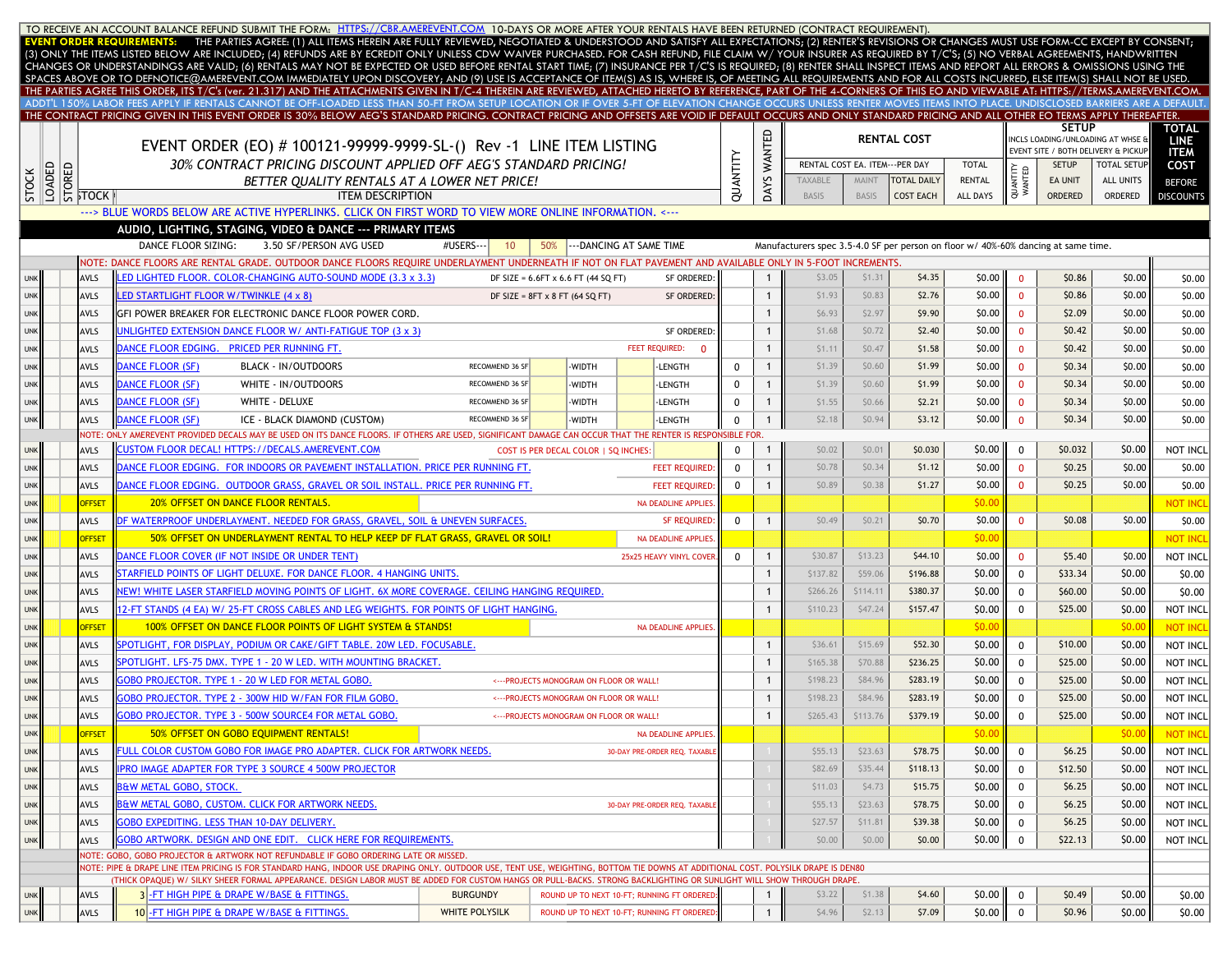|              |        |                                                                                      |                                                    | TO RECEIVE AN ACCOUNT BALANCE REFUND SUBMIT THE FORM: HTTPS://CBR.AMEREVENT.COM 10-DAYS OR MORE AFTER YOUR RENTALS HAVE BEEN RETURNED (CONTRACT REQUIREMENT).<br>EVENT ORDER REQUIREMENTS: THE PARTIES AGREE: (1) ALL ITEMS HEREIN ARE FULLY REVIEWED, NEGOTIATED & UNDERSTOOD AND SATISFY ALL EXPECTATIONS; (2) RENTER'S REVISIONS OR CHANGES MUST USE FORM-CC EXCEPT BY CONSENT;                                                                  |                               |                                            |        |                                             |             |                    |                                |                                |                                                                                    |               |                         |                    |                                     |                      |
|--------------|--------|--------------------------------------------------------------------------------------|----------------------------------------------------|-----------------------------------------------------------------------------------------------------------------------------------------------------------------------------------------------------------------------------------------------------------------------------------------------------------------------------------------------------------------------------------------------------------------------------------------------------|-------------------------------|--------------------------------------------|--------|---------------------------------------------|-------------|--------------------|--------------------------------|--------------------------------|------------------------------------------------------------------------------------|---------------|-------------------------|--------------------|-------------------------------------|----------------------|
|              |        |                                                                                      |                                                    | (3) ONLY THE ITEMS LISTED BELOW ARE INCLUDED; (4) REFUNDS ARE BY ECREDIT ONLY UNLESS CDW WAIVER PURCHASED. FOR CASH REFUND, FILE CLAIM W/ YOUR INSURER AS REQUIRED BY T/C'S; (5) NO VERBAL AGREEMENTS, HANDWRITTEN                                                                                                                                                                                                                                  |                               |                                            |        |                                             |             |                    |                                |                                |                                                                                    |               |                         |                    |                                     |                      |
|              |        |                                                                                      |                                                    | CHANGES OR UNDERSTANDINGS ARE VALID; (6) RENTALS MAY NOT BE EXPECTED OR USED BEFORE RENTAL START TIME; (7) INSURANCE PER T/C'S IS REQUIRED; (8) RENTER SHALL INSPECT ITEMS AND REPORT ALL ERRORS & OMISSIONS USING THE                                                                                                                                                                                                                              |                               |                                            |        |                                             |             |                    |                                |                                |                                                                                    |               |                         |                    |                                     |                      |
|              |        |                                                                                      |                                                    | SPACES ABOVE OR TO DEFNOTICE@AMEREVENT.COM IMMEDIATELY UPON DISCOVERY; AND (9) USE IS ACCEPTANCE OF ITEM(S) AS IS, WHERE IS, OF MEETING ALL REQUIREMENTS AND FOR ALL COSTS INCURRED, ELSE ITEM(S) SHALL NOT BE USED.<br>THE PARTIES AGREE THIS ORDER, ITS T/C's (ver. 21.317) AND THE ATTACHMENTS GIVEN IN T/C-4 THEREIN ARE REVIEWED, ATTACHED HERETO BY REFERENCE, PART OF THE 4-CORNERS OF THIS EO AND VIEWABLE AT: HTTPS://TERMS.AMEREVENT.COM. |                               |                                            |        |                                             |             |                    |                                |                                |                                                                                    |               |                         |                    |                                     |                      |
|              |        |                                                                                      |                                                    | ADDT'L 150% LABOR FEES APPLY IF RENTALS CANNOT BE OFF-LOADED LESS THAN 50-FT FROM SETUP LOCATION OR IF OVER 5-FT OF ELEVATION CHANGE OCCURS UNLESS RENTER MOVES ITEMS INTO PLACE. UNDISCLOSED BARRIERS ARE A DEFAULT                                                                                                                                                                                                                                |                               |                                            |        |                                             |             |                    |                                |                                |                                                                                    |               |                         |                    |                                     |                      |
|              |        |                                                                                      |                                                    | THE CONTRACT PRICING GIVEN IN THIS EVENT ORDER IS 30% BELOW AEG'S STANDARD PRICING. CONTRACT PRICING AND OFFSETS ARE VOID IF DEFAULT OCCURS AND ONLY STANDARD PRICING AND ALL OTHER EO TERMS APPLY THEREAFTER.                                                                                                                                                                                                                                      |                               |                                            |        |                                             |             |                    |                                |                                |                                                                                    |               |                         | <b>SETUP</b>       |                                     |                      |
|              |        |                                                                                      |                                                    |                                                                                                                                                                                                                                                                                                                                                                                                                                                     |                               |                                            |        |                                             |             |                    |                                |                                | <b>RENTAL COST</b>                                                                 |               |                         |                    | INCLS LOADING/UNLOADING AT WHSE &   | TOTAL<br><b>LINE</b> |
|              |        |                                                                                      |                                                    | EVENT ORDER (EO) # 100121-99999-9999-SL-() Rev -1 LINE ITEM LISTING                                                                                                                                                                                                                                                                                                                                                                                 |                               |                                            |        |                                             |             | <b>WANTED</b>      |                                |                                |                                                                                    |               |                         |                    | EVENT SITE / BOTH DELIVERY & PICKUP | <b>ITEM</b>          |
|              |        |                                                                                      |                                                    | 30% CONTRACT PRICING DISCOUNT APPLIED OFF AEG'S STANDARD PRICING!                                                                                                                                                                                                                                                                                                                                                                                   |                               |                                            |        |                                             |             |                    |                                | RENTAL COST EA. ITEM---PER DAY |                                                                                    | <b>TOTAL</b>  |                         | <b>SETUP</b>       | <b>TOTAL SETUP</b>                  | COST                 |
| <b>STOCK</b> | LOADED | $\begin{array}{c}\n\boxed{6} \\ \boxed{6} \\ \boxed{5} \\ \boxed{100K}\n\end{array}$ |                                                    | BETTER OUALITY RENTALS AT A LOWER NET PRICE!<br><b>ITEM DESCRIPTION</b>                                                                                                                                                                                                                                                                                                                                                                             |                               |                                            |        |                                             | QUANTITY    | DAYS               | <b>TAXABLE</b><br><b>BASIS</b> | <b>MAINT</b><br>BASIS          | <b>TOTAL DAILY</b>                                                                 | <b>RENTAL</b> | QUANTITY<br>WANTED      | EA UNIT<br>ORDERED | <b>ALL UNITS</b>                    | <b>BEFORE</b>        |
|              |        |                                                                                      |                                                    | ---> BLUE WORDS BELOW ARE ACTIVE HYPERLINKS. CLICK ON FIRST WORD TO VIEW MORE ONLINE INFORMATION. <---                                                                                                                                                                                                                                                                                                                                              |                               |                                            |        |                                             |             |                    |                                |                                | <b>COST EACH</b>                                                                   | ALL DAYS      |                         |                    | ORDERED                             | <b>DISCOUNTS</b>     |
|              |        |                                                                                      |                                                    | AUDIO, LIGHTING, STAGING, VIDEO & DANCE --- PRIMARY ITEMS                                                                                                                                                                                                                                                                                                                                                                                           |                               |                                            |        |                                             |             |                    |                                |                                |                                                                                    |               |                         |                    |                                     |                      |
|              |        |                                                                                      | DANCE FLOOR SIZING:                                | 3.50 SF/PERSON AVG USED                                                                                                                                                                                                                                                                                                                                                                                                                             | #USERS---<br>10               | 50%                                        |        | --- DANCING AT SAME TIME                    |             |                    |                                |                                | Manufacturers spec 3.5-4.0 SF per person on floor w/ 40%-60% dancing at same time. |               |                         |                    |                                     |                      |
|              |        |                                                                                      |                                                    | NOTE: DANCE FLOORS ARE RENTAL GRADE. OUTDOOR DANCE FLOORS REQUIRE UNDERLAYMENT UNDERNEATH IF NOT ON FLAT PAVEMENT AND AVAILABLE ONLY IN 5-FOOT INCREMENTS.                                                                                                                                                                                                                                                                                          |                               |                                            |        |                                             |             |                    |                                |                                |                                                                                    |               |                         |                    |                                     |                      |
| <b>UNK</b>   |        | <b>AVLS</b>                                                                          |                                                    | ED LIGHTED FLOOR. COLOR-CHANGING AUTO-SOUND MODE (3.3 x 3.3)                                                                                                                                                                                                                                                                                                                                                                                        |                               | DF SIZE = $6.6FT \times 6.6 FT$ (44 SQ FT) |        | SF ORDERED:                                 |             | $\mathbf{1}$       | \$3.05                         | \$1.31                         | \$4.35                                                                             | \$0.00        | $\overline{0}$          | \$0.86             | \$0.00                              | \$0.00               |
| <b>UNK</b>   |        | <b>AVLS</b>                                                                          | LED STARTLIGHT FLOOR W/TWINKLE (4 x 8)             |                                                                                                                                                                                                                                                                                                                                                                                                                                                     |                               | DF SIZE = $8FT \times 8 FT (64 SQ FT)$     |        | <b>SF ORDERED</b>                           |             | $\mathbf{1}$       | \$1.93                         | \$0.83                         | \$2.76                                                                             | \$0.00        | $\overline{0}$          | \$0.86             | \$0.00                              | \$0.00               |
| <b>UNK</b>   |        | AVLS                                                                                 |                                                    | GFI POWER BREAKER FOR ELECTRONIC DANCE FLOOR POWER CORD.                                                                                                                                                                                                                                                                                                                                                                                            |                               |                                            |        |                                             |             |                    | \$6.93                         | \$2.97                         | \$9.90                                                                             | \$0.00        | $\overline{0}$          | \$2.09             | \$0.00                              | \$0.00               |
| <b>UNK</b>   |        | <b>AVLS</b>                                                                          |                                                    | UNLIGHTED EXTENSION DANCE FLOOR W/ ANTI-FATIGUE TOP (3 x 3)                                                                                                                                                                                                                                                                                                                                                                                         |                               |                                            |        | <b>SF ORDERED</b>                           |             |                    | \$1.68                         | \$0.72                         | \$2.40                                                                             | \$0.00        | $\overline{\mathbf{0}}$ | \$0.42             | \$0.00                              | \$0.00               |
| <b>UNK</b>   |        | <b>AVLS</b>                                                                          | DANCE FLOOR EDGING. PRICED PER RUNNING FT.         |                                                                                                                                                                                                                                                                                                                                                                                                                                                     |                               |                                            |        | <b>FEET REQUIRED:</b><br>$\Omega$           |             |                    | \$1.11                         | \$0.47                         | \$1.58                                                                             | \$0.00        | $\mathbf{0}$            | \$0.42             | \$0.00                              | \$0.00               |
| <b>UNK</b>   |        | <b>AVLS</b>                                                                          | <b>DANCE FLOOR (SF)</b>                            | <b>BLACK - IN/OUTDOORS</b>                                                                                                                                                                                                                                                                                                                                                                                                                          | RECOMMEND 36 SF               |                                            | -WIDTH | <b>LENGTH</b>                               | 0           | $\mathbf{1}$       | \$1.39                         | \$0.60                         | \$1.99                                                                             | \$0.00        | $\mathbf{0}$            | \$0.34             | \$0.00                              | \$0.00               |
| <b>UNK</b>   |        | AVLS                                                                                 | DANCE FLOOR (SF)                                   | WHITE - IN/OUTDOORS                                                                                                                                                                                                                                                                                                                                                                                                                                 | RECOMMEND 36 SF               |                                            | -WIDTH | -LENGTH                                     | $\mathbf 0$ | $\mathbf{1}$       | \$1.39                         | \$0.60                         | \$1.99                                                                             | \$0.00        | $\mathbf{0}$            | \$0.34             | \$0.00                              | \$0.00               |
| <b>UNK</b>   |        | <b>AVLS</b>                                                                          | <b>DANCE FLOOR (SF)</b>                            | WHITE - DELUXE                                                                                                                                                                                                                                                                                                                                                                                                                                      | RECOMMEND 36 SF               |                                            | -WIDTH | <b>LENGTH</b>                               | 0           | $\mathbf{1}$       | \$1.55                         | \$0.66                         | \$2.21                                                                             | \$0.00        | $\mathbf{0}$            | \$0.34             | \$0.00                              | \$0.00               |
|              |        | AVLS                                                                                 | <b>DANCE FLOOR (SF)</b>                            | ICE - BLACK DIAMOND (CUSTOM)                                                                                                                                                                                                                                                                                                                                                                                                                        | RECOMMEND 36 S                |                                            |        |                                             | $\mathbf 0$ |                    | \$2.18                         | \$0.94                         | \$3.12                                                                             | \$0.00        | $\overline{0}$          | \$0.34             | \$0.00                              | \$0.00               |
| <b>UNK</b>   |        |                                                                                      |                                                    | NOTE: ONLY AMEREVENT PROVIDED DECALS MAY BE USED ON ITS DANCE FLOORS. IF OTHERS ARE USED, SIGNIFICANT DAMAGE CAN OCCUR THAT THE RENTER IS RESPONSIBLE FOR                                                                                                                                                                                                                                                                                           |                               |                                            | -WIDTH | -LENGTH                                     |             |                    |                                |                                |                                                                                    |               |                         |                    |                                     |                      |
| <b>UNK</b>   |        | AVLS                                                                                 |                                                    | CUSTOM FLOOR DECAL! HTTPS://DECALS.AMEREVENT.COM                                                                                                                                                                                                                                                                                                                                                                                                    |                               | COST IS PER DECAL COLOR   SQ INCHES:       |        |                                             | $\Omega$    |                    | \$0.02                         | \$0.01                         | \$0.030                                                                            | \$0.00        | $\mathbf{0}$            | \$0.032            | \$0.00                              | NOT INCL             |
| <b>UNK</b>   |        | AVLS                                                                                 |                                                    | DANCE FLOOR EDGING. FOR INDOORS OR PAVEMENT INSTALLATION. PRICE PER RUNNING FT.                                                                                                                                                                                                                                                                                                                                                                     |                               |                                            |        | <b>FEET REQUIRED</b>                        | $\Omega$    | $\mathbf{1}$       | \$0.78                         | \$0.34                         | \$1.12                                                                             | \$0.00        | $\mathbf{0}$            | \$0.25             | \$0.00                              | \$0.00               |
| <b>UNK</b>   |        | <b>AVLS</b>                                                                          |                                                    | DANCE FLOOR EDGING. OUTDOOR GRASS, GRAVEL OR SOIL INSTALL. PRICE PER RUNNING FT.                                                                                                                                                                                                                                                                                                                                                                    |                               |                                            |        | <b>FEET REQUIRED</b>                        | $\Omega$    |                    | \$0.89                         | \$0.38                         | \$1.27                                                                             | \$0.00        | $\mathbf{0}$            | \$0.25             | \$0.00                              | \$0.00               |
| <b>UNK</b>   |        | <b>OFFSET</b>                                                                        |                                                    | 20% OFFSET ON DANCE FLOOR RENTALS.                                                                                                                                                                                                                                                                                                                                                                                                                  |                               |                                            |        | <b>NA DEADLINE APPLIES</b>                  |             |                    |                                |                                |                                                                                    | \$0.00        |                         |                    |                                     | <b>NOT INCI</b>      |
| <b>UNK</b>   |        | AVLS                                                                                 |                                                    | DF WATERPROOF UNDERLAYMENT. NEEDED FOR GRASS, GRAVEL, SOIL & UNEVEN SURFACES.                                                                                                                                                                                                                                                                                                                                                                       |                               |                                            |        | <b>SF REQUIRED</b>                          | 0           |                    | \$0.49                         | \$0.21                         | \$0.70                                                                             | \$0.00        | $\mathbf{0}$            | \$0.08             | \$0.00                              | \$0.00               |
| <b>UNK</b>   |        | <b>OFFSET</b>                                                                        |                                                    | 50% OFFSET ON UNDERLAYMENT RENTAL TO HELP KEEP DF FLAT GRASS, GRAVEL OR SOIL!                                                                                                                                                                                                                                                                                                                                                                       |                               |                                            |        | <b>NA DEADLINE APPLIES</b>                  |             |                    |                                |                                |                                                                                    | \$0.00        |                         |                    |                                     | <b>NOT INCI</b>      |
| <b>UNK</b>   |        | AVLS                                                                                 |                                                    | DANCE FLOOR COVER (IF NOT INSIDE OR UNDER TENT)                                                                                                                                                                                                                                                                                                                                                                                                     |                               |                                            |        | 25x25 HEAVY VINYL COVER                     | $\Omega$    | $\overline{1}$     | \$30.87                        | \$13.23                        | \$44.10                                                                            | \$0.00        | $\Omega$                | \$5.40             | \$0.00                              | NOT INCI             |
| <b>UNK</b>   |        | <b>AVLS</b>                                                                          |                                                    | STARFIELD POINTS OF LIGHT DELUXE. FOR DANCE FLOOR. 4 HANGING UNITS.                                                                                                                                                                                                                                                                                                                                                                                 |                               |                                            |        |                                             |             |                    | \$137.82                       | \$59.06                        | \$196.88                                                                           | \$0.00        | $\mathbf{0}$            | \$33.34            | \$0.00                              | \$0.00               |
| <b>UNK</b>   |        | <b>AVLS</b>                                                                          |                                                    | NEW! WHITE LASER STARFIELD MOVING POINTS OF LIGHT. 6X MORE COVERAGE. CEILING HANGING REQUIRED.                                                                                                                                                                                                                                                                                                                                                      |                               |                                            |        |                                             |             |                    | \$266.26                       | \$114.11                       | \$380.37                                                                           | \$0.00        | $\Omega$                | \$60.00            | \$0.00                              | \$0.00               |
| <b>UNK</b>   |        | <b>AVLS</b>                                                                          |                                                    | 12-FT STANDS (4 EA) W/ 25-FT CROSS CABLES AND LEG WEIGHTS. FOR POINTS OF LIGHT HANGING.                                                                                                                                                                                                                                                                                                                                                             |                               |                                            |        |                                             |             | $\mathbf{1}$       | \$110.23                       | \$47.24                        | \$157.47                                                                           | \$0.00        | 0                       | \$25.00            | \$0.00                              | NOT INCL             |
| <b>UNK</b>   |        | <b>OFFSET</b>                                                                        |                                                    | 100% OFFSET ON DANCE FLOOR POINTS OF LIGHT SYSTEM & STANDS!                                                                                                                                                                                                                                                                                                                                                                                         |                               |                                            |        | <b>NA DEADLINE APPLIES</b>                  |             |                    |                                |                                |                                                                                    | \$0.00        |                         |                    | \$0.00                              | <b>NOT INC</b>       |
|              |        |                                                                                      |                                                    | SPOTLIGHT, FOR DISPLAY, PODIUM OR CAKE/GIFT TABLE, 20W LED, FOCUSABLE,                                                                                                                                                                                                                                                                                                                                                                              |                               |                                            |        |                                             |             |                    | \$36.61                        | \$15.69                        | \$52.30                                                                            | \$0.00        | $\mathbf 0$             | \$10.00            | \$0.00                              | NOT INCI             |
| <b>UNK</b>   |        | AVLS                                                                                 |                                                    | SPOTLIGHT. LFS-75 DMX. TYPE 1 - 20 W LED. WITH MOUNTING BRACKET.                                                                                                                                                                                                                                                                                                                                                                                    |                               |                                            |        |                                             |             |                    | \$165.38                       | \$70.88                        | \$236.25                                                                           | \$0.00        |                         | \$25.00            | \$0.00                              |                      |
| <b>UNK</b>   |        | <b>AVLS</b>                                                                          |                                                    | GOBO PROJECTOR. TYPE 1 - 20 W LED FOR METAL GOBO.                                                                                                                                                                                                                                                                                                                                                                                                   |                               |                                            |        |                                             |             | -1<br>$\mathbf{1}$ | \$198.23                       | \$84.96                        | \$283.19                                                                           | \$0.00        | $\mathbf 0$             |                    | \$0.00                              | NOT INCI             |
| <b>UNK</b>   |        | <b>AVLS</b>                                                                          |                                                    |                                                                                                                                                                                                                                                                                                                                                                                                                                                     |                               |                                            |        | <--- PROJECTS MONOGRAM ON FLOOR OR WALL!    |             |                    |                                |                                |                                                                                    |               | 0                       | \$25.00            |                                     | NOT INCL             |
| <b>UNK</b>   |        | <b>AVLS</b>                                                                          |                                                    | GOBO PROJECTOR. TYPE 2 - 300W HID W/FAN FOR FILM GOBO.                                                                                                                                                                                                                                                                                                                                                                                              |                               |                                            |        | <--- PROJECTS MONOGRAM ON FLOOR OR WALL!    |             | $\mathbf{1}$       | \$198.23                       | \$84.96                        | \$283.19                                                                           | \$0.00        | 0                       | \$25.00            | \$0.00                              | NOT INCL             |
| <b>UNK</b>   |        | AVLS                                                                                 |                                                    | GOBO PROJECTOR. TYPE 3 - 500W SOURCE4 FOR METAL GOBO.                                                                                                                                                                                                                                                                                                                                                                                               |                               |                                            |        | <--- PROJECTS MONOGRAM ON FLOOR OR WALL!    |             | $\overline{1}$     | \$265.43                       | \$113.76                       | \$379.19                                                                           | \$0.00        | $\overline{0}$          | \$25.00            | \$0.00                              | NOT INCL             |
| <b>UNK</b>   |        | <b>OFFSET</b>                                                                        |                                                    | 50% OFFSET ON GOBO EQUIPMENT RENTALS!                                                                                                                                                                                                                                                                                                                                                                                                               |                               |                                            |        | <b>NA DEADLINE APPLIES</b>                  |             |                    |                                |                                |                                                                                    | \$0.00        |                         |                    | \$0.00                              | <b>NOT INCL</b>      |
| <b>UNK</b>   |        | AVLS                                                                                 |                                                    | FULL COLOR CUSTOM GOBO FOR IMAGE PRO ADAPTER. CLICK FOR ARTWORK NEEDS.                                                                                                                                                                                                                                                                                                                                                                              |                               |                                            |        | 30-DAY PRE-ORDER REQ. TAXABL                |             |                    | \$55.13                        | \$23.63                        | \$78.75                                                                            | \$0.00        | $\mathbf 0$             | \$6.25             | \$0.00                              | NOT INCL             |
| <b>UNK</b>   |        | AVLS                                                                                 |                                                    | <b>IPRO IMAGE ADAPTER FOR TYPE 3 SOURCE 4 500W PROJECTOR</b>                                                                                                                                                                                                                                                                                                                                                                                        |                               |                                            |        |                                             |             |                    | \$82.69                        | \$35.44                        | \$118.13                                                                           | \$0.00        | $\mathbf 0$             | \$12.50            | \$0.00                              | NOT INCL             |
| <b>UNK</b>   |        | <b>AVLS</b>                                                                          | <b>B&amp;W METAL GOBO, STOCK.</b>                  |                                                                                                                                                                                                                                                                                                                                                                                                                                                     |                               |                                            |        |                                             |             |                    | \$11.03                        | \$4.73                         | \$15.75                                                                            | \$0.00        | 0                       | \$6.25             | \$0.00                              | NOT INCL             |
| <b>UNK</b>   |        | AVLS                                                                                 |                                                    | <b>B&amp;W METAL GOBO, CUSTOM, CLICK FOR ARTWORK NEEDS.</b>                                                                                                                                                                                                                                                                                                                                                                                         | 30-DAY PRE-ORDER REQ. TAXABLE |                                            |        | \$55.13                                     | \$23.63     | \$78.75            | \$0.00                         | $\mathbf 0$                    | \$6.25                                                                             | \$0.00        | NOT INCL                |                    |                                     |                      |
| <b>UNK</b>   |        | AVLS                                                                                 | <b>GOBO EXPEDITING. LESS THAN 10-DAY DELIVERY.</b> |                                                                                                                                                                                                                                                                                                                                                                                                                                                     |                               |                                            |        | \$27.57                                     | \$11.81     | \$39.38            | \$0.00                         | $\mathbf 0$                    | \$6.25                                                                             | \$0.00        | NOT INCL                |                    |                                     |                      |
| <b>UNK</b>   |        | AVLS                                                                                 |                                                    | GOBO ARTWORK. DESIGN AND ONE EDIT. CLICK HERE FOR REQUIREMENTS.                                                                                                                                                                                                                                                                                                                                                                                     |                               |                                            |        |                                             |             |                    | \$0.00                         | \$0.00                         | \$0.00                                                                             | \$0.00        | $\mathbf 0$             | \$22.13            | \$0.00                              | NOT INCL             |
|              |        |                                                                                      |                                                    | NOTE: GOBO, GOBO PROJECTOR & ARTWORK NOT REFUNDABLE IF GOBO ORDERING LATE OR MISSED.<br>NOTE: PIPE & DRAPE LINE ITEM PRICING IS FOR STANDARD HANG, INDOOR USE DRAPING ONLY. OUTDOOR USE, TENT USE, WEIGHTING, BOTTOM TIE DOWNS AT ADDITIONAL COST. POLYSILK DRAPE IS DEN80                                                                                                                                                                          |                               |                                            |        |                                             |             |                    |                                |                                |                                                                                    |               |                         |                    |                                     |                      |
|              |        |                                                                                      |                                                    | (THICK OPAQUE) W/ SILKY SHEER FORMAL APPEARANCE. DESIGN LABOR MUST BE ADDED FOR CUSTOM HANGS OR PULL-BACKS. STRONG BACKLIGHTING OR SUNLIGHT WILL SHOW THROUGH DRAPE.                                                                                                                                                                                                                                                                                |                               |                                            |        |                                             |             |                    |                                |                                |                                                                                    |               |                         |                    |                                     |                      |
| <b>UNK</b>   |        | AVLS                                                                                 |                                                    | 3-FT HIGH PIPE & DRAPE W/BASE & FITTINGS.                                                                                                                                                                                                                                                                                                                                                                                                           | <b>BURGUNDY</b>               |                                            |        | ROUND UP TO NEXT 10-FT: RUNNING FT ORDERED: |             |                    | \$3.22                         | \$1.38                         | \$4.60                                                                             | \$0.00        | $\mathbf 0$             | \$0.49             | \$0.00                              | \$0.00               |
| <b>UNK</b>   |        | <b>AVLS</b>                                                                          |                                                    | 10-FT HIGH PIPE & DRAPE W/BASE & FITTINGS.                                                                                                                                                                                                                                                                                                                                                                                                          | WHITE POLYSILK                |                                            |        | ROUND UP TO NEXT 10-FT; RUNNING FT ORDERED  |             | $\mathbf{1}$       | \$4.96                         | \$2.13                         | \$7.09                                                                             | \$0.00        | $\overline{0}$          | \$0.96             | \$0.00                              | \$0.00               |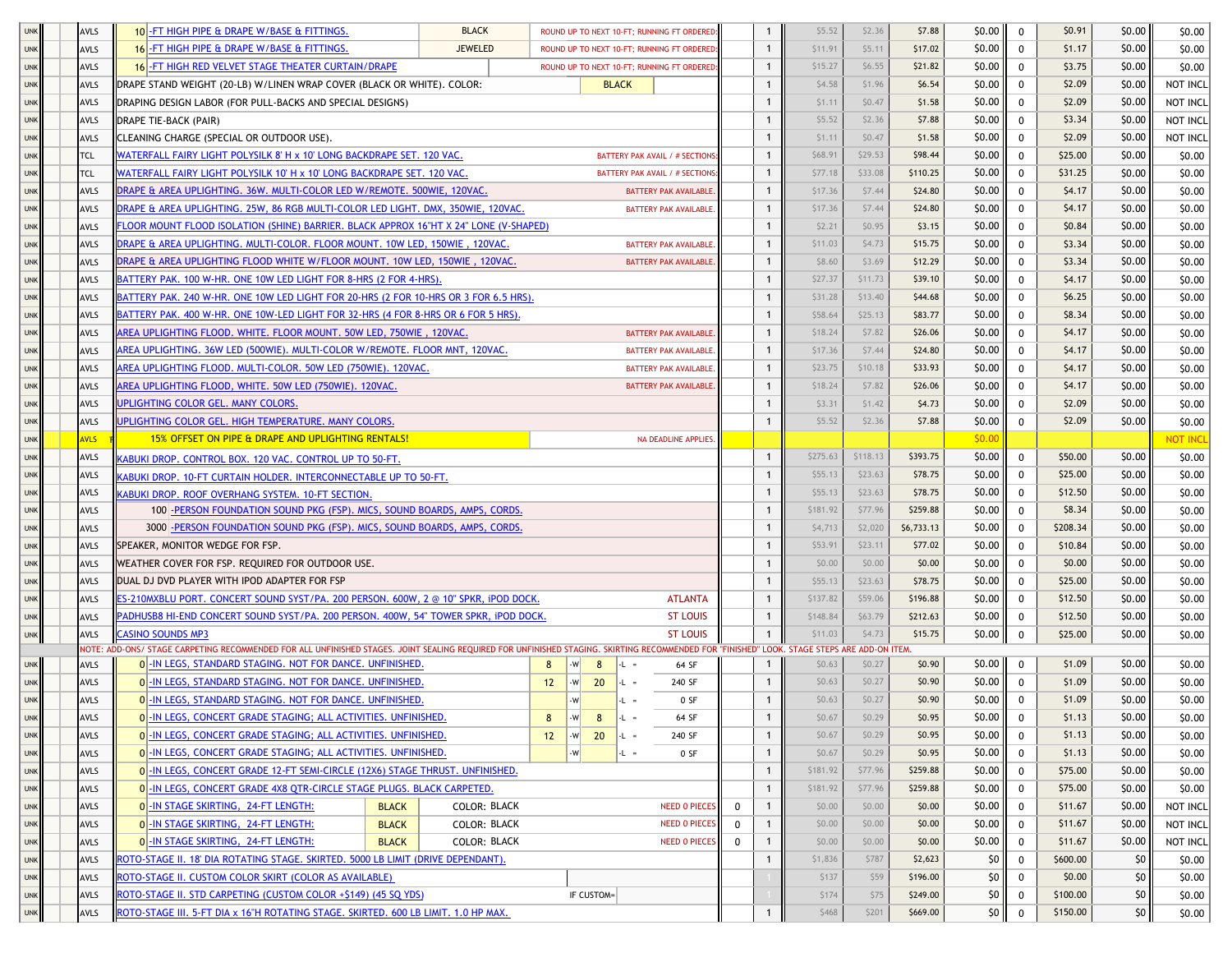| <b>UNK</b> | <b>AVLS</b> | <b>BLACK</b><br>10 - FT HIGH PIPE & DRAPE W/BASE & FITTINGS.                                                                                                                                |                      |                        |                 | ROUND UP TO NEXT 10-FT; RUNNING FT ORDERED |                  |              | \$5.52   | \$2.36      | \$7.88     | \$0.00     | $\mathbf 0$           | \$0.91   | \$0.00 | \$0.00          |
|------------|-------------|---------------------------------------------------------------------------------------------------------------------------------------------------------------------------------------------|----------------------|------------------------|-----------------|--------------------------------------------|------------------|--------------|----------|-------------|------------|------------|-----------------------|----------|--------|-----------------|
| <b>UNK</b> | <b>AVLS</b> | 16 - FT HIGH PIPE & DRAPE W/BASE & FITTINGS.<br><b>JEWELED</b>                                                                                                                              |                      |                        |                 | ROUND UP TO NEXT 10-FT; RUNNING FT ORDERED |                  | $\mathbf{1}$ | \$11.91  | \$5.11      | \$17.02    | \$0.00     | $\mathbf 0$           | \$1.17   | \$0.00 | \$0.00          |
| <b>UNK</b> | <b>AVLS</b> | 16 - FT HIGH RED VELVET STAGE THEATER CURTAIN/DRAPE                                                                                                                                         |                      |                        |                 | ROUND UP TO NEXT 10-FT; RUNNING FT ORDEREI |                  |              | \$15.27  | \$6.55      | \$21.82    | \$0.00     | 0                     | \$3.75   | \$0.00 | \$0.00          |
| <b>UNK</b> | <b>AVLS</b> | DRAPE STAND WEIGHT (20-LB) W/LINEN WRAP COVER (BLACK OR WHITE). COLOR:                                                                                                                      |                      |                        | <b>BLACK</b>    |                                            |                  |              | \$4.58   | \$1.96      | \$6.54     | \$0.00     | $\mathbf 0$           | \$2.09   | \$0.00 | NOT INCL        |
| <b>UNK</b> | <b>AVLS</b> | DRAPING DESIGN LABOR (FOR PULL-BACKS AND SPECIAL DESIGNS)                                                                                                                                   |                      |                        |                 |                                            |                  |              | \$1.11   | \$0.47      | \$1.58     | \$0.00     | 0                     | \$2.09   | \$0.00 | NOT INCL        |
| <b>UNK</b> | <b>AVLS</b> | DRAPE TIE-BACK (PAIR)                                                                                                                                                                       |                      |                        |                 |                                            |                  | $\mathbf{1}$ | \$5.52   | \$2.36      | \$7.88     | \$0.00     | 0                     | \$3.34   | \$0.00 | NOT INCL        |
| <b>UNK</b> | <b>AVLS</b> | CLEANING CHARGE (SPECIAL OR OUTDOOR USE).                                                                                                                                                   |                      |                        |                 |                                            |                  | $\mathbf{1}$ | \$1.11   | \$0.47      | \$1.58     | \$0.00     | $\mathbf{0}$          | \$2.09   | \$0.00 | NOT INCL        |
| <b>UNK</b> | TCL         | VATERFALL FAIRY LIGHT POLYSILK 8' H x 10' LONG BACKDRAPE SET. 120 VAC.                                                                                                                      |                      |                        |                 | BATTERY PAK AVAIL / # SECTIONS             |                  | $\mathbf{1}$ | \$68.91  | \$29.53     | \$98.44    | \$0.00     | 0                     | \$25.00  | \$0.00 | \$0.00          |
| <b>UNK</b> | TCL         | WATERFALL FAIRY LIGHT POLYSILK 10' H x 10' LONG BACKDRAPE SET. 120 VAC.                                                                                                                     |                      |                        |                 | BATTERY PAK AVAIL / # SECTIONS             |                  | $\mathbf{1}$ | \$77.18  | \$33.08     | \$110.25   | \$0.00     | 0                     | \$31.25  | \$0.00 | \$0.00          |
| <b>UNK</b> | <b>AVLS</b> | DRAPE & AREA UPLIGHTING. 36W. MULTI-COLOR LED W/REMOTE. 500WIE, 120VAC.                                                                                                                     |                      |                        |                 | <b>BATTERY PAK AVAILABLE</b>               |                  |              | \$17.36  | \$7.44      | \$24.80    | \$0.00     | $\mathbf 0$           | \$4.17   | \$0.00 | \$0.00          |
| <b>UNK</b> | <b>AVLS</b> | <u>DRAPE &amp; AREA UPLIGHTING. 25W, 86 RGB MULTI-COLOR LED LIGHT. DMX, 350WIE, 120VAC.</u>                                                                                                 |                      |                        |                 | <b>BATTERY PAK AVAILABLE</b>               |                  | $\mathbf{1}$ | \$17.36  | \$7.44      | \$24.80    | \$0.00     | $\mathbf 0$           | \$4.17   | \$0.00 | \$0.00          |
| <b>UNK</b> | <b>AVLS</b> | ELOOR MOUNT FLOOD ISOLATION (SHINE) BARRIER. BLACK APPROX 16"HT X 24" LONE (V-SHAPED)                                                                                                       |                      |                        |                 |                                            |                  | -1           | \$2.21   | \$0.95      | \$3.15     | \$0.00     | 0                     | \$0.84   | \$0.00 | \$0.00          |
| <b>UNK</b> | <b>AVLS</b> | )RAPE & AREA UPLIGHTING. MULTI-COLOR. FLOOR MOUNT. 10W LED, 150WIE , 120VAC.                                                                                                                |                      |                        |                 | <b>BATTERY PAK AVAILABLE</b>               |                  |              | \$11.03  | \$4.73      | \$15.75    | \$0.00     | 0                     | \$3.34   | \$0.00 | \$0.00          |
| <b>UNK</b> | <b>AVLS</b> | DRAPE & AREA UPLIGHTING FLOOD WHITE W/FLOOR MOUNT. 10W LED, 150WIE , 120VAC.                                                                                                                |                      |                        |                 | <b>BATTERY PAK AVAILABLE</b>               |                  |              | \$8.60   | \$3.69      | \$12.29    | \$0.00     | $\mathbf 0$           | \$3.34   | \$0.00 | \$0.00          |
| <b>UNK</b> | <b>AVLS</b> | BATTERY PAK. 100 W-HR. ONE 10W LED LIGHT FOR 8-HRS (2 FOR 4-HRS).                                                                                                                           |                      |                        |                 |                                            |                  | $\mathbf{1}$ | \$27.37  | \$11.73     | \$39.10    | \$0.00     | $\mathbf 0$           | \$4.17   | \$0.00 | \$0.00          |
| <b>UNK</b> | <b>AVLS</b> | 3ATTERY PAK. 240 W-HR. ONE 10W LED LIGHT FOR 20-HRS (2 FOR 10-HRS OR 3 FOR 6.5 HRS).                                                                                                        |                      |                        |                 |                                            |                  | $\mathbf{1}$ | \$31.28  | \$13.40     | \$44.68    | \$0.00     | 0                     | \$6.25   | \$0.00 | \$0.00          |
| <b>UNK</b> | AVLS        | ATTERY PAK. 400 W-HR. ONE 10W-LED LIGHT FOR 32-HRS (4 FOR 8-HRS OR 6 FOR 5 HRS).                                                                                                            |                      |                        |                 |                                            |                  | $\mathbf{1}$ | \$58.64  | \$25.13     | \$83.77    | \$0.00     | 0                     | \$8.34   | \$0.00 | \$0.00          |
| <b>UNK</b> | <b>AVLS</b> | AREA UPLIGHTING FLOOD. WHITE. FLOOR MOUNT. 50W LED, 750WIE , 120VAC                                                                                                                         |                      |                        |                 | <b>BATTERY PAK AVAILABLE</b>               |                  | $\mathbf{1}$ | \$18.24  | \$7.82      | \$26.06    | \$0.00     | 0                     | \$4.17   | \$0.00 | \$0.00          |
| <b>UNK</b> | AVLS        | AREA UPLIGHTING. 36W LED (500WIE). MULTI-COLOR W/REMOTE. FLOOR MNT, 120VAC.                                                                                                                 |                      |                        |                 | <b>BATTERY PAK AVAILABLE</b>               |                  | $\mathbf{1}$ | \$17.36  | \$7.44      | \$24.80    | \$0.00     | $\mathbf 0$           | \$4.17   | \$0.00 | \$0.00          |
| <b>UNK</b> | <b>AVLS</b> | AREA UPLIGHTING FLOOD. MULTI-COLOR. 50W LED (750WIE). 120VAC.                                                                                                                               |                      |                        |                 | <b>BATTERY PAK AVAILABLE</b>               |                  | $\mathbf{1}$ | \$23.75  | \$10.18     | \$33.93    | \$0.00     | $\mathbf 0$           | \$4.17   | \$0.00 | \$0.00          |
| <b>UNK</b> | <b>AVLS</b> | <u> AREA UPLIGHTING FLOOD, WHITE. 50W LED (750WIE). 120VAC.</u>                                                                                                                             |                      |                        |                 | <b>BATTERY PAK AVAILABLE</b>               |                  | $\mathbf{1}$ | \$18.24  | \$7.82      | \$26.06    | \$0.00     | $\mathbf 0$           | \$4.17   | \$0.00 | \$0.00          |
| <b>UNK</b> | <b>AVLS</b> | JPLIGHTING COLOR GEL. MANY COLORS.                                                                                                                                                          |                      |                        |                 |                                            |                  | \$3.31       | \$1.42   | \$4.73      | \$0.00     | 0          | \$2.09                | \$0.00   | \$0.00 |                 |
| <b>UNK</b> | <b>AVLS</b> | JPLIGHTING COLOR GEL. HIGH TEMPERATURE. MANY COLORS.                                                                                                                                        |                      |                        |                 |                                            |                  |              | \$5.52   | \$2.36      | \$7.88     | \$0.00     | 0                     | \$2.09   | \$0.00 | \$0.00          |
| <b>UNK</b> | <b>AVLS</b> | 15% OFFSET ON PIPE & DRAPE AND UPLIGHTING RENTALS!                                                                                                                                          |                      |                        |                 | <b>NA DEADLINE APPLIES</b>                 |                  |              |          |             |            | \$0.00     |                       |          |        | <b>NOT INCL</b> |
| <b>UNK</b> | <b>AVLS</b> | (ABUKI DROP. CONTROL BOX. 120 VAC. CONTROL UP TO 50-FT.                                                                                                                                     |                      |                        |                 |                                            |                  | $\mathbf{1}$ | \$275.63 | \$118.13    | \$393.75   | \$0.00     | 0                     | \$50.00  | \$0.00 | \$0.00          |
| <b>UNK</b> | <b>AVLS</b> | (ABUKI DROP. 10-FT CURTAIN HOLDER. INTERCONNECTABLE UP TO 50-FT.                                                                                                                            |                      |                        |                 |                                            |                  | $\mathbf{1}$ | \$55.13  | \$23.63     | \$78.75    | \$0.00     | $\mathbf 0$           | \$25.00  | \$0.00 | \$0.00          |
| <b>UNK</b> | <b>AVLS</b> | ABUKI DROP. ROOF OVERHANG SYSTEM. 10-FT SECTION.                                                                                                                                            |                      |                        |                 |                                            |                  | $\mathbf{1}$ | \$55.13  | \$23.63     | \$78.75    | \$0.00     | $\mathbf 0$           | \$12.50  | \$0.00 | \$0.00          |
| <b>UNK</b> | <b>AVLS</b> | 100 -PERSON FOUNDATION SOUND PKG (FSP). MICS, SOUND BOARDS, AMPS, CORDS.                                                                                                                    |                      |                        |                 |                                            |                  | $\mathbf{1}$ | \$181.92 | \$77.96     | \$259.88   | \$0.00     | 0                     | \$8.34   | \$0.00 | \$0.00          |
| <b>UNK</b> | <b>AVLS</b> | 3000 - PERSON FOUNDATION SOUND PKG (FSP). MICS, SOUND BOARDS, AMPS, CORDS.                                                                                                                  |                      |                        |                 |                                            |                  | $\mathbf 1$  | \$4,713  | \$2,020     | \$6,733.13 | \$0.00     | $\mathbf 0$           | \$208.34 | \$0.00 | \$0.00          |
| <b>UNK</b> | <b>AVLS</b> | SPEAKER, MONITOR WEDGE FOR FSP.                                                                                                                                                             |                      |                        |                 |                                            |                  |              | \$53.91  | \$23.11     | \$77.02    | \$0.00     | $\mathbf 0$           | \$10.84  | \$0.00 | \$0.00          |
| <b>UNK</b> | <b>AVLS</b> | WEATHER COVER FOR FSP. REQUIRED FOR OUTDOOR USE.                                                                                                                                            |                      |                        |                 |                                            |                  |              | \$0.00   | \$0.00      | \$0.00     | \$0.00     | $\mathbf 0$           | \$0.00   | \$0.00 | \$0.00          |
| <b>UNK</b> | <b>AVLS</b> | DUAL DJ DVD PLAYER WITH IPOD ADAPTER FOR FSP                                                                                                                                                |                      |                        |                 |                                            |                  | -1           | \$55.13  | \$23.63     | \$78.75    | \$0.00     | $\mathbf 0$           | \$25.00  | \$0.00 | \$0.00          |
| <b>UNK</b> | <b>AVLS</b> | :S-210MXBLU PORT. CONCERT SOUND SYST/PA. 200 PERSON. 600W, 2 @ 10" SPKR, iPOD DOCK.                                                                                                         |                      |                        |                 | <b>ATLANTA</b>                             |                  | $\mathbf{1}$ | \$137.82 | \$59.06     | \$196.88   | \$0.00     | $\mathbf 0$           | \$12.50  | \$0.00 | \$0.00          |
| <b>UNK</b> | <b>AVLS</b> | PADHUSB8 HI-END CONCERT SOUND SYST/PA. 200 PERSON. 400W, 54" TOWER SPKR, IPOD DOCK.                                                                                                         |                      |                        |                 | <b>ST LOUIS</b>                            |                  | $\mathbf{1}$ | \$148.84 | \$63.79     | \$212.63   | \$0.00     | $\mathbf 0$           | \$12.50  | \$0.00 | \$0.00          |
| <b>UNK</b> | AVLS        | <b>CASINO SOUNDS MP3</b>                                                                                                                                                                    |                      |                        |                 | <b>ST LOUIS</b>                            |                  | $\mathbf{1}$ | \$11.03  | \$4.73      | \$15.75    | \$0.00     | $\mathbf 0$           | \$25.00  | \$0.00 | \$0.00          |
|            |             | NOTE: ADD-ONS/ STAGE CARPETING RECOMMENDED FOR ALL UNFINISHED STAGES. JOINT SEALING REQUIRED FOR UNFINISHED STAGING. SKIRTING RECOMMENDED FOR "FINISHED" LOOK. STAGE STEPS ARE ADD-ON ITEM. |                      |                        |                 |                                            |                  |              |          |             |            |            |                       |          |        |                 |
| <b>UNK</b> | <b>AVLS</b> | 0-IN LEGS, STANDARD STAGING. NOT FOR DANCE. UNFINISHED.                                                                                                                                     |                      | $-W$<br>8              | 8               | L <br>64 SF                                |                  | 1            | \$0.63   | \$0.27      | \$0.90     | \$0.00     | $\mathbf 0$           | \$1.09   | \$0.00 | \$0.00          |
| <b>UNK</b> | <b>AVLS</b> | 0-IN LEGS, STANDARD STAGING. NOT FOR DANCE. UNFINISHED.                                                                                                                                     |                      | 12<br>$-W$             | 20              | kL =<br>240 SF                             |                  | $\mathbf{1}$ | \$0.63   | \$0.27      | \$0.90     | \$0.00     | $\mathbf 0$           | \$1.09   | \$0.00 | \$0.00          |
| <b>UNK</b> | <b>AVLS</b> | 0 - IN LEGS, STANDARD STAGING. NOT FOR DANCE. UNFINISHED.                                                                                                                                   |                      |                        |                 | l-L ≡<br>0 SF                              |                  | $\mathbf{1}$ | \$0.63   | \$0.27      | \$0.90     | \$0.00     | $\mathbf 0$           | \$1.09   | \$0.00 | \$0.00          |
| <b>UNK</b> | <b>AVLS</b> | 0-IN LEGS, CONCERT GRADE STAGING: ALL ACTIVITIES, UNFINISHED.                                                                                                                               |                      | $8\phantom{1}$<br>$-W$ | 8               | 64 SF                                      |                  | $\mathbf{1}$ | \$0.67   | \$0.29      | \$0.95     | \$0.00     | $\Omega$              | \$1.13   | \$0.00 | \$0.00          |
| <b>UNK</b> | <b>AVLS</b> | 0-IN LEGS, CONCERT GRADE STAGING; ALL ACTIVITIES. UNFINISHED.                                                                                                                               |                      | 12<br>$-W$             | 20 <sub>2</sub> | 240 SF<br>-L =                             |                  | $\mathbf{1}$ | \$0.67   | \$0.29      | \$0.95     | \$0.00     | 0                     | \$1.13   | \$0.00 | \$0.00          |
| <b>UNK</b> | <b>AVLS</b> | 0-IN LEGS, CONCERT GRADE STAGING; ALL ACTIVITIES, UNFINISHED.                                                                                                                               | 0 S F<br>۰L =        |                        | $\mathbf{1}$    | \$0.67                                     | \$0.29           | \$0.95       | \$0.00   | 0           | \$1.13     | \$0.00     | \$0.00                |          |        |                 |
| <b>UNK</b> | <b>AVLS</b> | 0-IN LEGS, CONCERT GRADE 12-FT SEMI-CIRCLE (12X6) STAGE THRUST. UNFINISHED.                                                                                                                 |                      |                        | $\mathbf{1}$    | \$181.92                                   | \$77.96          | \$259.88     | \$0.00   | $\mathbf 0$ | \$75.00    | \$0.00     | \$0.00                |          |        |                 |
| <b>UNK</b> | <b>AVLS</b> | 0 - IN LEGS, CONCERT GRADE 4X8 QTR-CIRCLE STAGE PLUGS. BLACK CARPETED.                                                                                                                      |                      |                        | $\mathbf{1}$    | \$181.92                                   | \$77.96          | \$259.88     | \$0.00   | $\mathbf 0$ | \$75.00    | \$0.00     | \$0.00                |          |        |                 |
| <b>UNK</b> | <b>AVLS</b> | 0 - IN STAGE SKIRTING, 24-FT LENGTH:<br><b>BLACK</b><br>COLOR: BLACK                                                                                                                        | <b>NEED O PIECES</b> | $\mathbf 0$            | 1               | \$0.00<br>\$0.00                           | \$0.00<br>\$0.00 | \$0.00       | \$0.00   | 0           | \$11.67    | \$0.00     | NOT INCL              |          |        |                 |
| <b>UNK</b> | <b>AVLS</b> | 0 - IN STAGE SKIRTING, 24-FT LENGTH:<br><b>BLACK</b>                                                                                                                                        | COLOR: BLACK         |                        |                 |                                            |                  |              |          |             |            |            | \$0.00<br>$\mathbf 0$ | \$11.67  | \$0.00 | NOT INCL        |
| <b>UNK</b> | <b>AVLS</b> | 0 - IN STAGE SKIRTING, 24-FT LENGTH:<br><b>BLACK</b>                                                                                                                                        | COLOR: BLACK         |                        |                 | <b>NEED O PIECES</b>                       | 0                | $\mathbf{1}$ | \$0.00   | \$0.00      | \$0.00     | \$0.00     | $\mathbf 0$           | \$11.67  | \$0.00 | NOT INCL        |
| <b>UNK</b> | <b>AVLS</b> | ROTO-STAGE II. 18' DIA ROTATING STAGE. SKIRTED. 5000 LB LIMIT (DRIVE DEPENDANT).                                                                                                            |                      |                        |                 |                                            |                  | -1           | \$1,836  | \$787       | \$2,623    | \$0<br>\$0 | $\mathbf 0$           | \$600.00 | \$0    | \$0.00          |
| <b>UNK</b> | <b>AVLS</b> | ROTO-STAGE II. CUSTOM COLOR SKIRT (COLOR AS AVAILABLE)                                                                                                                                      |                      |                        |                 |                                            |                  |              |          |             |            |            | $\overline{0}$        | \$0.00   | \$0    | \$0.00          |
| <b>UNK</b> | <b>AVLS</b> | ROTO-STAGE II. STD CARPETING (CUSTOM COLOR +\$149) (45 SQ YDS)                                                                                                                              | IF CUSTOM=           |                        |                 |                                            |                  |              |          |             |            |            | $\mathbf 0$           | \$100.00 | \$0    | \$0.00          |
| <b>UNK</b> | <b>AVLS</b> | ROTO-STAGE III. 5-FT DIA x 16"H ROTATING STAGE. SKIRTED. 600 LB LIMIT. 1.0 HP MAX.                                                                                                          |                      |                        |                 |                                            |                  |              | \$468    | \$201       | \$669.00   | \$0        | 0                     | \$150.00 | \$0    | \$0.00          |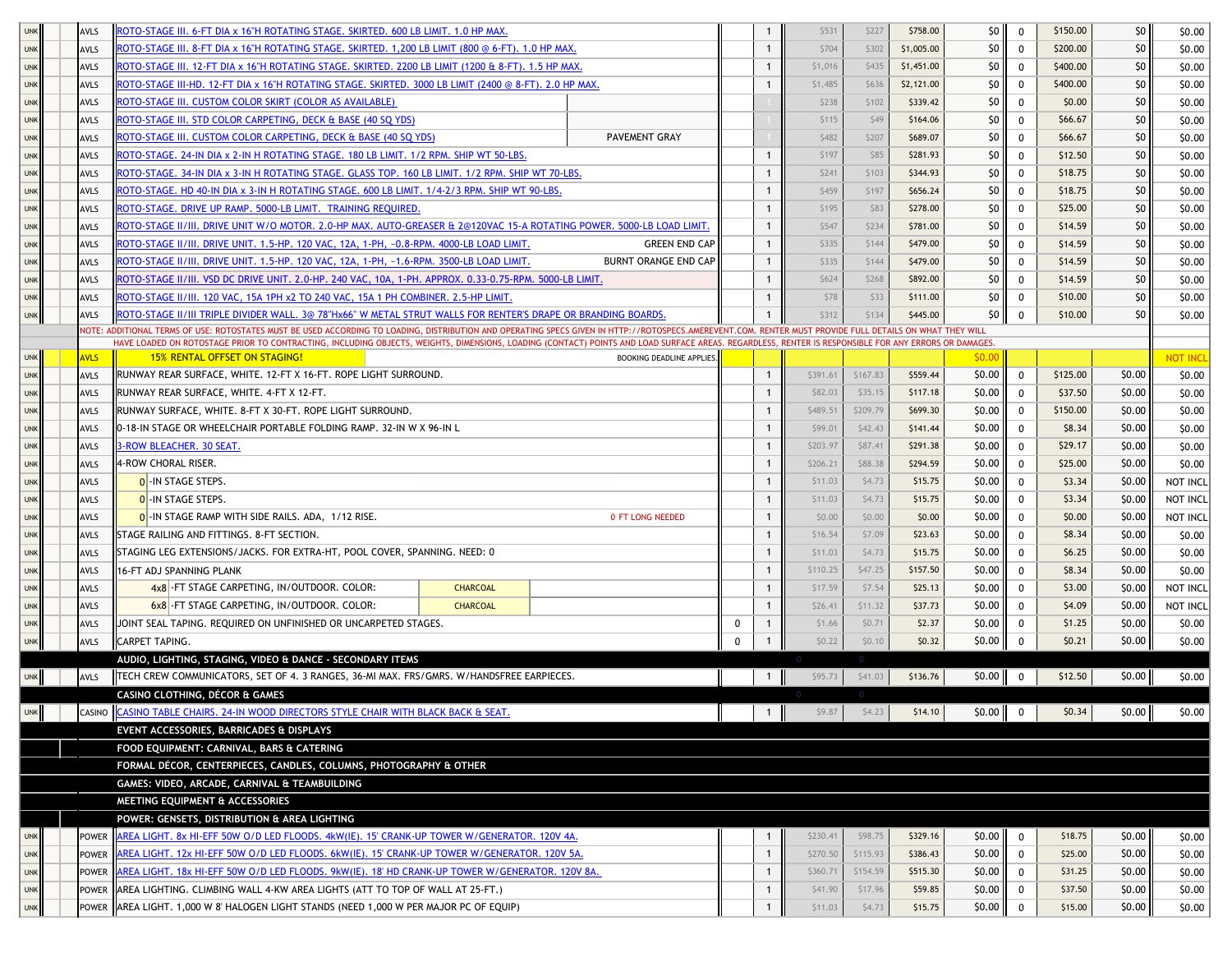| <b>UNK</b> | <b>AVLS</b> | <u>ROTO-STAGE III. 6-FT DIA x 16"H ROTATING STAGE. SKIRTED. 600 LB LIMIT. 1.0 HP MAX</u>                                                                                                                  |                             |   |              | \$531    | \$227    | \$758.00   | \$0 I           | 0            | \$150.00 | \$0    | \$0.00   |
|------------|-------------|-----------------------------------------------------------------------------------------------------------------------------------------------------------------------------------------------------------|-----------------------------|---|--------------|----------|----------|------------|-----------------|--------------|----------|--------|----------|
| <b>UNK</b> | <b>AVLS</b> | .0TO-STAGE III. 8-FT DIA x 16"H ROTATING STAGE. SKIRTED. 1,200 LB LIMIT (800 @ 6-FT). 1.0 HP MAX\                                                                                                         |                             |   |              | \$704    | \$302    | \$1,005.00 | 50 <sub>1</sub> | $\Omega$     | \$200.00 | \$0    | \$0.00   |
| <b>UNK</b> | <b>AVLS</b> | ROTO-STAGE III. 12-FT DIA x 16"H ROTATING STAGE. SKIRTED. 2200 LB LIMIT (1200 & 8-FT). 1.5 HP MAX.                                                                                                        |                             |   | $\mathbf{1}$ | \$1,016  | \$435    | \$1,451.00 | \$0             | 0            | \$400.00 | \$0    | \$0.00   |
| <b>UNK</b> | <b>AVLS</b> | ROTO-STAGE III-HD. 12-FT DIA x 16"H ROTATING STAGE. SKIRTED. 3000 LB LIMIT (2400 ⊚ 8-FT). 2.0 HP MAX.                                                                                                     |                             |   | $\mathbf{1}$ | \$1,485  | \$636    | \$2,121.00 | 50 <sub>l</sub> | 0            | \$400.00 | \$0    | \$0.00   |
| <b>UNK</b> | <b>AVLS</b> | ROTO-STAGE III. CUSTOM COLOR SKIRT (COLOR AS AVAILABLE)                                                                                                                                                   |                             |   |              | \$238    | \$102    | \$339.42   | \$0             | 0            | \$0.00   | \$0    | \$0.00   |
| <b>UNK</b> | <b>AVLS</b> | ROTO-STAGE III. STD COLOR CARPETING, DECK & BASE (40 SO YDS)                                                                                                                                              |                             |   |              | \$115    | \$49     | \$164.06   | \$0             | 0            | \$66.67  | \$0    | \$0.00   |
| <b>UNK</b> | AVLS        | ROTO-STAGE III. CUSTOM COLOR CARPETING, DECK & BASE (40 SQ YDS)                                                                                                                                           | <b>PAVEMENT GRAY</b>        |   |              | \$482    | \$207    | \$689.07   | \$0             | 0            | \$66.67  | \$0    | \$0.00   |
| <b>UNK</b> | <b>AVLS</b> | ROTO-STAGE. 24-IN DIA x 2-IN H ROTATING STAGE. 180 LB LIMIT. 1/2 RPM. SHIP WT 50-LBS.                                                                                                                     |                             |   | -1           | \$197    | \$85     | \$281.93   | \$0             | $\mathbf{0}$ | \$12.50  | \$0    | \$0.00   |
| <b>UNK</b> | <b>AVLS</b> | ROTO-STAGE. 34-IN DIA x 3-IN H ROTATING STAGE. GLASS TOP. 160 LB LIMIT. 1/2 RPM. SHIP WT 70-LBS.                                                                                                          |                             |   | -1           | \$241    | \$103    | \$344.93   | 50 <sup>1</sup> | 0            | \$18.75  | \$0    | \$0.00   |
| <b>UNK</b> | <b>AVLS</b> | ROTO-STAGE. HD 40-IN DIA x 3-IN H ROTATING STAGE. 600 LB LIMIT. 1/4-2/3 RPM. SHIP WT 90-LBS.                                                                                                              |                             |   | -1           | \$459    | \$197    | \$656.24   | \$0 I           | 0            | \$18.75  | \$0    | \$0.00   |
| <b>UNK</b> | <b>AVLS</b> | <u>ROTO-STAGE. DRIVE UP RAMP. 5000-LB LIMIT. TRAINING REQUIRED.</u>                                                                                                                                       |                             |   | $\mathbf{1}$ | \$195    | \$83     | \$278.00   | \$0             | 0            | \$25.00  | \$0    | \$0.00   |
| <b>UNK</b> | <b>AVLS</b> | <u>ROTO-STAGE II/III. DRIVE UNIT W/O MOTOR. 2.0-HP MAX. AUTO-GREASER &amp; 2@120VAC 15-A ROTATING POWER. 5000-LB LOAD LIMIT.</u>                                                                          |                             |   |              | \$547    | \$234    | \$781.00   | 50 <sub>1</sub> | 0            | \$14.59  | \$0    | \$0.00   |
| <b>UNK</b> | <b>AVLS</b> | .0TO-STAGE II/III. DRIVE UNIT. 1.5-HP. 120 VAC, 12A, 1-PH, ~0.8-RPM. 4000-LB LOAD LIMIT                                                                                                                   | <b>GREEN END CAP</b>        |   | $\mathbf{1}$ | \$335    | \$144    | \$479.00   | \$0             | 0            | \$14.59  | \$0    | \$0.00   |
| <b>UNK</b> | <b>AVLS</b> | .20TO-STAGE II/III. DRIVE UNIT. 1.5-HP. 120 VAC, 12A, 1-PH, ~1.6-RPM. 3500-LB LOAD LIMIT                                                                                                                  | <b>BURNT ORANGE END CAP</b> |   | $\mathbf{1}$ | \$335    | \$144    | \$479.00   | 50 <sup>1</sup> | 0            | \$14.59  | \$0    | \$0.00   |
| <b>UNK</b> | <b>AVLS</b> | .ROTO-STAGE II/III. VSD DC DRIVE UNIT. 2.0-HP. 240 VAC, 10A, 1-PH. APPROX. 0.33-0.75-RPM. 5000-LB LIMIT                                                                                                   |                             |   | $\mathbf{1}$ | \$624    | \$268    | \$892.00   | 50 <sub>l</sub> | 0            | \$14.59  | \$0    | \$0.00   |
| <b>UNK</b> | <b>AVLS</b> | ROTO-STAGE II/III. 120 VAC, 15A 1PH x2 TO 240 VAC, 15A 1 PH COMBINER. 2.5-HP LIMIT                                                                                                                        |                             |   | $\mathbf{1}$ | \$78     | \$33     | \$111.00   | \$0             | 0            | \$10.00  | \$0    | \$0.00   |
| <b>UNK</b> | <b>AVLS</b> | ROTO-STAGE II/III TRIPLE DIVIDER WALL. 3@ 78"Hx66" W METAL STRUT WALLS FOR RENTER'S DRAPE OR BRANDING BOARDS.                                                                                             |                             |   |              | \$312    | \$134    | \$445.00   | 50 <sub>1</sub> | 0            | \$10.00  | \$0    | \$0.00   |
|            |             | VOTE: ADDITIONAL TERMS OF USE: ROTOSTATES MUST BE USED ACCORDING TO LOADING, DISTRIBUTION AND OPERATING SPECS GIVEN IN HTTP://ROTOSPECS.AMEREVENT.COM. RENTER MUST PROVIDE FULL DETAILS ON WHAT THEY WILL |                             |   |              |          |          |            |                 |              |          |        |          |
|            |             | HAVE LOADED ON ROTOSTAGE PRIOR TO CONTRACTING, INCLUDING OBJECTS, WEIGHTS, DIMENSIONS, LOADING (CONTACT) POINTS AND LOAD SURFACE AREAS. REGARDLESS, RENTER IS RESPONSIBLE FOR ANY ERRORS OR DAMAGES       |                             |   |              |          |          |            |                 |              |          |        |          |
| <b>UNK</b> | <b>AVLS</b> | <b>15% RENTAL OFFSET ON STAGING!</b>                                                                                                                                                                      | BOOKING DEADLINE APPLIES.   |   |              |          |          |            | \$0.00          |              |          |        | not inci |
| <b>UNK</b> | AVLS        | RUNWAY REAR SURFACE, WHITE, 12-FT X 16-FT, ROPE LIGHT SURROUND.                                                                                                                                           |                             |   | $\mathbf{1}$ | \$391.61 | \$167.83 | \$559.44   | \$0.00          | 0            | \$125.00 | \$0.00 | \$0.00   |
| <b>UNK</b> | AVLS        | RUNWAY REAR SURFACE, WHITE. 4-FT X 12-FT.                                                                                                                                                                 |                             |   | $\mathbf{1}$ | \$82.03  | \$35.15  | \$117.18   | \$0.00          | 0            | \$37.50  | \$0.00 | \$0.00   |
| <b>UNK</b> | AVLS        | RUNWAY SURFACE, WHITE. 8-FT X 30-FT. ROPE LIGHT SURROUND.                                                                                                                                                 |                             |   | $\mathbf{1}$ | \$489.51 | \$209.79 | \$699.30   | \$0.00          |              | \$150.00 | \$0.00 | \$0.00   |
| <b>UNK</b> | <b>AVLS</b> | 0-18-IN STAGE OR WHEELCHAIR PORTABLE FOLDING RAMP. 32-IN W X 96-IN L                                                                                                                                      |                             |   | $\mathbf{1}$ | \$99.01  | \$42.43  | \$141.44   | \$0.00          | $\mathbf{0}$ | \$8.34   | \$0.00 | \$0.00   |
| <b>UNK</b> | <b>AVLS</b> | <b>B-ROW BLEACHER. 30 SEAT.</b>                                                                                                                                                                           |                             |   | $\mathbf{1}$ | \$203.97 | \$87.41  | \$291.38   | \$0.00          | $\Omega$     | \$29.17  | \$0.00 | \$0.00   |
| <b>UNK</b> | <b>AVLS</b> | 4-ROW CHORAL RISER.                                                                                                                                                                                       |                             |   | $\mathbf{1}$ | \$206.21 | \$88.38  | \$294.59   | \$0.00          | 0            | \$25.00  | \$0.00 | \$0.00   |
| <b>UNK</b> | AVLS        | 0 - IN STAGE STEPS.                                                                                                                                                                                       |                             |   | $\mathbf{1}$ | \$11.03  | \$4.73   | \$15.75    | \$0.00          | 0            | \$3.34   | \$0.00 | NOT INCL |
| <b>UNK</b> | AVLS        | 0 - IN STAGE STEPS.                                                                                                                                                                                       |                             |   | $\mathbf{1}$ | \$11.03  | \$4.73   | \$15.75    | \$0.00          | 0            | \$3.34   | \$0.00 | NOT INCL |
| <b>UNK</b> | AVLS        | 0 - IN STAGE RAMP WITH SIDE RAILS. ADA, 1/12 RISE.                                                                                                                                                        | 0 FT LONG NEEDED            |   | $\mathbf{1}$ | \$0.00   | \$0.00   | \$0.00     | \$0.00          | $\mathbf{0}$ | \$0.00   | \$0.00 | NOT INCL |
| <b>UNK</b> | AVLS        | STAGE RAILING AND FITTINGS. 8-FT SECTION.                                                                                                                                                                 |                             |   | $\mathbf{1}$ | \$16.54  | \$7.09   | \$23.63    | \$0.00          | 0            | \$8.34   | \$0.00 | \$0.00   |
| <b>UNK</b> | <b>AVLS</b> | STAGING LEG EXTENSIONS/JACKS. FOR EXTRA-HT, POOL COVER, SPANNING. NEED: 0                                                                                                                                 |                             |   | -1           | \$11.03  | \$4.73   | \$15.75    | \$0.00          | 0            | \$6.25   | \$0.00 | \$0.00   |
| <b>UNK</b> | <b>AVLS</b> | 16-FT ADJ SPANNING PLANK                                                                                                                                                                                  |                             |   | $\mathbf{1}$ | \$110.25 | \$47.25  | \$157.50   | \$0.00          | 0            | \$8.34   | \$0.00 | \$0.00   |
| <b>UNK</b> | AVLS        | 4x8 - FT STAGE CARPETING, IN/OUTDOOR. COLOR:<br><b>CHARCOAL</b>                                                                                                                                           |                             |   | $\mathbf{1}$ | \$17.59  | \$7.54   | \$25.13    | \$0.00          | 0            | \$3.00   | \$0.00 | NOT INCL |
| <b>UNK</b> | AVLS        | 6x8 - FT STAGE CARPETING, IN/OUTDOOR. COLOR:<br><b>CHARCOAL</b>                                                                                                                                           |                             |   | $\mathbf{1}$ | \$26.41  | \$11.32  | \$37.73    | \$0.00          | $\mathbf{0}$ | \$4.09   | \$0.00 | NOT INCL |
| <b>UNK</b> | <b>AVLS</b> | JOINT SEAL TAPING. REQUIRED ON UNFINISHED OR UNCARPETED STAGES.                                                                                                                                           |                             | 0 | $\mathbf{1}$ | \$1.66   | \$0.71   | \$2.37     | \$0.00          | 0            | \$1.25   | \$0.00 | \$0.00   |
| <b>UNK</b> | AVLS        | CARPET TAPING.                                                                                                                                                                                            |                             | 0 | $\mathbf{1}$ | \$0.22   | \$0.10   | \$0.32     | \$0.00          | $\mathbf 0$  | \$0.21   | \$0.00 | \$0.00   |
|            |             | AUDIO, LIGHTING, STAGING, VIDEO & DANCE - SECONDARY ITEMS                                                                                                                                                 |                             |   |              |          |          |            |                 |              |          |        |          |
| <b>UNK</b> | AVLS        | TECH CREW COMMUNICATORS, SET OF 4. 3 RANGES, 36-MI MAX. FRS/GMRS. W/HANDSFREE EARPIECES.                                                                                                                  |                             |   | $\mathbf{1}$ | \$95.73  | \$41.03  | \$136.76   | \$0.00          | $\mathbf 0$  | \$12.50  | \$0.00 | \$0.00   |
|            |             | CASINO CLOTHING, DÉCOR & GAMES                                                                                                                                                                            |                             |   |              |          |          |            |                 |              |          |        |          |
| <b>UNK</b> | CASINO      | CASINO TABLE CHAIRS. 24-IN WOOD DIRECTORS STYLE CHAIR WITH BLACK BACK & SEAT.                                                                                                                             |                             |   | $\mathbf{1}$ | \$9.87   | \$4.23   | \$14.10    | $$0.00$ 0       |              | \$0.34\$ | \$0.00 | \$0.00   |
|            |             | EVENT ACCESSORIES, BARRICADES & DISPLAYS                                                                                                                                                                  |                             |   |              |          |          |            |                 |              |          |        |          |
|            |             | FOOD EQUIPMENT: CARNIVAL, BARS & CATERING                                                                                                                                                                 |                             |   |              |          |          |            |                 |              |          |        |          |
|            |             | FORMAL DÉCOR, CENTERPIECES, CANDLES, COLUMNS, PHOTOGRAPHY & OTHER                                                                                                                                         |                             |   |              |          |          |            |                 |              |          |        |          |
|            |             | GAMES: VIDEO, ARCADE, CARNIVAL & TEAMBUILDING                                                                                                                                                             |                             |   |              |          |          |            |                 |              |          |        |          |
|            |             | MEETING EQUIPMENT & ACCESSORIES                                                                                                                                                                           |                             |   |              |          |          |            |                 |              |          |        |          |
|            |             | POWER: GENSETS, DISTRIBUTION & AREA LIGHTING                                                                                                                                                              |                             |   |              |          |          |            |                 |              |          |        |          |
| <b>UNK</b> | POWER       | AREA LIGHT. 8x HI-EFF 50W O/D LED FLOODS. 4kW(IE). 15' CRANK-UP TOWER W/GENERATOR. 120V 4A.                                                                                                               |                             |   | 1            | \$230.41 | \$98.75  | \$329.16   | \$0.00          | $\mathbf 0$  | \$18.75  | \$0.00 | \$0.00   |
| <b>UNK</b> | POWER       | AREA LIGHT. 12x HI-EFF 50W O/D LED FLOODS. 6kW(IE). 15' CRANK-UP TOWER W/GENERATOR. 120V 5A.                                                                                                              |                             |   | $\mathbf{1}$ | \$270.50 | \$115.93 | \$386.43   | \$0.00          | 0            | \$25.00  | \$0.00 | \$0.00   |
| <b>UNK</b> | POWER       | AREA LIGHT. 18x HI-EFF 50W O/D LED FLOODS. 9kW(IE). 18' HD CRANK-UP TOWER W/GENERATOR. 120V 8A.                                                                                                           |                             |   | $\mathbf{1}$ | \$360.71 | \$154.59 | \$515.30   | \$0.00          | $\mathbf 0$  | \$31.25  | \$0.00 | \$0.00   |
| <b>UNK</b> | POWER       | AREA LIGHTING. CLIMBING WALL 4-KW AREA LIGHTS (ATT TO TOP OF WALL AT 25-FT.)                                                                                                                              |                             |   | 1            | \$41.90  | \$17.96  | \$59.85    | \$0.00          | 0            | \$37.50  | \$0.00 | \$0.00   |
| <b>UNK</b> |             | POWER HAREA LIGHT. 1,000 W 8' HALOGEN LIGHT STANDS (NEED 1,000 W PER MAJOR PC OF EQUIP)                                                                                                                   |                             |   | $\mathbf{1}$ | \$11.03  | \$4.73   | \$15.75    | \$0.00          | 0            | \$15.00  | \$0.00 | \$0.00   |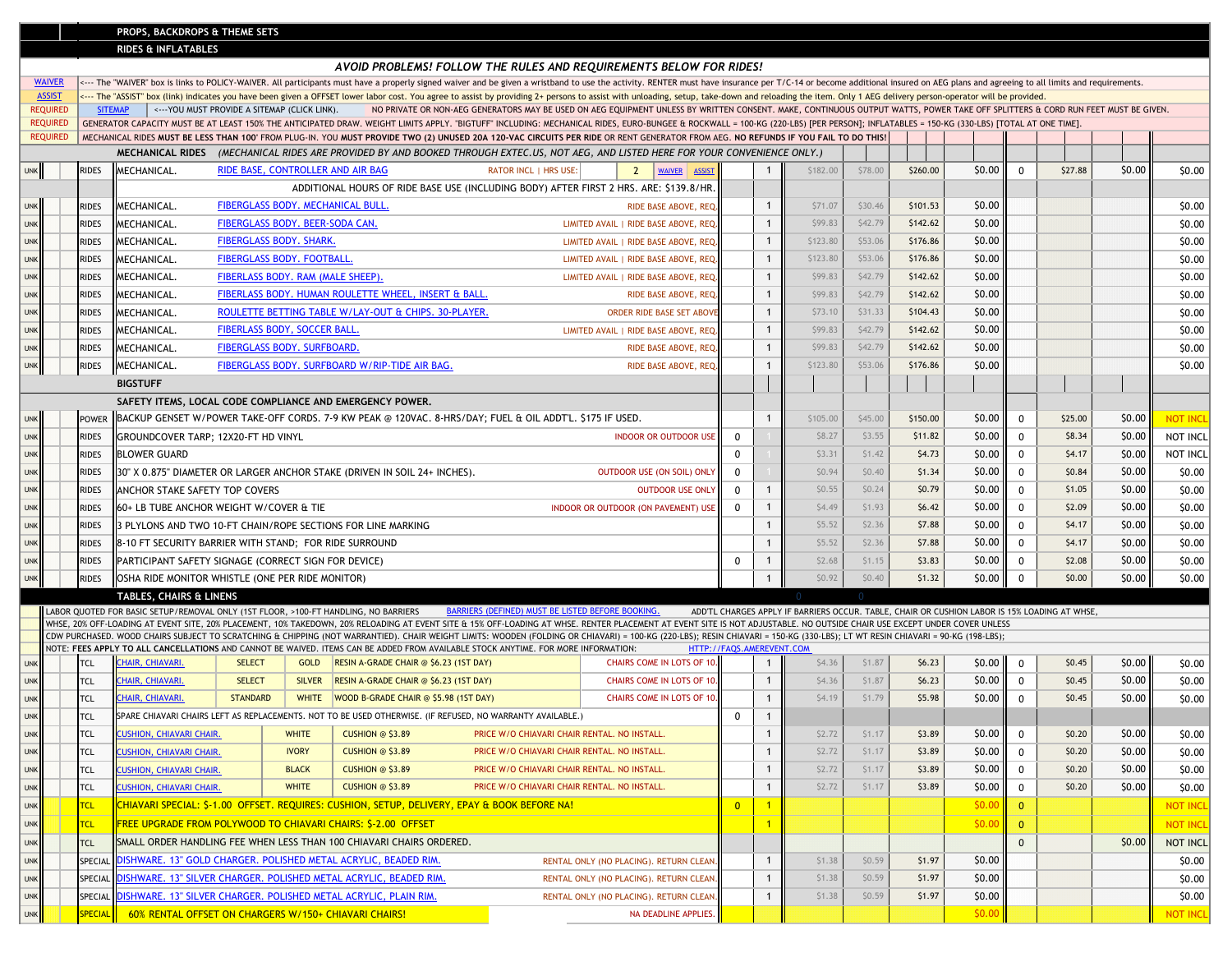## **PROPS, BACKDROPS & THEME SETS**

**RIDES & INFLATABLES**

|            |                                  |                |                                                                                                                |                                   |               |                                                                           | AVOID PROBLEMS! FOLLOW THE RULES AND REQUIREMENTS BELOW FOR RIDES!                                                                                                                                                                                                                                                                                                                                           |                                        |                                                        |                |                |                                                                                               |          |          |              |              |         |                 |                 |
|------------|----------------------------------|----------------|----------------------------------------------------------------------------------------------------------------|-----------------------------------|---------------|---------------------------------------------------------------------------|--------------------------------------------------------------------------------------------------------------------------------------------------------------------------------------------------------------------------------------------------------------------------------------------------------------------------------------------------------------------------------------------------------------|----------------------------------------|--------------------------------------------------------|----------------|----------------|-----------------------------------------------------------------------------------------------|----------|----------|--------------|--------------|---------|-----------------|-----------------|
|            | <b>WAIVER</b>                    |                |                                                                                                                |                                   |               |                                                                           | <--- The "WAIVER" box is links to POLICY-WAIVER. All participants must have a properly signed waiver and be given a wristband to use the activity. RENTER must have insurance per T/C-14 or become additional insured on AEG p                                                                                                                                                                               |                                        |                                                        |                |                |                                                                                               |          |          |              |              |         |                 |                 |
|            | <b>ASSIST</b><br><b>REQUIRED</b> | <b>SITEMAP</b> | <--- YOU MUST PROVIDE A SITEMAP (CLICK LINK).                                                                  |                                   |               |                                                                           | The "ASSIST" box (link) indicates you have been given a OFFSET lower labor cost. You agree to assist by providing 2+ persons to assist with unloading, setup, take-down and reloading the item. Only 1 AEG delivery perso<br>NO PRIVATE OR NON-AEG GENERATORS MAY BE USED ON AEG EQUIPMENT UNLESS BY WRITTEN CONSENT. MAKE, CONTINUOUS OUTPUT WATTS, POWER TAKE OFF SPLITTERS & CORD RUN FEET MUST BE GIVEN. |                                        |                                                        |                |                |                                                                                               |          |          |              |              |         |                 |                 |
|            | <b>REQUIRED</b>                  |                |                                                                                                                |                                   |               |                                                                           | GENERATOR CAPACITY MUST BE AT LEAST 150% THE ANTICIPATED DRAW. WEIGHT LIMITS APPLY. "BIGTUFF" INCLUDING: MECHANICAL RIDES, EURO-BUNGEE & ROCKWALL = 100-KG (220-LBS) [PER PERSON]; INFLATABLES = 150-KG (330-LBS) [TOTAL AT ON                                                                                                                                                                               |                                        |                                                        |                |                |                                                                                               |          |          |              |              |         |                 |                 |
|            | <b>REQUIRED</b>                  |                |                                                                                                                |                                   |               |                                                                           | MECHANICAL RIDES MUST BE LESS THAN 100' FROM PLUG-IN. YOU MUST PROVIDE TWO (2) UNUSED 20A 120-VAC CIRCUITS PER RIDE OR RENT GENERATOR FROM AEG. NO REFUNDS IF YOU FAIL TO DO THIS!                                                                                                                                                                                                                           |                                        |                                                        |                |                |                                                                                               |          |          |              |              |         |                 |                 |
|            |                                  |                |                                                                                                                |                                   |               |                                                                           | MECHANICAL RIDES (MECHANICAL RIDES ARE PROVIDED BY AND BOOKED THROUGH EXTEC.US, NOT AEG, AND LISTED HERE FOR YOUR CONVENIENCE ONLY.)                                                                                                                                                                                                                                                                         |                                        |                                                        |                |                |                                                                                               |          |          |              |              |         |                 |                 |
| <b>UNK</b> |                                  | RIDES          | MECHANICAL.                                                                                                    |                                   |               | RIDE BASE, CONTROLLER AND AIR BAG                                         | <b>RATOR INCL   HRS USE:</b>                                                                                                                                                                                                                                                                                                                                                                                 | $\overline{2}$                         | WAIVER ASSIST                                          |                | $\overline{1}$ | \$182.00                                                                                      | \$78.00  | \$260.00 | \$0.00       | $\Omega$     | \$27.88 | \$0.00          | \$0.00          |
|            |                                  |                |                                                                                                                |                                   |               |                                                                           | ADDITIONAL HOURS OF RIDE BASE USE (INCLUDING BODY) AFTER FIRST 2 HRS. ARE: \$139.8/HR.                                                                                                                                                                                                                                                                                                                       |                                        |                                                        |                |                |                                                                                               |          |          |              |              |         |                 |                 |
| <b>UNK</b> |                                  | <b>RIDES</b>   | MECHANICAL.                                                                                                    |                                   |               | FIBERGLASS BODY. MECHANICAL BULL.                                         |                                                                                                                                                                                                                                                                                                                                                                                                              |                                        | RIDE BASE ABOVE, REQ                                   |                | $\mathbf{1}$   | \$71.07                                                                                       | \$30.46  | \$101.53 | \$0.00       |              |         |                 | \$0.00          |
| <b>UNK</b> |                                  | RIDES          | MECHANICAL.                                                                                                    | FIBERGLASS BODY, BEER-SODA CAN.   |               |                                                                           |                                                                                                                                                                                                                                                                                                                                                                                                              |                                        | LIMITED AVAIL   RIDE BASE ABOVE, REQ                   |                | $\mathbf{1}$   | \$99.83                                                                                       | \$42.79  | \$142.62 | \$0.00       |              |         |                 | \$0.00          |
| <b>UNK</b> |                                  | <b>RIDES</b>   | MECHANICAL.                                                                                                    | FIBERGLASS BODY. SHARK.           |               |                                                                           |                                                                                                                                                                                                                                                                                                                                                                                                              |                                        | LIMITED AVAIL   RIDE BASE ABOVE, REQ.                  |                | $\mathbf{1}$   | \$123.80                                                                                      | \$53.06  | \$176.86 | \$0.00       |              |         |                 | \$0.00          |
| <b>UNK</b> |                                  | RIDES          | MECHANICAL.                                                                                                    | <b>FIBERGLASS BODY, FOOTBALL,</b> |               |                                                                           |                                                                                                                                                                                                                                                                                                                                                                                                              |                                        | LIMITED AVAIL I RIDE BASE ABOVE, REO                   |                | $\mathbf{1}$   | \$123.80                                                                                      | \$53.06  | \$176.86 | \$0.00       |              |         |                 | \$0.00          |
| <b>UNK</b> |                                  | <b>RIDES</b>   | MECHANICAL.                                                                                                    | FIBERLASS BODY. RAM (MALE SHEEP). |               |                                                                           |                                                                                                                                                                                                                                                                                                                                                                                                              |                                        | LIMITED AVAIL   RIDE BASE ABOVE, REQ                   |                | $\mathbf{1}$   | \$99.83                                                                                       | \$42.79  | \$142.62 | \$0.00       |              |         |                 | \$0.00          |
| <b>UNK</b> |                                  | <b>RIDES</b>   | MECHANICAL.                                                                                                    |                                   |               | FIBERLASS BODY. HUMAN ROULETTE WHEEL, INSERT & BALL.                      |                                                                                                                                                                                                                                                                                                                                                                                                              |                                        | RIDE BASE ABOVE, REQ                                   |                | $\mathbf{1}$   | \$99.83                                                                                       | \$42.79  | \$142.62 | \$0.00       |              |         |                 | \$0.00          |
| <b>UNK</b> |                                  | RIDES          | MECHANICAL.                                                                                                    |                                   |               | ROULETTE BETTING TABLE W/LAY-OUT & CHIPS. 30-PLAYER.                      |                                                                                                                                                                                                                                                                                                                                                                                                              |                                        | <b>ORDER RIDE BASE SET ABOVE</b>                       |                | $\mathbf{1}$   | \$73.10                                                                                       | \$31.33  | \$104.43 | \$0.00       |              |         |                 | \$0.00          |
| <b>UNK</b> |                                  | RIDES          | MECHANICAL.                                                                                                    | FIBERLASS BODY, SOCCER BALL.      |               |                                                                           |                                                                                                                                                                                                                                                                                                                                                                                                              |                                        | LIMITED AVAIL   RIDE BASE ABOVE, REQ                   |                | $\overline{1}$ | \$99.83                                                                                       | \$42.79  | \$142.62 | \$0.00       |              |         |                 | \$0.00          |
| <b>UNK</b> |                                  | RIDES          | MECHANICAL.                                                                                                    | FIBERGLASS BODY. SURFBOARD.       |               |                                                                           |                                                                                                                                                                                                                                                                                                                                                                                                              |                                        | RIDE BASE ABOVE, REQ                                   |                | $\mathbf{1}$   | \$99.83                                                                                       | \$42.79  | \$142.62 | \$0.00       |              |         |                 | \$0.00          |
|            |                                  | राDES          | MECHANICAL.                                                                                                    |                                   |               | FIBERGLASS BODY. SURFBOARD W/RIP-TIDE AIR BAG.                            |                                                                                                                                                                                                                                                                                                                                                                                                              |                                        | RIDE BASE ABOVE, REQ                                   |                | $\overline{1}$ | \$123.80                                                                                      | \$53.06  | \$176.86 | \$0.00       |              |         |                 | \$0.00          |
|            |                                  |                | <b>BIGSTUFF</b>                                                                                                |                                   |               |                                                                           |                                                                                                                                                                                                                                                                                                                                                                                                              |                                        |                                                        |                |                |                                                                                               |          |          |              |              |         |                 |                 |
|            |                                  |                |                                                                                                                |                                   |               | SAFETY ITEMS, LOCAL CODE COMPLIANCE AND EMERGENCY POWER.                  |                                                                                                                                                                                                                                                                                                                                                                                                              |                                        |                                                        |                |                |                                                                                               |          |          |              |              |         |                 |                 |
| <b>JNK</b> |                                  | <b>POWER</b>   |                                                                                                                |                                   |               |                                                                           | BACKUP GENSET W/POWER TAKE-OFF CORDS. 7-9 KW PEAK @ 120VAC. 8-HRS/DAY; FUEL & OIL ADDT'L. \$175 IF USED.                                                                                                                                                                                                                                                                                                     |                                        |                                                        | $\overline{1}$ | \$105.00       | \$45.00                                                                                       | \$150.00 | \$0.00   | $\mathbf 0$  | \$25.00      | \$0.00  | NOT INCL        |                 |
| <b>UNK</b> |                                  | RIDES          | GROUNDCOVER TARP: 12X20-FT HD VINYL                                                                            |                                   |               |                                                                           |                                                                                                                                                                                                                                                                                                                                                                                                              |                                        | <b>INDOOR OR OUTDOOR USE</b>                           | $\mathbf 0$    |                | \$8.27                                                                                        | \$3.55   | \$11.82  | \$0.00       | $\mathbf 0$  | \$8.34  | \$0.00          | NOT INCL        |
| <b>UNK</b> |                                  | <b>RIDES</b>   | <b>BLOWER GUARD</b>                                                                                            |                                   |               |                                                                           |                                                                                                                                                                                                                                                                                                                                                                                                              |                                        |                                                        | $\mathbf 0$    |                | \$3.31                                                                                        | \$1.42   | \$4.73   | \$0.00       | $\mathbf 0$  | \$4.17  | \$0.00          | NOT INCL        |
| <b>UNK</b> |                                  | <b>RIDES</b>   |                                                                                                                |                                   |               | 30" X 0.875" DIAMETER OR LARGER ANCHOR STAKE (DRIVEN IN SOIL 24+ INCHES). |                                                                                                                                                                                                                                                                                                                                                                                                              |                                        | OUTDOOR USE (ON SOIL) ONL'                             | $\mathbf 0$    |                | \$0.94                                                                                        | \$0.40   | \$1.34   | \$0.00       | $\mathbf 0$  | \$0.84  | \$0.00          | \$0.00          |
| <b>UNK</b> |                                  | RIDES          | ANCHOR STAKE SAFETY TOP COVERS                                                                                 |                                   |               |                                                                           |                                                                                                                                                                                                                                                                                                                                                                                                              |                                        | <b>OUTDOOR USE ONLY</b>                                | $^{\circ}$     | $\overline{1}$ | \$0.55                                                                                        | \$0.24   | \$0.79   | \$0.00       | $\mathbf 0$  | \$1.05  | \$0.00          | \$0.00          |
| <b>UNK</b> |                                  | RIDES          | 60+ LB TUBE ANCHOR WEIGHT W/COVER & TIE                                                                        |                                   |               |                                                                           |                                                                                                                                                                                                                                                                                                                                                                                                              |                                        | INDOOR OR OUTDOOR (ON PAVEMENT) USE                    | $\mathbf 0$    | $\overline{1}$ | \$4.49                                                                                        | \$1.93   | \$6.42   | \$0.00       | $\mathbf 0$  | \$2.09  | \$0.00          | \$0.00          |
| <b>UNK</b> |                                  | राDES          |                                                                                                                |                                   |               | 3 PLYLONS AND TWO 10-FT CHAIN/ROPE SECTIONS FOR LINE MARKING              |                                                                                                                                                                                                                                                                                                                                                                                                              |                                        |                                                        |                | $\mathbf{1}$   | \$5.52                                                                                        | \$2.36   | \$7.88   | \$0.00       | $\mathbf 0$  | \$4.17  | \$0.00          | \$0.00          |
| <b>UNK</b> |                                  | <b>RIDES</b>   | 8-10 FT SECURITY BARRIER WITH STAND; FOR RIDE SURROUND                                                         |                                   |               |                                                                           |                                                                                                                                                                                                                                                                                                                                                                                                              |                                        |                                                        |                | $\mathbf{1}$   | \$5.52                                                                                        | \$2.36   | \$7.88   | \$0.00       | $\mathbf 0$  | \$4.17  | \$0.00          | \$0.00          |
| UNK        |                                  | <b>RIDES</b>   | PARTICIPANT SAFETY SIGNAGE (CORRECT SIGN FOR DEVICE)                                                           |                                   |               |                                                                           |                                                                                                                                                                                                                                                                                                                                                                                                              |                                        |                                                        | $\mathbf 0$    | $\overline{1}$ | \$2.68                                                                                        | \$1.15   | \$3.83   | \$0.00       | $\mathbf 0$  | \$2.08  | \$0.00          | \$0.00          |
| <b>UNK</b> |                                  | <b>RIDES</b>   | OSHA RIDE MONITOR WHISTLE (ONE PER RIDE MONITOR)                                                               |                                   |               |                                                                           |                                                                                                                                                                                                                                                                                                                                                                                                              |                                        |                                                        |                | $\mathbf{1}$   | \$0.92                                                                                        | \$0.40   | \$1.32   | \$0.00       | $\mathbf 0$  | \$0.00  | \$0.00          | \$0.00          |
|            |                                  |                | TABLES, CHAIRS & LINENS<br>LABOR QUOTED FOR BASIC SETUP/REMOVAL ONLY (1ST FLOOR, >100-FT HANDLING, NO BARRIERS |                                   |               |                                                                           | BARRIERS (DEFINED) MUST BE LISTED BEFORE BOOKING.                                                                                                                                                                                                                                                                                                                                                            |                                        |                                                        |                |                | ADD'TL CHARGES APPLY IF BARRIERS OCCUR. TABLE, CHAIR OR CUSHION LABOR IS 15% LOADING AT WHSE, |          |          |              |              |         |                 |                 |
|            |                                  |                |                                                                                                                |                                   |               |                                                                           | WHSE, 20% OFF-LOADING AT EVENT SITE, 20% PLACEMENT, 10% TAKEDOWN, 20% RELOADING AT EVENT SITE & 15% OFF-LOADING AT WHSE. RENTER PLACEMENT AT EVENT SITE IS NOT ADJUSTABLE. NO OUTSIDE CHAIR USE EXCEPT UNDER COVER UNLESS                                                                                                                                                                                    |                                        |                                                        |                |                |                                                                                               |          |          |              |              |         |                 |                 |
|            |                                  |                |                                                                                                                |                                   |               |                                                                           | CDW PURCHASED. WOOD CHAIRS SUBJECT TO SCRATCHING & CHIPPING (NOT WARRANTIED). CHAIR WEIGHT LIMITS: WOODEN (FOLDING OR CHIAVARI) = 100-KG (220-LBS); RESIN CHIAVARI = 150-KG (330-LBS); LT WT RESIN CHIAVARI = 90-KG (198-LBS);                                                                                                                                                                               |                                        |                                                        |                |                |                                                                                               |          |          |              |              |         |                 |                 |
| UNK        |                                  | <b>TCL</b>     | <b>CHAIR, CHIAVARI.</b>                                                                                        | <b>SELECT</b>                     | <b>GOLD</b>   | <b>RESIN A-GRADE CHAIR @ \$6.23 (1ST DAY)</b>                             | NOTE: FEES APPLY TO ALL CANCELLATIONS AND CANNOT BE WAIVED. ITEMS CAN BE ADDED FROM AVAILABLE STOCK ANYTIME. FOR MORE INFORMATION:                                                                                                                                                                                                                                                                           |                                        | HTTP://FAQS.AMEREVENT.COM<br>CHAIRS COME IN LOTS OF 10 |                | $\mathbf{1}$   | \$4.36                                                                                        | \$1.87   | \$6.23   | \$0.00       | $\mathbf{0}$ | \$0.45  | \$0.00          | \$0.00          |
| <b>UNK</b> |                                  | <b>TCL</b>     | CHAIR, CHIAVARI.                                                                                               | <b>SELECT</b>                     | <b>SILVER</b> | RESIN A-GRADE CHAIR @ \$6.23 (1ST DAY)                                    |                                                                                                                                                                                                                                                                                                                                                                                                              |                                        | CHAIRS COME IN LOTS OF 10                              |                | $\overline{1}$ | \$4.36                                                                                        | \$1.87   | \$6.23   | \$0.00       | $\mathbf 0$  | \$0.45  | \$0.00          | \$0.00          |
| <b>UNK</b> |                                  | <b>TCL</b>     | CHAIR, CHIAVARI.                                                                                               | <b>STANDARD</b>                   | <b>WHITE</b>  | WOOD B-GRADE CHAIR @ \$5.98 (1ST DAY)                                     |                                                                                                                                                                                                                                                                                                                                                                                                              |                                        | <b>CHAIRS COME IN LOTS OF 10</b>                       |                | $\mathbf{1}$   | \$4.19                                                                                        | \$1.79   | \$5.98   | \$0.00       | $\Omega$     | \$0.45  | \$0.00          | \$0.00          |
| <b>UNK</b> |                                  | <b>TCL</b>     |                                                                                                                |                                   |               |                                                                           | SPARE CHIAVARI CHAIRS LEFT AS REPLACEMENTS. NOT TO BE USED OTHERWISE. (IF REFUSED, NO WARRANTY AVAILABLE.)                                                                                                                                                                                                                                                                                                   |                                        |                                                        | $\mathbf 0$    | $\overline{1}$ |                                                                                               |          |          |              |              |         |                 |                 |
| <b>UNK</b> |                                  | <b>TCL</b>     | <b>CUSHION, CHIAVARI CHAIR</b>                                                                                 |                                   | <b>WHITE</b>  | CUSHION @ \$3.89                                                          | PRICE W/O CHIAVARI CHAIR RENTAL. NO INSTALL.                                                                                                                                                                                                                                                                                                                                                                 |                                        |                                                        |                | $\mathbf{1}$   | \$2.72                                                                                        | \$1.17   | \$3.89   | \$0.00       | 0            | \$0.20  | \$0.00          | \$0.00          |
| <b>UNK</b> |                                  | <b>TCL</b>     | <b>CUSHION, CHIAVARI CHAIR</b>                                                                                 |                                   | <b>IVORY</b>  | CUSHION @ \$3.89                                                          | PRICE W/O CHIAVARI CHAIR RENTAL, NO INSTALL.                                                                                                                                                                                                                                                                                                                                                                 |                                        | $\mathbf{1}$                                           | \$2.72         | \$1.17         | \$3.89                                                                                        | \$0.00   | $\Omega$ | \$0.20       | SO.00        | \$0.00  |                 |                 |
| <b>UNK</b> |                                  | <b>TCL</b>     | <b>CUSHION, CHIAVARI CHAIR.</b>                                                                                |                                   | <b>BLACK</b>  | CUSHION @ \$3.89                                                          | PRICE W/O CHIAVARI CHAIR RENTAL. NO INSTALL.                                                                                                                                                                                                                                                                                                                                                                 |                                        | $\mathbf{1}$                                           | \$2.72         | \$1.17         | \$3.89                                                                                        | \$0.00   | 0        | \$0.20       | \$0.00       | \$0.00  |                 |                 |
| <b>UNK</b> |                                  | <b>TCL</b>     | <b>CUSHION, CHIAVARI CHAIR.</b>                                                                                |                                   | <b>WHITE</b>  | CUSHION @ \$3.89                                                          | PRICE W/O CHIAVARI CHAIR RENTAL. NO INSTALL.                                                                                                                                                                                                                                                                                                                                                                 |                                        |                                                        |                | $\overline{1}$ | \$2.72                                                                                        | \$1.17   | \$3.89   | \$0.00       | $\mathbf 0$  | \$0.20  | \$0.00          | \$0.00          |
| UNK        |                                  | <b>TCL</b>     |                                                                                                                |                                   |               |                                                                           | CHIAVARI SPECIAL: \$-1.00 OFFSET. REQUIRES: CUSHION, SETUP, DELIVERY, EPAY & BOOK BEFORE NA!                                                                                                                                                                                                                                                                                                                 |                                        | $\overline{0}$                                         | $\mathbf{1}$   |                |                                                                                               |          | \$0.00   | $\mathbf{0}$ |              |         | <b>NOT INCL</b> |                 |
| <b>UNK</b> |                                  | <b>TCL</b>     |                                                                                                                |                                   |               | <u>FREE UPGRADE FROM POLYWOOD TO CHIAVARI CHAIRS: \$-2.00  OFFSET</u>     |                                                                                                                                                                                                                                                                                                                                                                                                              |                                        |                                                        | $\mathbf{1}$   |                |                                                                                               |          | \$0.00   | $\mathbf{0}$ |              |         | NOT INCL        |                 |
| <b>UNK</b> |                                  | <b>TCL</b>     |                                                                                                                |                                   |               | SMALL ORDER HANDLING FEE WHEN LESS THAN 100 CHIAVARI CHAIRS ORDERED.      |                                                                                                                                                                                                                                                                                                                                                                                                              |                                        |                                                        |                |                |                                                                                               |          |          | $\mathbf{0}$ |              | \$0.00  | NOT INCL        |                 |
| <b>UNK</b> |                                  | SPECIAL        |                                                                                                                |                                   |               | <b>IISHWARE. 13" GOLD CHARGER. POLISHED METAL ACRYLIC, BEADED RIM.</b>    |                                                                                                                                                                                                                                                                                                                                                                                                              |                                        | RENTAL ONLY (NO PLACING). RETURN CLEAN                 |                | $\overline{1}$ | \$1.38                                                                                        | \$0.59   | \$1.97   | \$0.00       |              |         |                 | \$0.00          |
| <b>UNK</b> |                                  | SPECIAL        |                                                                                                                |                                   |               | DISHWARE, 13" SILVER CHARGER, POLISHED METAL ACRYLIC, BEADED RIM.         |                                                                                                                                                                                                                                                                                                                                                                                                              |                                        | RENTAL ONLY (NO PLACING). RETURN CLEAN                 |                | $\mathbf{1}$   | \$1.38                                                                                        | \$0.59   | \$1.97   | \$0.00       |              |         |                 | \$0.00          |
| <b>UNK</b> |                                  | SPECIAL        |                                                                                                                |                                   |               | DISHWARE. 13" SILVER CHARGER. POLISHED METAL ACRYLIC, PLAIN RIM.          |                                                                                                                                                                                                                                                                                                                                                                                                              | RENTAL ONLY (NO PLACING). RETURN CLEAN |                                                        | $\mathbf{1}$   | \$1.38         | \$0.59                                                                                        | \$1.97   | \$0.00   |              |              |         | \$0.00          |                 |
| <b>UNK</b> |                                  | <b>SPECIAL</b> | 60% RENTAL OFFSET ON CHARGERS W/150+ CHIAVARI CHAIRS!                                                          |                                   |               |                                                                           |                                                                                                                                                                                                                                                                                                                                                                                                              |                                        | NA DEADLINE APPLIES.                                   |                |                |                                                                                               |          |          | \$0.00       |              |         |                 | <b>NOT INCL</b> |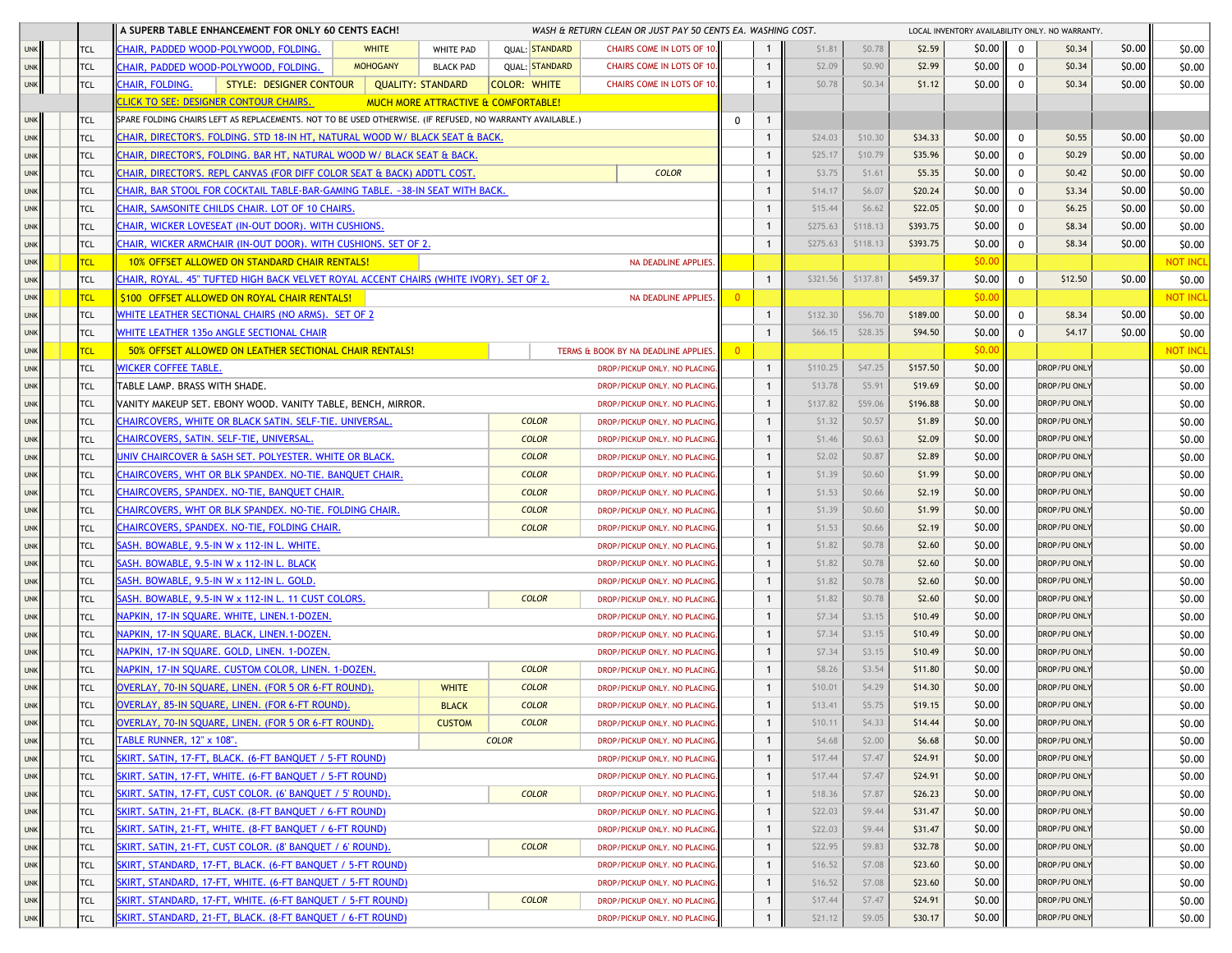|            |            | A SUPERB TABLE ENHANCEMENT FOR ONLY 60 CENTS EACH!                                                        |                               |                          |                                     | WASH & RETURN CLEAN OR JUST PAY 50 CENTS EA. WASHING COST. |                |                |          |          |              |        |                     | LOCAL INVENTORY AVAILABILITY ONLY. NO WARRANTY. |        |                 |
|------------|------------|-----------------------------------------------------------------------------------------------------------|-------------------------------|--------------------------|-------------------------------------|------------------------------------------------------------|----------------|----------------|----------|----------|--------------|--------|---------------------|-------------------------------------------------|--------|-----------------|
| <b>UNK</b> | <b>TCL</b> | CHAIR, PADDED WOOD-POLYWOOD, FOLDING.                                                                     | <b>WHITE</b>                  | <b>WHITE PAD</b>         | <b>QUAL: STANDARD</b>               | CHAIRS COME IN LOTS OF 10.                                 |                |                | \$1.81   | \$0.78   | \$2.59       | \$0.00 | $\mathbf 0$         | \$0.34                                          | \$0.00 | \$0.00          |
| <b>UNK</b> | TCL        | CHAIR, PADDED WOOD-POLYWOOD, FOLDING.                                                                     | <b>MOHOGANY</b>               | <b>BLACK PAD</b>         | <b>QUAL: STANDARD</b>               | CHAIRS COME IN LOTS OF 10.                                 |                | $\mathbf{1}$   | \$2.09   | \$0.90   | \$2.99       | \$0.00 | $\mathbf 0$         | \$0.34                                          | \$0.00 | \$0.00          |
| <b>UNK</b> | TCL        | CHAIR, FOLDING.<br>STYLE: DESIGNER CONTOUR                                                                |                               | <b>QUALITY: STANDARD</b> | <b>COLOR: WHITE</b>                 | CHAIRS COME IN LOTS OF 10.                                 |                | $\overline{1}$ | \$0.78   | \$0.34   | \$1.12       | \$0.00 | $\mathbf 0$         | \$0.34                                          | \$0.00 | \$0.00          |
|            |            | <b>CLICK TO SEE: DESIGNER CONTOUR CHAIRS.</b>                                                             |                               |                          | MUCH MORE ATTRACTIVE & COMFORTABLE! |                                                            |                |                |          |          |              |        |                     |                                                 |        |                 |
| <b>UNK</b> | TCL        | SPARE FOLDING CHAIRS LEFT AS REPLACEMENTS. NOT TO BE USED OTHERWISE. (IF REFUSED, NO WARRANTY AVAILABLE.) |                               |                          |                                     |                                                            | 0              | $\mathbf{1}$   |          |          |              |        |                     |                                                 |        |                 |
| <b>UNK</b> | <b>TCL</b> | CHAIR, DIRECTOR'S. FOLDING. STD 18-IN HT, NATURAL WOOD W/ BLACK SEAT & BACK.                              |                               |                          |                                     |                                                            |                | -1             | \$24.03  | \$10.30  | \$34.33      | \$0.00 | $\mathbf 0$         | \$0.55                                          | \$0.00 | \$0.00          |
| <b>UNK</b> | <b>TCL</b> | CHAIR, DIRECTOR'S, FOLDING. BAR HT, NATURAL WOOD W/ BLACK SEAT & BACK.                                    |                               |                          |                                     |                                                            |                | $\mathbf{1}$   | \$25.17  | \$10.79  | \$35.96      | \$0.00 | $\mathbf 0$         | \$0.29                                          | \$0.00 | \$0.00          |
| <b>UNK</b> | TCL        | <b>EHAIR, DIRECTOR'S. REPL CANVAS (FOR DIFF COLOR SEAT &amp; BACK) ADDT'L COST.</b>                       |                               |                          |                                     | <b>COLOR</b>                                               |                | $\mathbf{1}$   | \$3.75   | \$1.61   | \$5.35       | \$0.00 | $\mathbf 0$         | \$0.42                                          | \$0.00 | \$0.00          |
| <b>UNK</b> | TCL        | HAIR, BAR STOOL FOR COCKTAIL TABLE-BAR-GAMING TABLE. ~38-IN SEAT WITH BACK.                               |                               |                          |                                     |                                                            |                | $\mathbf{1}$   | \$14.17  | \$6.07   | \$20.24      | \$0.00 | $\mathbf 0$         | \$3.34                                          | \$0.00 | \$0.00          |
| <b>UNK</b> | TCL        | <b>CHAIR, SAMSONITE CHILDS CHAIR. LOT OF 10 CHAIRS.</b>                                                   |                               |                          |                                     |                                                            |                |                | \$15.44  | \$6.62   | \$22.05      | \$0.00 | $\mathbf 0$         | \$6.25                                          | \$0.00 | \$0.00          |
| <b>UNK</b> | <b>TCL</b> | CHAIR, WICKER LOVESEAT (IN-OUT DOOR). WITH CUSHIONS.                                                      |                               |                          |                                     |                                                            |                |                | \$275.63 | \$118.13 | \$393.75     | \$0.00 | $\mathbf 0$         | \$8.34                                          | \$0.00 | \$0.00          |
| <b>UNK</b> | <b>TCL</b> | CHAIR, WICKER ARMCHAIR (IN-OUT DOOR), WITH CUSHIONS, SET OF 2.                                            |                               |                          |                                     |                                                            |                | $\mathbf{1}$   | \$275.63 | \$118.13 | \$393.75     | \$0.00 | $\mathbf 0$         | \$8.34                                          | \$0.00 | \$0.00          |
| <b>UNK</b> | <b>TCL</b> | 10% OFFSET ALLOWED ON STANDARD CHAIR RENTALS!                                                             |                               |                          |                                     | NA DEADLINE APPLIES.                                       |                |                |          |          |              | \$0.00 |                     |                                                 |        | <b>NOT INCL</b> |
| <b>UNK</b> | <b>TCL</b> | HAIR, ROYAL. 45" TUFTED HIGH BACK VELVET ROYAL ACCENT CHAIRS (WHITE IVORY). SET OF 2.                     |                               |                          |                                     |                                                            |                | $\mathbf{1}$   | \$321.56 | \$137.81 | \$459.37     | \$0.00 | $\mathbf 0$         | \$12.50                                         | \$0.00 | \$0.00          |
| <b>UNK</b> | TCL        | \$100 OFFSET ALLOWED ON ROYAL CHAIR RENTALS!                                                              |                               |                          |                                     | <b>NA DEADLINE APPLIES</b>                                 | $\overline{0}$ |                |          |          |              | \$0.00 |                     |                                                 |        | <b>NOT INCL</b> |
| <b>UNK</b> | <b>TCL</b> | WHITE LEATHER SECTIONAL CHAIRS (NO ARMS). SET OF 2                                                        |                               |                          |                                     |                                                            |                | $\mathbf{1}$   | \$132.30 | \$56.70  | \$189.00     | \$0.00 | $\mathbf 0$         | \$8.34                                          | \$0.00 | \$0.00          |
| <b>UNK</b> | <b>TCL</b> | WHITE LEATHER 135º ANGLE SECTIONAL CHAIR                                                                  |                               |                          |                                     |                                                            |                |                | \$66.15  | \$28.35  | \$94.50      | \$0.00 | $\mathbf 0$         | \$4.17                                          | \$0.00 | \$0.00          |
| <b>UNK</b> | <b>TCL</b> | 50% OFFSET ALLOWED ON LEATHER SECTIONAL CHAIR RENTALS!                                                    |                               |                          |                                     | TERMS & BOOK BY NA DEADLINE APPLIES.                       | $\overline{0}$ |                |          |          |              | \$0.00 |                     |                                                 |        | <b>NOT INCL</b> |
| <b>UNK</b> | TCL        | <b><i>NICKER COFFEE TABLE.</i></b>                                                                        |                               |                          |                                     | DROP/PICKUP ONLY, NO PLACING                               |                | $\mathbf{1}$   | \$110.25 | \$47.25  | \$157.50     | \$0.00 |                     | DROP/PU ONL'                                    |        | \$0.00          |
| <b>UNK</b> | TCL        | TABLE LAMP. BRASS WITH SHADE.                                                                             |                               |                          |                                     | DROP/PICKUP ONLY. NO PLACING                               |                | $\mathbf{1}$   | \$13.78  | \$5.91   | \$19.69      | \$0.00 |                     | DROP/PU ONL'                                    |        | \$0.00          |
| <b>UNK</b> | <b>TCL</b> | VANITY MAKEUP SET. EBONY WOOD, VANITY TABLE, BENCH, MIRROR,                                               |                               |                          |                                     | DROP/PICKUP ONLY. NO PLACING                               |                |                | \$137.82 | \$59.06  | \$196.88     | \$0.00 |                     | DROP/PU ONLY                                    |        | \$0.00          |
| <b>UNK</b> | TCL        | CHAIRCOVERS, WHITE OR BLACK SATIN, SELF-TIE, UNIVERSAL.                                                   |                               |                          | <b>COLOR</b>                        | DROP/PICKUP ONLY, NO PLACING                               |                | $\mathbf{1}$   | \$1.32   | \$0.57   | \$1.89       | \$0.00 |                     | DROP/PU ONLY                                    |        | \$0.00          |
| <b>UNK</b> | <b>TCL</b> | CHAIRCOVERS, SATIN. SELF-TIE, UNIVERSAL                                                                   |                               |                          | <b>COLOR</b>                        | DROP/PICKUP ONLY. NO PLACING.                              |                | $\mathbf{1}$   | \$1.46   | \$0.63   | \$2.09       | \$0.00 |                     | DROP/PU ONLY                                    |        | \$0.00          |
| <b>UNK</b> | TCL        | JNIV CHAIRCOVER & SASH SET. POLYESTER. WHITE OR BLACK.                                                    |                               |                          | <b>COLOR</b>                        | DROP/PICKUP ONLY. NO PLACING.                              |                | $\mathbf{1}$   | \$2.02   | \$0.87   | \$2.89       | \$0.00 |                     | DROP/PU ONL'                                    |        | \$0.00          |
| <b>UNK</b> | <b>TCL</b> | CHAIRCOVERS, WHT OR BLK SPANDEX. NO-TIE. BANQUET CHAIR.                                                   |                               |                          | <b>COLOR</b>                        | DROP/PICKUP ONLY. NO PLACING                               |                | $\mathbf{1}$   | \$1.39   | \$0.60   | \$1.99       | \$0.00 |                     | DROP/PU ONL'                                    |        | \$0.00          |
| <b>UNK</b> | <b>TCL</b> | CHAIRCOVERS, SPANDEX. NO-TIE, BANQUET CHAIR                                                               |                               |                          | <b>COLOR</b>                        | DROP/PICKUP ONLY. NO PLACING                               |                |                | \$1.53   | \$0.66   | \$2.19       | \$0.00 |                     | DROP/PU ONL'                                    |        | \$0.00          |
| <b>UNK</b> | <b>TCL</b> | CHAIRCOVERS, WHT OR BLK SPANDEX. NO-TIE. FOLDING CHAIR.                                                   |                               |                          | <b>COLOR</b>                        | DROP/PICKUP ONLY, NO PLACING.                              |                |                | \$1.39   | \$0.60   | \$1.99       | \$0.00 |                     | DROP/PU ONLY                                    |        | \$0.00          |
| <b>UNK</b> | TCL        | CHAIRCOVERS, SPANDEX, NO-TIE, FOLDING CHAIR.                                                              |                               |                          | <b>COLOR</b>                        | DROP/PICKUP ONLY. NO PLACING.                              |                | $\mathbf{1}$   | \$1.53   | \$0.66   | \$2.19       | \$0.00 |                     | DROP/PU ONLY                                    |        | \$0.00          |
| <b>UNK</b> | TCL        | SASH. BOWABLE, 9.5-IN W x 112-IN L. WHITE.                                                                |                               |                          |                                     | DROP/PICKUP ONLY. NO PLACING.                              |                | $\mathbf{1}$   | \$1.82   | \$0.78   | \$2.60       | \$0.00 |                     | DROP/PU ONL'                                    |        | \$0.00          |
| <b>UNK</b> | TCL        | SASH. BOWABLE, 9.5-IN W x 112-IN L. BLACK                                                                 |                               |                          |                                     | DROP/PICKUP ONLY. NO PLACING                               |                |                | \$1.82   | \$0.78   | \$2.60       | \$0.00 |                     | DROP/PU ONL'                                    |        | \$0.00          |
| <b>UNK</b> | <b>TCL</b> | SASH. BOWABLE, 9.5-IN W x 112-IN L. GOLD.                                                                 |                               |                          |                                     | DROP/PICKUP ONLY. NO PLACING                               |                |                | \$1.82   | \$0.78   | \$2.60       | \$0.00 |                     | DROP/PU ONLY                                    |        | \$0.00          |
| <b>UNK</b> | <b>TCL</b> | SASH. BOWABLE, 9.5-IN W x 112-IN L. 11 CUST COLORS.                                                       |                               |                          | <b>COLOR</b>                        | DROP/PICKUP ONLY. NO PLACING                               |                | $\mathbf{1}$   | \$1.82   | \$0.78   | \$2.60       | \$0.00 |                     | DROP/PU ONLY                                    |        | \$0.00          |
| <b>UNK</b> | TCL        | NAPKIN, 17-IN SQUARE. WHITE, LINEN.1-DOZEN.                                                               |                               |                          |                                     | DROP/PICKUP ONLY. NO PLACING.                              |                | $\mathbf{1}$   | \$7.34   | \$3.15   | \$10.49      | \$0.00 |                     | DROP/PU ONLY                                    |        | \$0.00          |
| <b>UNK</b> | TCL        | VAPKIN, 17-IN SQUARE. BLACK, LINEN.1-DOZEN.                                                               |                               |                          |                                     | DROP/PICKUP ONLY. NO PLACING.                              |                | $\mathbf{1}$   | \$7.34   | \$3.15   | \$10.49      | \$0.00 |                     | DROP/PU ONL'                                    |        | \$0.00          |
| <b>UNK</b> | TCL        | VAPKIN, 17-IN SQUARE. GOLD, LINEN. 1-DOZEN.                                                               |                               |                          |                                     | DROP/PICKUP ONLY. NO PLACING                               |                | $\mathbf{1}$   | \$7.34   | \$3.15   | \$10.49      | \$0.00 |                     | DROP/PU ONL'                                    |        | \$0.00          |
| <b>UNK</b> | <b>TCL</b> | NAPKIN, 17-IN SQUARE. CUSTOM COLOR, LINEN. 1-DOZEN.                                                       |                               |                          | <b>COLOR</b>                        | DROP/PICKUP ONLY. NO PLACING                               |                |                | \$8.26   | \$3.54   | \$11.80      | \$0.00 |                     | DROP/PU ONL'                                    |        | \$0.00          |
| <b>UNK</b> | <b>TCL</b> | OVERLAY, 70-IN SQUARE, LINEN. (FOR 5 OR 6-FT ROUND).                                                      |                               | <b>WHITE</b>             | <b>COLOR</b>                        | DROP/PICKUP ONLY. NO PLACING.                              |                |                | \$10.01  | \$4.29   | \$14.30      | \$0.00 |                     | DROP/PU ONL'                                    |        | \$0.00          |
| <b>UNK</b> | TCL        | OVERLAY, 85-IN SQUARE, LINEN. (FOR 6-FT ROUND).                                                           |                               | <b>BLACK</b>             | <b>COLOR</b>                        | DROP/PICKUP ONLY. NO PLACING.                              |                | $\overline{1}$ | \$13.41  | \$5.75   | \$19.15      | \$0.00 |                     | <b>DROP/PU ONLY</b>                             |        | \$0.00          |
| <b>UNK</b> | TCL        | OVERLAY, 70-IN SQUARE, LINEN. (FOR 5 OR 6-FT ROUND).                                                      |                               | <b>CUSTOM</b>            | <b>COLOR</b>                        | DROP/PICKUP ONLY. NO PLACING.                              |                | $\overline{1}$ | \$10.11  | \$4.33   | \$14.44      | \$0.00 |                     | <b>DROP/PU ONLY</b>                             |        | \$0.00          |
| <b>UNK</b> | TCL        | <u> FABLE RUNNER, 12" x 108".</u>                                                                         |                               |                          | <b>COLOR</b>                        | DROP/PICKUP ONLY. NO PLACING.                              |                | $\mathbf{1}$   | \$4.68   | \$2.00   | \$6.68       | \$0.00 |                     | DROP/PU ONLY                                    |        | \$0.00          |
| <b>UNK</b> | TCL        | SKIRT. SATIN, 17-FT, BLACK. (6-FT BANQUET / 5-FT ROUND)                                                   |                               |                          |                                     | DROP/PICKUP ONLY. NO PLACING                               |                |                | \$17.44  | \$7.47   | \$24.91      | \$0.00 |                     | <b>DROP/PU ONLY</b>                             |        | \$0.00          |
| <b>UNK</b> | TCL        | SKIRT. SATIN, 17-FT, WHITE. (6-FT BANQUET / 5-FT ROUND)                                                   | DROP/PICKUP ONLY. NO PLACING. |                          | $\mathbf{1}$                        | \$17.44                                                    | \$7.47         | \$24.91        | \$0.00   |          | DROP/PU ONLY |        | \$0.00              |                                                 |        |                 |
| <b>UNK</b> | TCL        | SKIRT. SATIN, 17-FT, CUST COLOR. (6' BANQUET / 5' ROUND).                                                 |                               |                          | <b>COLOR</b>                        | DROP/PICKUP ONLY. NO PLACING.                              |                | $\mathbf{1}$   | \$18.36  | \$7.87   | \$26.23      | \$0.00 |                     | DROP/PU ONLY                                    |        | \$0.00          |
| <b>UNK</b> | <b>TCL</b> | SKIRT. SATIN, 21-FT, BLACK. (8-FT BANQUET / 6-FT ROUND)                                                   |                               |                          |                                     | DROP/PICKUP ONLY. NO PLACING.                              |                | $\overline{1}$ | \$22.03  | \$9.44   | \$31.47      | \$0.00 |                     | DROP/PU ONLY                                    |        | \$0.00          |
| <b>UNK</b> | <b>TCL</b> | SKIRT. SATIN, 21-FT, WHITE. (8-FT BANQUET / 6-FT ROUND)                                                   |                               |                          |                                     | DROP/PICKUP ONLY. NO PLACING.                              |                | $\overline{1}$ | \$22.03  | \$9.44   | \$31.47      | \$0.00 |                     | DROP/PU ONLY                                    |        | \$0.00          |
| <b>UNK</b> | <b>TCL</b> | SKIRT. SATIN, 21-FT, CUST COLOR. (8' BANQUET / 6' ROUND).                                                 |                               |                          | <b>COLOR</b>                        | DROP/PICKUP ONLY. NO PLACING.                              |                | -1             | \$22.95  | \$9.83   | \$32.78      | \$0.00 |                     | <b>DROP/PU ONLY</b>                             |        | \$0.00          |
| <b>UNK</b> | <b>TCL</b> | SKIRT, STANDARD, 17-FT, BLACK. (6-FT BANQUET / 5-FT ROUND)                                                |                               |                          |                                     | DROP/PICKUP ONLY. NO PLACING.                              |                | $\mathbf{1}$   | \$16.52  | \$7.08   | \$23.60      | \$0.00 |                     | DROP/PU ONLY                                    |        | \$0.00          |
| <b>UNK</b> | TCL        | SKIRT, STANDARD, 17-FT, WHITE. (6-FT BANQUET / 5-FT ROUND)                                                |                               |                          | DROP/PICKUP ONLY. NO PLACING.       |                                                            | $\mathbf{1}$   | \$16.52        | \$7.08   | \$23.60  | \$0.00       |        | <b>DROP/PU ONLY</b> |                                                 | \$0.00 |                 |
| <b>UNK</b> | TCL        | SKIRT. STANDARD, 17-FT, WHITE. (6-FT BANQUET / 5-FT ROUND)                                                |                               |                          | <b>COLOR</b>                        | DROP/PICKUP ONLY. NO PLACING.                              |                | $\mathbf{1}$   | \$17.44  | \$7.47   | \$24.91      | \$0.00 |                     | <b>DROP/PU ONLY</b>                             |        | \$0.00          |
| <b>UNK</b> | TCL        | SKIRT. STANDARD, 21-FT, BLACK. (8-FT BANQUET / 6-FT ROUND)                                                |                               |                          |                                     | DROP/PICKUP ONLY. NO PLACING.                              |                |                | \$21.12  | \$9.05   | \$30.17      | \$0.00 |                     | DROP/PU ONLY                                    |        | \$0.00          |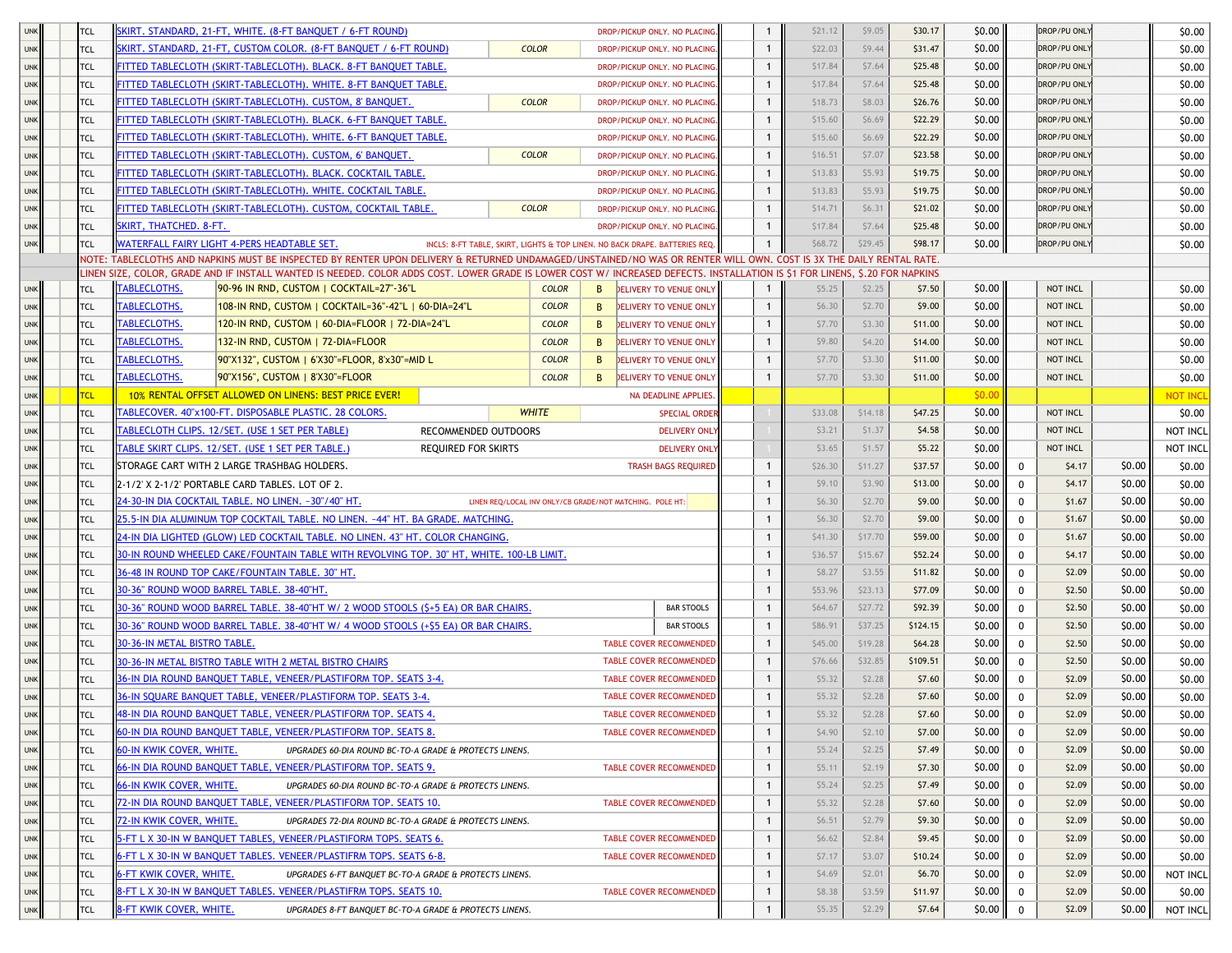| <b>UNK</b> | <b>TCL</b> |                              | SKIRT, STANDARD, 21-FT, WHITE, (8-FT BANOUET / 6-FT ROUND)                                                                                                                   |                                                        |                                |              | DROP/PICKUP ONLY. NO PLACING.                                               | 1              | \$21.12 | \$9.05       | \$30.17     | \$0.00 |              | DROP/PU ONLY        |        | \$0.00          |
|------------|------------|------------------------------|------------------------------------------------------------------------------------------------------------------------------------------------------------------------------|--------------------------------------------------------|--------------------------------|--------------|-----------------------------------------------------------------------------|----------------|---------|--------------|-------------|--------|--------------|---------------------|--------|-----------------|
| <b>UNK</b> | <b>TCL</b> |                              | SKIRT. STANDARD, 21-FT, CUSTOM COLOR. (8-FT BANQUET / 6-FT ROUND)                                                                                                            |                                                        | <b>COLOR</b>                   |              | DROP/PICKUP ONLY. NO PLACING                                                | 1              | \$22.03 | \$9.44       | \$31.47     | \$0.00 |              | <b>DROP/PU ONLY</b> |        | \$0.00          |
| <b>UNK</b> | <b>TCL</b> |                              | FITTED TABLECLOTH (SKIRT-TABLECLOTH). BLACK. 8-FT BANQUET TABLE.                                                                                                             |                                                        |                                |              | DROP/PICKUP ONLY. NO PLACING                                                | $\mathbf{1}$   | \$17.84 | \$7.64       | \$25.48     | \$0.00 |              | <b>DROP/PU ONLY</b> |        | \$0.00          |
| <b>UNK</b> | <b>TCL</b> |                              | FITTED TABLECLOTH (SKIRT-TABLECLOTH). WHITE. 8-FT BANQUET TABLE.                                                                                                             |                                                        |                                |              | DROP/PICKUP ONLY. NO PLACING                                                | $\mathbf{1}$   | \$17.84 | \$7.64       | \$25.48     | \$0.00 |              | DROP/PU ONLY        |        | \$0.00          |
| <b>UNK</b> | <b>TCL</b> |                              | FITTED TABLECLOTH (SKIRT-TABLECLOTH). CUSTOM, 8' BANQUET.                                                                                                                    |                                                        | <b>COLOR</b>                   |              | DROP/PICKUP ONLY. NO PLACING                                                | $\mathbf{1}$   | \$18.73 | \$8.03       | \$26.76     | \$0.00 |              | DROP/PU ONLY        |        | \$0.00          |
| <b>UNK</b> | <b>TCL</b> |                              | FITTED TABLECLOTH (SKIRT-TABLECLOTH). BLACK. 6-FT BANQUET TABLE.                                                                                                             |                                                        |                                |              | DROP/PICKUP ONLY. NO PLACING                                                | $\mathbf{1}$   | \$15.60 | \$6.69       | \$22.29     | \$0.00 |              | DROP/PU ONLY        |        | \$0.00          |
| <b>UNK</b> | <b>TCL</b> |                              | FITTED TABLECLOTH (SKIRT-TABLECLOTH). WHITE. 6-FT BANQUET TABLE.                                                                                                             |                                                        |                                |              | DROP/PICKUP ONLY. NO PLACING                                                | $\mathbf{1}$   | \$15.60 | \$6.69       | \$22.29     | \$0.00 |              | <b>DROP/PU ONLY</b> |        | \$0.00          |
| <b>UNK</b> | <b>TCL</b> |                              | FITTED TABLECLOTH (SKIRT-TABLECLOTH). CUSTOM, 6' BANQUET.                                                                                                                    |                                                        | <b>COLOR</b>                   |              | DROP/PICKUP ONLY. NO PLACING                                                | $\mathbf{1}$   | \$16.51 | \$7.07       | \$23.58     | \$0.00 |              | DROP/PU ONLY        |        | \$0.00          |
| <b>UNK</b> | <b>TCL</b> |                              | FITTED TABLECLOTH (SKIRT-TABLECLOTH). BLACK. COCKTAIL TABLE.                                                                                                                 |                                                        |                                |              | DROP/PICKUP ONLY. NO PLACING                                                | $\mathbf{1}$   | \$13.83 | \$5.93       | \$19.75     | \$0.00 |              | DROP/PU ONLY        |        | \$0.00          |
| <b>UNK</b> | <b>TCL</b> |                              | FITTED TABLECLOTH (SKIRT-TABLECLOTH), WHITE, COCKTAIL TABLE,                                                                                                                 |                                                        |                                |              | DROP/PICKUP ONLY. NO PLACING                                                | $\mathbf{1}$   | \$13.83 | \$5.93       | \$19.75     | \$0.00 |              | DROP/PU ONLY        |        | \$0.00          |
| <b>UNK</b> | <b>TCL</b> |                              | FITTED TABLECLOTH (SKIRT-TABLECLOTH), CUSTOM, COCKTAIL TABLE,                                                                                                                |                                                        | <b>COLOR</b>                   |              | DROP/PICKUP ONLY. NO PLACING.                                               | $\mathbf{1}$   | \$14.71 | \$6.31       | \$21.02     | \$0.00 |              | <b>DROP/PU ONLY</b> |        | \$0.00          |
| <b>UNK</b> | <b>TCL</b> | SKIRT, THATCHED. 8-FT.       |                                                                                                                                                                              |                                                        |                                |              | DROP/PICKUP ONLY, NO PLACING.                                               | $\mathbf{1}$   | \$17.84 | \$7.64       | \$25.48     | \$0.00 |              | DROP/PU ONLY        |        | \$0.00          |
| <b>UNK</b> | <b>TCL</b> |                              | WATERFALL FAIRY LIGHT 4-PERS HEADTABLE SET.                                                                                                                                  |                                                        |                                |              | INCLS: 8-FT TABLE, SKIRT, LIGHTS & TOP LINEN. NO BACK DRAPE. BATTERIES REQ. | $\mathbf{1}$   | \$68.72 | \$29.45      | \$98.17     | \$0.00 |              | DROP/PU ONLY        |        | \$0.00          |
|            |            |                              | NOTE: TABLECLOTHS AND NAPKINS MUST BE INSPECTED BY RENTER UPON DELIVERY & RETURNED UNDAMAGED/UNSTAINED/NO WAS OR RENTER WILL OWN. COST IS 3X THE DAILY RENTAL RATE           |                                                        |                                |              |                                                                             |                |         |              |             |        |              |                     |        |                 |
|            |            |                              | LINEN SIZE, COLOR, GRADE AND IF INSTALL WANTED IS NEEDED. COLOR ADDS COST. LOWER GRADE IS LOWER COST W/ INCREASED DEFECTS. INSTALLATION IS \$1 FOR LINENS, \$.20 FOR NAPKINS |                                                        |                                |              |                                                                             |                |         |              |             |        |              |                     |        |                 |
| <b>UNK</b> | <b>TCL</b> | <b>TABLECLOTHS.</b>          | 90-96 IN RND, CUSTOM   COCKTAIL=27"-36"L                                                                                                                                     |                                                        | <b>COLOR</b>                   | B            | <b>DELIVERY TO VENUE ONLY</b>                                               | $\mathbf{1}$   | \$5.25  | \$2.25       | \$7.50      | \$0.00 |              | NOT INCL            |        | \$0.00          |
| <b>UNK</b> | <b>TCL</b> | ABLECLOTHS.                  | 108-IN RND, CUSTOM   COCKTAIL=36"-42"L   60-DIA=24"L                                                                                                                         |                                                        | <b>COLOR</b>                   | B            | <b>DELIVERY TO VENUE ONLY</b>                                               | $\mathbf{1}$   | \$6.30  | \$2.70       | \$9.00      | \$0.00 |              | NOT INCL            |        | \$0.00          |
| <b>UNK</b> | <b>TCL</b> | <b>TABLECLOTHS.</b>          | 120-IN RND, CUSTOM   60-DIA=FLOOR   72-DIA=24"L                                                                                                                              |                                                        | <b>COLOR</b>                   | B            | DELIVERY TO VENUE ONLY                                                      | $\mathbf{1}$   | \$7.70  | \$3.30       | \$11.00     | \$0.00 |              | NOT INCL            |        | \$0.00          |
| <b>UNK</b> | <b>TCL</b> | <b><i>FABLECLOTHS.</i></b>   | 132-IN RND, CUSTOM   72-DIA=FLOOR                                                                                                                                            |                                                        | <b>COLOR</b>                   | B            | DELIVERY TO VENUE ONLY                                                      | $\mathbf{1}$   | \$9.80  | \$4.20       | \$14.00     | \$0.00 |              | <b>NOT INCL</b>     |        | \$0.00          |
| <b>UNK</b> | <b>TCL</b> | <b><i>FABLECLOTHS.</i></b>   | 90"X132", CUSTOM   6'X30"=FLOOR, 8'x30"=MID L                                                                                                                                |                                                        | <b>COLOR</b>                   | B            | DELIVERY TO VENUE ONLY                                                      | $\mathbf{1}$   | \$7.70  | \$3.30       | \$11.00     | \$0.00 |              | NOT INCL            |        | \$0.00          |
| <b>UNK</b> | <b>TCL</b> | <b>TABLECLOTHS.</b>          | 90"X156", CUSTOM   8'X30"=FLOOR                                                                                                                                              |                                                        | <b>COLOR</b>                   | B            | DELIVERY TO VENUE ONLY                                                      | 1              | \$7.70  | \$3.30       | \$11.00     | \$0.00 |              | NOT INCL            |        | \$0.00          |
| <b>UNK</b> | <b>TCL</b> |                              | 10% RENTAL OFFSET ALLOWED ON LINENS: BEST PRICE EVER!                                                                                                                        |                                                        |                                |              | NA DEADLINE APPLIES.                                                        |                |         |              |             | \$0.00 |              |                     |        | <b>NOT INCI</b> |
| <b>UNK</b> | TCL        |                              | ABLECOVER. 40"x100-FT. DISPOSABLE PLASTIC. 28 COLORS.                                                                                                                        |                                                        | <b>WHITE</b>                   |              | <b>SPECIAL ORDER</b>                                                        |                | \$33.08 | \$14.18      | \$47.25     | \$0.00 |              | NOT INCL            |        | \$0.00          |
| <b>UNK</b> | <b>TCL</b> |                              | ABLECLOTH CLIPS. 12/SET. (USE 1 SET PER TABLE)                                                                                                                               | <b>RECOMMENDED OUTDOORS</b>                            |                                |              | <b>DELIVERY ONL</b>                                                         |                | \$3.21  | \$1.37       | \$4.58      | \$0.00 |              | NOT INCL            |        | NOT INCI        |
| <b>UNK</b> | <b>TCL</b> |                              | <u> FABLE SKIRT CLIPS. 12/SET. (USE 1 SET PER TABLE.)</u>                                                                                                                    | <b>REQUIRED FOR SKIRTS</b>                             |                                |              | <b>DELIVERY ONL</b>                                                         |                | \$3.65  | \$1.57       | \$5.22      | \$0.00 |              | NOT INCL            |        | NOT INCI        |
| <b>UNK</b> | <b>TCL</b> |                              | STORAGE CART WITH 2 LARGE TRASHBAG HOLDERS.                                                                                                                                  |                                                        |                                |              | <b>TRASH BAGS REQUIRED</b>                                                  | $\mathbf{1}$   | \$26.30 | \$11.27      | \$37.57     | \$0.00 | $\mathbf 0$  | \$4.17              | \$0.00 | \$0.00          |
| <b>UNK</b> | <b>TCL</b> |                              | 2-1/2' X 2-1/2' PORTABLE CARD TABLES. LOT OF 2.                                                                                                                              |                                                        |                                |              |                                                                             | $\mathbf{1}$   | \$9.10  | \$3.90       | \$13.00     | \$0.00 | 0            | \$4.17              | \$0.00 | \$0.00          |
| <b>UNK</b> | <b>TCL</b> |                              | 24-30-IN DIA COCKTAIL TABLE. NO LINEN. ~30"/40" HT.                                                                                                                          |                                                        |                                |              | LINEN REQ/LOCAL INV ONLY/CB GRADE/NOT MATCHING. POLE HT:                    | $\mathbf{1}$   | \$6.30  | \$2.70       | \$9.00      | \$0.00 | 0            | \$1.67              | \$0.00 | \$0.00          |
| <b>UNK</b> | <b>TCL</b> |                              | 25.5-IN DIA ALUMINUM TOP COCKTAIL TABLE. NO LINEN. ~44" HT. BA GRADE. MATCHING.                                                                                              |                                                        |                                |              |                                                                             | $\mathbf{1}$   | \$6.30  | \$2.70       | \$9.00      | \$0.00 | 0            | \$1.67              | \$0.00 | \$0.00          |
| <b>UNK</b> | <b>TCL</b> |                              | 24-IN DIA LIGHTED (GLOW) LED COCKTAIL TABLE. NO LINEN. 43" HT. COLOR CHANGING.                                                                                               |                                                        |                                |              |                                                                             | $\mathbf{1}$   | \$41.30 | \$17.70      | \$59.00     | \$0.00 | 0            | \$1.67              | \$0.00 | \$0.00          |
| <b>UNK</b> | <b>TCL</b> |                              | 30-IN ROUND WHEELED CAKE/FOUNTAIN TABLE WITH REVOLVING TOP. 30" HT, WHITE. 100-LB LIMIT.                                                                                     |                                                        |                                |              |                                                                             | $\mathbf{1}$   | \$36.57 | \$15.67      | \$52.24     | \$0.00 | 0            | \$4.17              | \$0.00 | \$0.00          |
| <b>UNK</b> | <b>TCL</b> |                              | 36-48 IN ROUND TOP CAKE/FOUNTAIN TABLE. 30" HT.                                                                                                                              |                                                        |                                |              |                                                                             | $\mathbf{1}$   | \$8.27  | \$3.55       | \$11.82     | \$0.00 | 0            | \$2.09              | \$0.00 | \$0.00          |
| <b>UNK</b> | <b>TCL</b> |                              | 30-36" ROUND WOOD BARREL TABLE. 38-40"HT.                                                                                                                                    |                                                        |                                |              |                                                                             | $\mathbf{1}$   | \$53.96 | \$23.13      | \$77.09     | \$0.00 | $\mathbf 0$  | \$2.50              | \$0.00 | \$0.00          |
| <b>UNK</b> | <b>TCL</b> |                              | 30-36" ROUND WOOD BARREL TABLE. 38-40"HT W/ 2 WOOD STOOLS (\$+5 EA) OR BAR CHAIRS.                                                                                           |                                                        |                                |              | <b>BAR STOOLS</b>                                                           | $\mathbf{1}$   | \$64.67 | \$27.72      | \$92.39     | \$0.00 | $\mathbf 0$  | \$2.50              | \$0.00 | \$0.00          |
| <b>UNK</b> | <b>TCL</b> |                              | 80-36" ROUND WOOD BARREL TABLE. 38-40"HT W/ 4 WOOD STOOLS (+\$5 EA) OR BAR CHAIRS                                                                                            |                                                        |                                |              | <b>BAR STOOLS</b>                                                           | $\mathbf{1}$   | \$86.91 | \$37.25      | \$124.15    | \$0.00 | 0            | \$2.50              | \$0.00 | \$0.00          |
| <b>UNK</b> | <b>TCL</b> | 30-36-IN METAL BISTRO TABLE. |                                                                                                                                                                              |                                                        |                                |              | TABLE COVER RECOMMENDED                                                     | $\mathbf{1}$   | \$45.00 | \$19.28      | \$64.28     | \$0.00 | 0            | \$2.50              | \$0.00 | \$0.00          |
| <b>UNK</b> | <b>TCL</b> |                              | 30-36-IN METAL BISTRO TABLE WITH 2 METAL BISTRO CHAIRS                                                                                                                       |                                                        |                                |              | <b>TABLE COVER RECOMMENDED</b>                                              | $\mathbf{1}$   | \$76.66 | \$32.85      | \$109.51    | \$0.00 | 0            | \$2.50              | \$0.00 | \$0.00          |
| <b>UNK</b> | <b>TCL</b> |                              | 86-IN DIA ROUND BANQUET TABLE, VENEER/PLASTIFORM TOP. SEATS 3-4.                                                                                                             |                                                        |                                |              | <b>TABLE COVER RECOMMENDED</b>                                              | $\mathbf{1}$   | \$5.32  | \$2.28       | \$7.60      | \$0.00 | 0            | \$2.09              | \$0.00 | \$0.00          |
| <b>UNK</b> | <b>TCL</b> |                              | 36-IN SQUARE BANQUET TABLE, VENEER/PLASTIFORM TOP. SEATS 3-4.                                                                                                                |                                                        |                                |              | <b>TABLE COVER RECOMMENDED</b>                                              | $\mathbf{1}$   | \$5.32  | \$2.28       | \$7.60      | \$0.00 | 0            | \$2.09              | \$0.00 | \$0.00          |
| <b>UNK</b> | <b>TCL</b> |                              | 48-IN DIA ROUND BANQUET TABLE, VENEER/PLASTIFORM TOP. SEATS 4.                                                                                                               |                                                        |                                |              | TABLE COVER RECOMMENDED                                                     | $\overline{1}$ | \$5.32  | \$2.28       | \$7.60      | \$0.00 | $\Omega$     | \$2.09              | \$0.00 | \$0.00          |
| <b>UNK</b> | <b>TCL</b> |                              | 60-IN DIA ROUND BANQUET TABLE, VENEER/PLASTIFORM TOP. SEATS 8.                                                                                                               | <b>TABLE COVER RECOMMENDED</b>                         | $\mathbf{1}$                   | \$4.90       | \$2.10                                                                      | \$7.00         | \$0.00  | 0            | \$2.09      | \$0.00 | \$0.00       |                     |        |                 |
| <b>UNK</b> | <b>TCL</b> | 60-IN KWIK COVER, WHITE.     | UPGRADES 60-DIA ROUND BC-TO-A GRADE & PROTECTS LINENS.                                                                                                                       |                                                        | $\mathbf{1}$                   | \$5.24       | \$2.25                                                                      | \$7.49         | \$0.00  | $\mathbf 0$  | \$2.09      | \$0.00 | \$0.00       |                     |        |                 |
| <b>UNK</b> | <b>TCL</b> |                              | 66-IN DIA ROUND BANQUET TABLE, VENEER/PLASTIFORM TOP. SEATS 9.                                                                                                               | <b>TABLE COVER RECOMMENDED</b>                         | $\mathbf{1}$                   | \$5.11       | \$2.19                                                                      | \$7.30         | \$0.00  | 0            | \$2.09      | \$0.00 | \$0.00       |                     |        |                 |
| <b>UNK</b> | <b>TCL</b> | 66-IN KWIK COVER, WHITE.     | UPGRADES 60-DIA ROUND BC-TO-A GRADE & PROTECTS LINENS.                                                                                                                       |                                                        | $\mathbf{1}$                   | \$5.24       | \$2.25                                                                      | \$7.49         | \$0.00  | 0            | \$2.09      | \$0.00 | \$0.00       |                     |        |                 |
| <b>UNK</b> | <b>TCL</b> |                              | 72-IN DIA ROUND BANQUET TABLE, VENEER/PLASTIFORM TOP. SEATS 10.                                                                                                              | <b>TABLE COVER RECOMMENDED</b>                         | $\mathbf{1}$                   | \$5.32       | \$2.28                                                                      | \$7.60         | \$0.00  | $\mathbf 0$  | \$2.09      | \$0.00 | \$0.00       |                     |        |                 |
| <b>UNK</b> | <b>TCL</b> | 72-IN KWIK COVER, WHITE.     | UPGRADES 72-DIA ROUND BC-TO-A GRADE & PROTECTS LINENS.                                                                                                                       |                                                        | $\mathbf{1}$                   | \$6.51       | \$2.79                                                                      | \$9.30         | \$0.00  | $\mathbf 0$  | \$2.09      | \$0.00 | \$0.00       |                     |        |                 |
| <b>UNK</b> | <b>TCL</b> |                              | 5-FT L X 30-IN W BANQUET TABLES, VENEER/PLASTIFORM TOPS. SEATS 6.                                                                                                            | <b>TABLE COVER RECOMMENDED</b>                         | $\mathbf{1}$                   | \$6.62       | \$2.84                                                                      | \$9.45         | \$0.00  | $\mathbf{0}$ | \$2.09      | \$0.00 | \$0.00       |                     |        |                 |
| <b>UNK</b> | <b>TCL</b> |                              | 6-FT L X 30-IN W BANQUET TABLES. VENEER/PLASTIFRM TOPS. SEATS 6-8.                                                                                                           |                                                        | <b>TABLE COVER RECOMMENDED</b> | $\mathbf{1}$ | \$7.17                                                                      | \$3.07         | \$10.24 | \$0.00       | $\mathbf 0$ | \$2.09 | \$0.00       | \$0.00              |        |                 |
| <b>UNK</b> | <b>TCL</b> | 6-FT KWIK COVER, WHITE.      |                                                                                                                                                                              | UPGRADES 6-FT BANQUET BC-TO-A GRADE & PROTECTS LINENS. |                                |              |                                                                             | $\mathbf{1}$   | \$4.69  | \$2.01       | \$6.70      | \$0.00 | $\mathbf 0$  | \$2.09              | \$0.00 | NOT INCL        |
| <b>UNK</b> | <b>TCL</b> |                              | 8-FT L X 30-IN W BANQUET TABLES. VENEER/PLASTIFRM TOPS. SEATS 10.                                                                                                            |                                                        |                                |              | <b>TABLE COVER RECOMMENDED</b>                                              | $\mathbf{1}$   | \$8.38  | \$3.59       | \$11.97     | \$0.00 | $\mathbf 0$  | \$2.09              | \$0.00 | \$0.00          |
| <b>UNK</b> | TCL        | 8-FT KWIK COVER, WHITE.      |                                                                                                                                                                              | UPGRADES 8-FT BANQUET BC-TO-A GRADE & PROTECTS LINENS. |                                |              |                                                                             | $\mathbf{1}$   | \$5.35  | \$2.29       | \$7.64      | \$0.00 | $\mathbf{0}$ | \$2.09              | \$0.00 | NOT INCL        |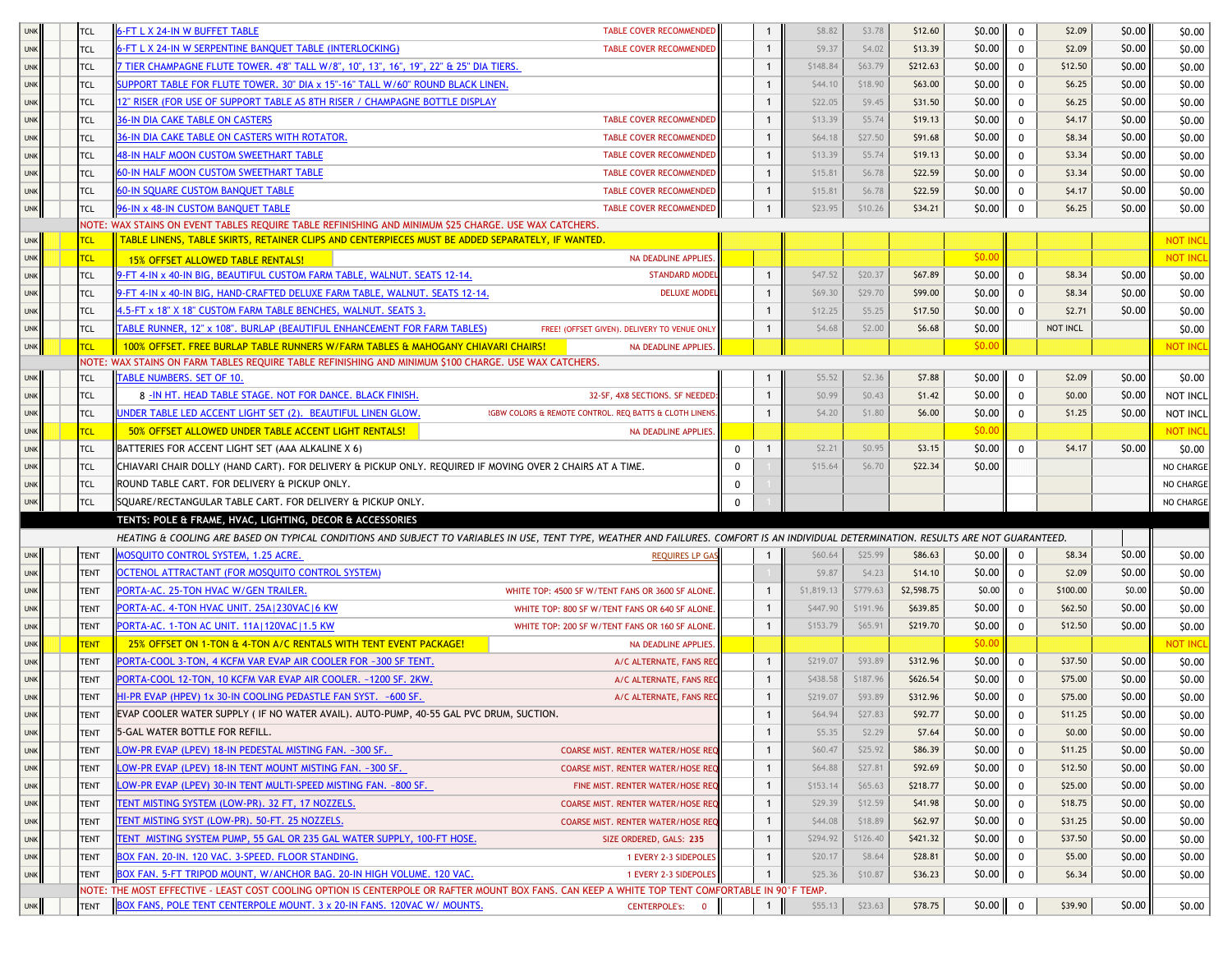| <b>UNK</b> | <b>TCL</b>  | <b>S-FT L X 24-IN W BUFFET TABLE</b><br><b>TABLE COVER RECOMMENDED</b>                                                                                                                  |          |              | \$8.82     | \$3.78   | \$12.60    | \$0.00 | $\mathbf{0}$ | \$2.09   | \$0.00 | \$0.00          |
|------------|-------------|-----------------------------------------------------------------------------------------------------------------------------------------------------------------------------------------|----------|--------------|------------|----------|------------|--------|--------------|----------|--------|-----------------|
| <b>UNK</b> | <b>TCL</b>  | 5-FT L X 24-IN W SERPENTINE BANQUET TABLE (INTERLOCKING)<br><b>TABLE COVER RECOMMENDED</b>                                                                                              |          | $\mathbf{1}$ | \$9.37     | \$4.02   | \$13.39    | \$0.00 | $^{\circ}$   | \$2.09   | \$0.00 | \$0.00          |
|            |             |                                                                                                                                                                                         |          |              |            |          |            |        |              |          |        |                 |
| <b>UNK</b> | <b>TCL</b>  | TIER CHAMPAGNE FLUTE TOWER. 4'8" TALL W/8", 10", 13", 16", 19", 22" & 25" DIA TIERS.                                                                                                    |          | $\mathbf{1}$ | \$148.84   | \$63.79  | \$212.63   | \$0.00 | $\mathbf 0$  | \$12.50  | \$0.00 | \$0.00          |
| <b>UNK</b> | TCL         | $\overline{\text{SUPPORT}}$ TABLE FOR FLUTE TOWER. 30" DIA x 15"-16" TALL W/60" ROUND BLACK LINEN.                                                                                      |          | $\mathbf{1}$ | \$44.10    | \$18.90  | \$63.00    | \$0.00 | $\mathbf 0$  | \$6.25   | \$0.00 | \$0.00          |
| <b>UNK</b> | <b>TCL</b>  | 2" RISER (FOR USE OF SUPPORT TABLE AS 8TH RISER / CHAMPAGNE BOTTLE DISPLAY                                                                                                              |          |              | \$22.05    | \$9.45   | \$31.50    | \$0.00 | 0            | \$6.25   | \$0.00 | \$0.00          |
| <b>UNK</b> | <b>TCL</b>  | <b>36-IN DIA CAKE TABLE ON CASTERS</b><br><b>TABLE COVER RECOMMENDED</b>                                                                                                                |          | $\mathbf{1}$ | \$13.39    | \$5.74   | \$19.13    | \$0.00 | $\mathbf 0$  | \$4.17   | \$0.00 | \$0.00          |
| <b>UNK</b> | <b>TCL</b>  | <b>36-IN DIA CAKE TABLE ON CASTERS WITH ROTATOR.</b><br>TABLE COVER RECOMMENDED                                                                                                         |          | $\mathbf{1}$ | \$64.18    | \$27.50  | \$91.68    | \$0.00 | $\mathbf 0$  | \$8.34   | \$0.00 | \$0.00          |
| <b>UNK</b> | <b>TCL</b>  | <b>48-IN HALF MOON CUSTOM SWEETHART TABLE</b><br>TABLE COVER RECOMMENDED                                                                                                                |          | $\mathbf{1}$ | \$13.39    | \$5.74   | \$19.13    | \$0.00 | $\mathbf 0$  | \$3.34   | \$0.00 | \$0.00          |
| <b>UNK</b> | <b>TCL</b>  | 60-IN HALF MOON CUSTOM SWEETHART TABLE<br>TABLE COVER RECOMMENDED                                                                                                                       |          | $\mathbf{1}$ | \$15.81    | \$6.78   | \$22.59    | \$0.00 | $\mathbf 0$  | \$3.34   | \$0.00 | \$0.00          |
| <b>UNK</b> | <b>TCL</b>  | 60-IN SQUARE CUSTOM BANQUET TABLE<br>TABLE COVER RECOMMENDED                                                                                                                            |          | $\mathbf{1}$ | \$15.81    | \$6.78   | \$22.59    | \$0.00 | 0            | \$4.17   | \$0.00 | \$0.00          |
| <b>UNK</b> | <b>TCL</b>  | 96-IN x 48-IN CUSTOM BANQUET TABLE<br>TABLE COVER RECOMMENDED                                                                                                                           |          | $\mathbf{1}$ | \$23.95    | \$10.26  | \$34.21    | \$0.00 | $\mathbf 0$  | \$6.25   | \$0.00 | \$0.00          |
|            |             | NOTE: WAX STAINS ON EVENT TABLES REQUIRE TABLE REFINISHING AND MINIMUM \$25 CHARGE. USE WAX CATCHERS.                                                                                   |          |              |            |          |            |        |              |          |        |                 |
| <b>UNK</b> | <b>TCL</b>  | TABLE LINENS, TABLE SKIRTS, RETAINER CLIPS AND CENTERPIECES MUST BE ADDED SEPARATELY, IF WANTED.                                                                                        |          |              |            |          |            |        |              |          |        | <b>NOT INCL</b> |
| <b>UNK</b> | <b>TCL</b>  | NA DEADLINE APPLIES.<br>15% OFFSET ALLOWED TABLE RENTALS!                                                                                                                               |          |              |            |          |            | \$0.00 |              |          |        | <b>NOT INCI</b> |
| <b>UNK</b> | <b>TCL</b>  | 9-FT 4-IN x 40-IN BIG, BEAUTIFUL CUSTOM FARM TABLE, WALNUT. SEATS 12-14.<br><b>STANDARD MODEL</b>                                                                                       |          | $\mathbf{1}$ | \$47.52    | \$20.37  | \$67.89    | \$0.00 | 0            | \$8.34   | \$0.00 | \$0.00          |
| <b>UNK</b> | <b>TCL</b>  | )-FT 4-IN x 40-IN BIG, HAND-CRAFTED DELUXE FARM TABLE, WALNUT. SEATS 12-14.<br><b>DELUXE MODEI</b>                                                                                      |          | $\mathbf{1}$ | \$69.30    | \$29.70  | \$99.00    | \$0.00 | $\mathbf 0$  | \$8.34   | \$0.00 | \$0.00          |
| <b>UNK</b> | <b>TCL</b>  | 1.5-FT x 18" X 18" CUSTOM FARM TABLE BENCHES, WALNUT. SEATS 3.                                                                                                                          |          | $\mathbf{1}$ | \$12.25    | \$5.25   | \$17.50    | \$0.00 | $\Omega$     | \$2.71   | \$0.00 | \$0.00          |
| <b>UNK</b> | <b>TCL</b>  | ABLE RUNNER, 12" x 108". BURLAP (BEAUTIFUL ENHANCEMENT FOR FARM TABLES)<br>FREE! (OFFSET GIVEN). DELIVERY TO VENUE ONLY                                                                 |          | -1           | \$4.68     | \$2.00   | \$6.68     | \$0.00 |              | NOT INCL |        | \$0.00          |
| <b>UNK</b> | <b>TCL</b>  | 100% OFFSET. FREE BURLAP TABLE RUNNERS W/FARM TABLES & MAHOGANY CHIAVARI CHAIRS!<br>NA DEADLINE APPLIES.                                                                                |          |              |            |          |            | \$0.00 |              |          |        | <b>NOT INC</b>  |
|            |             | NOTE: WAX STAINS ON FARM TABLES REQUIRE TABLE REFINISHING AND MINIMUM \$100 CHARGE. USE WAX CATCHERS.                                                                                   |          |              |            |          |            |        |              |          |        |                 |
| <b>UNK</b> | <b>TCL</b>  | <b>TABLE NUMBERS. SET OF 10.</b>                                                                                                                                                        |          |              | \$5.52     | \$2.36   | \$7.88     | \$0.00 | 0            | \$2.09   | \$0.00 | \$0.00          |
| <b>UNK</b> | <b>TCL</b>  | 8 - IN HT. HEAD TABLE STAGE. NOT FOR DANCE. BLACK FINISH.<br>32-SF, 4X8 SECTIONS. SF NEEDED                                                                                             |          | $\mathbf{1}$ | \$0.99     | \$0.43   | \$1.42     | \$0.00 | $\mathbf 0$  | \$0.00   | \$0.00 | NOT INCL        |
| <b>UNK</b> | TCL         | UNDER TABLE LED ACCENT LIGHT SET (2). BEAUTIFUL LINEN GLOW.<br><b>RGBW COLORS &amp; REMOTE CONTROL. REQ BATTS &amp; CLOTH LINENS</b>                                                    |          | $\mathbf{1}$ | \$4.20     | \$1.80   | \$6.00     | \$0.00 | $\mathbf 0$  | \$1.25   | \$0.00 | NOT INCL        |
| <b>UNK</b> | <b>TCL</b>  | 50% OFFSET ALLOWED UNDER TABLE ACCENT LIGHT RENTALS!<br>NA DEADLINE APPLIES.                                                                                                            |          |              |            |          |            | \$0.00 |              |          |        | <b>NOT INCL</b> |
| <b>UNK</b> | <b>TCL</b>  | BATTERIES FOR ACCENT LIGHT SET (AAA ALKALINE X 6)                                                                                                                                       | 0        | -1           | \$2.21     | \$0.95   | \$3.15     | \$0.00 | $\mathbf 0$  | \$4.17   | \$0.00 | \$0.00          |
| <b>UNK</b> | <b>TCL</b>  | CHIAVARI CHAIR DOLLY (HAND CART). FOR DELIVERY & PICKUP ONLY. REQUIRED IF MOVING OVER 2 CHAIRS AT A TIME.                                                                               | $\Omega$ |              | \$15.64    | \$6.70   | \$22.34    | \$0.00 |              |          |        | NO CHARGE       |
| <b>UNK</b> | <b>TCL</b>  | ROUND TABLE CART. FOR DELIVERY & PICKUP ONLY.                                                                                                                                           | $\Omega$ |              |            |          |            |        |              |          |        | NO CHARGE       |
| <b>UNK</b> | <b>TCL</b>  | SQUARE/RECTANGULAR TABLE CART. FOR DELIVERY & PICKUP ONLY.                                                                                                                              | $\Omega$ |              |            |          |            |        |              |          |        | NO CHARGE       |
|            |             | TENTS: POLE & FRAME, HVAC, LIGHTING, DECOR & ACCESSORIES                                                                                                                                |          |              |            |          |            |        |              |          |        |                 |
|            |             | HEATING & COOLING ARE BASED ON TYPICAL CONDITIONS AND SUBJECT TO VARIABLES IN USE, TENT TYPE, WEATHER AND FAILURES. COMFORT IS AN INDIVIDUAL DETERMINATION. RESULTS ARE NOT GUARANTEED. |          |              |            |          |            |        |              |          |        |                 |
| <b>UNK</b> | <b>TENT</b> | MOSQUITO CONTROL SYSTEM, 1.25 ACRE.<br><b>REQUIRES LP GAS</b>                                                                                                                           |          |              | \$60.64    | \$25.99  | \$86.63    | \$0.00 | $\mathbf 0$  | \$8.34   | \$0.00 | \$0.00          |
| <b>UNK</b> | <b>TENT</b> | OCTENOL ATTRACTANT (FOR MOSQUITO CONTROL SYSTEM)                                                                                                                                        |          |              | \$9.87     | \$4.23   | \$14.10    | \$0.00 | $\mathbf 0$  | \$2.09   | \$0.00 | \$0.00          |
| <b>UNK</b> | <b>TENT</b> | PORTA-AC. 25-TON HVAC W/GEN TRAILER<br>WHITE TOP: 4500 SF W/TENT FANS OR 3600 SF ALONE                                                                                                  |          | -1           | \$1,819.13 | \$779.63 | \$2,598.75 | \$0.00 | $\mathbf 0$  | \$100.00 | \$0.00 | \$0.00          |
|            | <b>TENT</b> | PORTA-AC. 4-TON HVAC UNIT. 25A   230VAC   6 KW                                                                                                                                          |          | $\mathbf{1}$ | \$447.90   | \$191.96 | \$639.85   | \$0.00 | $\mathbf 0$  | \$62.50  | \$0.00 |                 |
| <b>UNK</b> |             | WHITE TOP: 800 SF W/TENT FANS OR 640 SF ALONE.                                                                                                                                          |          |              |            |          |            |        |              |          | \$0.00 | \$0.00          |
| <b>UNK</b> | <b>TENT</b> | PORTA-AC. 1-TON AC UNIT. 11A   120VAC   1.5 KW<br>WHITE TOP: 200 SF W/TENT FANS OR 160 SF ALONE.                                                                                        |          | $\mathbf{1}$ | \$153.79   | \$65.91  | \$219.70   | \$0.00 | 0            | \$12.50  |        | \$0.00          |
| <b>UNK</b> | <b>TENT</b> | 25% OFFSET ON 1-TON & 4-TON A/C RENTALS WITH TENT EVENT PACKAGE!<br><b>NA DEADLINE APPLIES</b>                                                                                          |          |              |            |          |            | \$0.00 |              |          |        | <b>NOT INCI</b> |
| <b>UNK</b> | <b>TENT</b> | PORTA-COOL 3-TON, 4 KCFM VAR EVAP AIR COOLER FOR ~300 SF TENT.<br>A/C ALTERNATE, FANS RE                                                                                                |          | $\mathbf{1}$ | \$219.07   | \$93.89  | \$312.96   | \$0.00 | $\mathbf 0$  | \$37.50  | \$0.00 | \$0.00          |
| <b>UNK</b> | <b>TENT</b> | PORTA-COOL 12-TON, 10 KCFM VAR EVAP AIR COOLER, ~1200 SF, 2KW.<br>A/C ALTERNATE, FANS RE                                                                                                |          | $\mathbf{1}$ | \$438.58   | \$187.96 | \$626.54   | \$0.00 | $\mathbf 0$  | \$75.00  | \$0.00 | \$0.00          |
| <b>UNK</b> | <b>TENT</b> | HI-PR EVAP (HPEV) 1x 30-IN COOLING PEDASTLE FAN SYST. ~600 SF.<br>A/C ALTERNATE, FANS REC                                                                                               |          | $\mathbf{1}$ | \$219.07   | \$93.89  | \$312.96   | \$0.00 | $\mathbf 0$  | \$75.00  | \$0.00 | \$0.00          |
| <b>UNK</b> | <b>TENT</b> | EVAP COOLER WATER SUPPLY (IF NO WATER AVAIL). AUTO-PUMP, 40-55 GAL PVC DRUM, SUCTION.                                                                                                   |          | $\mathbf{1}$ | \$64.94    | \$27.83  | \$92.77    | \$0.00 | $\mathbf 0$  | \$11.25  | \$0.00 | \$0.00          |
| <b>UNK</b> | <b>TENT</b> | 5-GAL WATER BOTTLE FOR REFILL.                                                                                                                                                          |          | $\mathbf{1}$ | \$5.35     | \$2.29   | \$7.64     | \$0.00 | $\mathbf 0$  | \$0.00   | \$0.00 | \$0.00          |
| <b>UNK</b> | <b>TENT</b> | LOW-PR EVAP (LPEV) 18-IN PEDESTAL MISTING FAN. ~300 SF.<br>COARSE MIST. RENTER WATER/HOSE REQ                                                                                           |          | $\mathbf{1}$ | \$60.47    | \$25.92  | \$86.39    | \$0.00 | $\mathbf 0$  | \$11.25  | \$0.00 | \$0.00          |
| <b>UNK</b> | <b>TENT</b> | LOW-PR EVAP (LPEV) 18-IN TENT MOUNT MISTING FAN. ~300 SF.<br>COARSE MIST. RENTER WATER/HOSE REQ                                                                                         |          | $\mathbf{1}$ | \$64.88    | \$27.81  | \$92.69    | \$0.00 | $\mathbf 0$  | \$12.50  | \$0.00 | \$0.00          |
| <b>UNK</b> | <b>TENT</b> | LOW-PR EVAP (LPEV) 30-IN TENT MULTI-SPEED MISTING FAN. ~800 SF.<br>FINE MIST. RENTER WATER/HOSE REQ                                                                                     |          | $\mathbf{1}$ | \$153.14   | \$65.63  | \$218.77   | \$0.00 | $\mathbf 0$  | \$25.00  | \$0.00 | \$0.00          |
| <b>UNK</b> | <b>TENT</b> | TENT MISTING SYSTEM (LOW-PR). 32 FT, 17 NOZZELS.<br>COARSE MIST. RENTER WATER/HOSE REQ                                                                                                  |          | $\mathbf{1}$ | \$29.39    | \$12.59  | \$41.98    | \$0.00 | $^{\circ}$   | \$18.75  | \$0.00 | \$0.00          |
| <b>UNK</b> | <b>TENT</b> | TENT MISTING SYST (LOW-PR). 50-FT. 25 NOZZELS.<br>COARSE MIST. RENTER WATER/HOSE REQ                                                                                                    |          | $\mathbf{1}$ | \$44.08    | \$18.89  | \$62.97    | \$0.00 | $\mathbf 0$  | \$31.25  | \$0.00 | \$0.00          |
| <b>UNK</b> | <b>TENT</b> | TENT MISTING SYSTEM PUMP, 55 GAL OR 235 GAL WATER SUPPLY, 100-FT HOSE.<br>SIZE ORDERED, GALS: 235                                                                                       |          | $\mathbf{1}$ | \$294.92   | \$126.40 | \$421.32   | \$0.00 | $\mathbf 0$  | \$37.50  | \$0.00 | \$0.00          |
| <b>UNK</b> | <b>TENT</b> | BOX FAN. 20-IN. 120 VAC. 3-SPEED. FLOOR STANDING.<br>1 EVERY 2-3 SIDEPOLES                                                                                                              |          | $\mathbf{1}$ | \$20.17    | \$8.64   | \$28.81    | \$0.00 | $\mathbf 0$  | \$5.00   | \$0.00 | \$0.00          |
| <b>UNK</b> | TENT        | BOX FAN. 5-FT TRIPOD MOUNT, W/ANCHOR BAG. 20-IN HIGH VOLUME. 120 VAC.<br>1 EVERY 2-3 SIDEPOLES                                                                                          |          | $\mathbf{1}$ | \$25.36    | \$10.87  | \$36.23    | \$0.00 | $\mathbf 0$  | \$6.34   | \$0.00 | \$0.00          |
|            |             |                                                                                                                                                                                         |          |              |            |          |            |        |              |          |        |                 |
|            |             | NOTE: THE MOST EFFECTIVE - LEAST COST COOLING OPTION IS CENTERPOLE OR RAFTER MOUNT BOX FANS. CAN KEEP A WHITE TOP TENT COMFORTABLE IN 90°F TEMP.                                        |          |              |            |          |            |        |              |          |        |                 |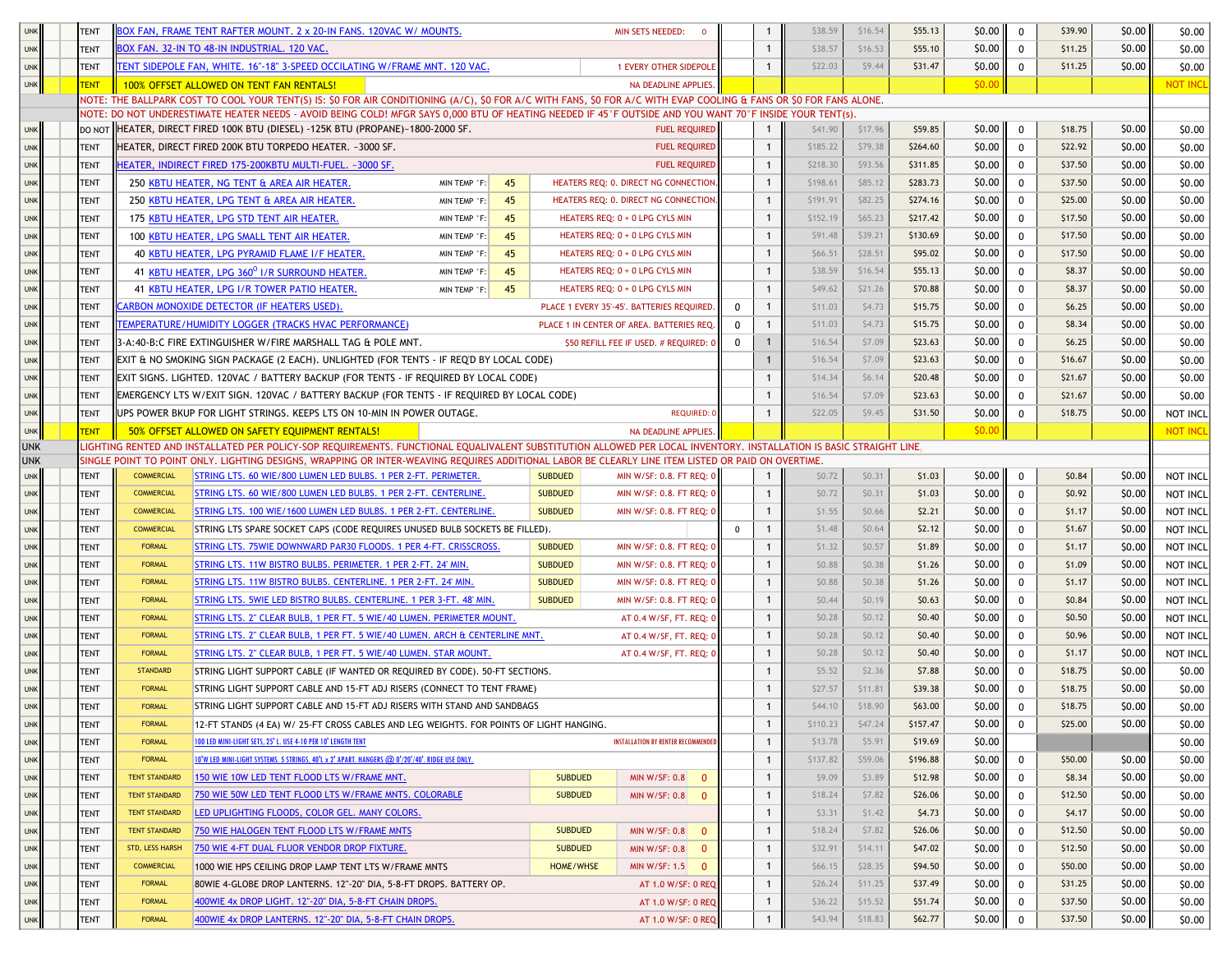|            | <b>TENT</b> |                      | <u> SOX FAN, FRAME TENT RAFTER MOUNT. 2 x 20-IN FANS. 120VAC W/ MOUNTS.</u>                                                                                         |                  | MIN SETS NEEDED:<br>- 0                    |          |              | \$38.59  | \$16.54 | \$55.13  | \$0.00 | $\mathbf 0$ | \$39.90 | \$0.00 | \$0.00          |
|------------|-------------|----------------------|---------------------------------------------------------------------------------------------------------------------------------------------------------------------|------------------|--------------------------------------------|----------|--------------|----------|---------|----------|--------|-------------|---------|--------|-----------------|
| <b>UNK</b> | <b>TENT</b> |                      | BOX FAN. 32-IN TO 48-IN INDUSTRIAL. 120 VAC.                                                                                                                        |                  |                                            |          |              | \$38.57  | \$16.53 | \$55.10  | \$0.00 | 0           | \$11.25 | \$0.00 | \$0.00          |
| <b>UNK</b> | <b>TENT</b> |                      | TENT SIDEPOLE FAN, WHITE. 16"-18" 3-SPEED OCCILATING W/FRAME MNT. 120 VAC.                                                                                          |                  | 1 EVERY OTHER SIDEPOLE                     |          |              | \$22.03  | \$9.44  | \$31.47  | \$0.00 | 0           | \$11.25 | \$0.00 | \$0.00          |
| UNK        | <b>TENT</b> |                      | 100% OFFSET ALLOWED ON TENT FAN RENTALS!                                                                                                                            |                  | NA DEADLINE APPLIES.                       |          |              |          |         |          | \$0.00 |             |         |        | <b>NOT INCL</b> |
|            |             |                      | NOTE: THE BALLPARK COST TO COOL YOUR TENT(S) IS: \$0 FOR AIR CONDITIONING (A/C), \$0 FOR A/C WITH FANS, \$0 FOR A/C WITH EVAP COOLING & FANS OR \$0 FOR FANS ALONE  |                  |                                            |          |              |          |         |          |        |             |         |        |                 |
|            |             |                      | NOTE: DO NOT UNDERESTIMATE HEATER NEEDS - AVOID BEING COLD! MFGR SAYS 0,000 BTU OF HEATING NEEDED IF 45°F OUTSIDE AND YOU WANT 70°F INSIDE YOUR TENT(s)             |                  |                                            |          |              |          |         |          |        |             |         |        |                 |
| <b>UNK</b> |             |                      | DO NOT HEATER, DIRECT FIRED 100K BTU (DIESEL) -125K BTU (PROPANE)~1800-2000 SF.                                                                                     |                  | <b>FUEL REQUIRED</b>                       |          | -1           | \$41.90  | \$17.96 | \$59.85  | \$0.00 | 0           | \$18.75 | \$0.00 | \$0.00          |
| <b>UNK</b> | <b>TENT</b> |                      | HEATER, DIRECT FIRED 200K BTU TORPEDO HEATER. ~3000 SF.                                                                                                             |                  | <b>FUEL REQUIRED</b>                       |          | -1           | \$185.22 | \$79.38 | \$264.60 | \$0.00 | 0           | \$22.92 | \$0.00 | \$0.00          |
| <b>UNK</b> | <b>TENT</b> |                      | IEATER, INDIRECT FIRED 175-200KBTU MULTI-FUEL. ~3000 SF.                                                                                                            |                  | <b>FUEL REQUIRED</b>                       |          |              | \$218.30 | \$93.56 | \$311.85 | \$0.00 | 0           | \$37.50 | \$0.00 | \$0.00          |
| <b>UNK</b> | <b>TENT</b> |                      | 250 KBTU HEATER, NG TENT & AREA AIR HEATER.<br>45<br>MIN TEMP °F:                                                                                                   |                  | HEATERS REQ: 0. DIRECT NG CONNECTION.      |          | $\mathbf{1}$ | \$198.61 | \$85.12 | \$283.73 | \$0.00 | 0           | \$37.50 | \$0.00 | \$0.00          |
| <b>UNK</b> | <b>TENT</b> |                      | 250 KBTU HEATER, LPG TENT & AREA AIR HEATER<br>45<br>MIN TEMP °F:                                                                                                   |                  | HEATERS REQ: 0. DIRECT NG CONNECTION.      |          | $\mathbf{1}$ | \$191.91 | \$82.25 | \$274.16 | \$0.00 | 0           | \$25.00 | \$0.00 | \$0.00          |
| <b>UNK</b> | <b>TENT</b> |                      | 175 KBTU HEATER, LPG STD TENT AIR HEATER.<br>45<br>MIN TEMP °F:                                                                                                     |                  | HEATERS REQ: 0 + 0 LPG CYLS MIN            |          | $\mathbf{1}$ | \$152.19 | \$65.23 | \$217.42 | \$0.00 | $\mathbf 0$ | \$17.50 | \$0.00 | \$0.00          |
| <b>UNK</b> | <b>TENT</b> |                      | 100 KBTU HEATER, LPG SMALL TENT AIR HEATER.<br>45<br>MIN TEMP °F:                                                                                                   |                  | HEATERS REQ: 0 + 0 LPG CYLS MIN            |          | -1           | \$91.48  | \$39.21 | \$130.69 | \$0.00 | 0           | \$17.50 | \$0.00 | \$0.00          |
| <b>UNK</b> | <b>TENT</b> |                      | 40 KBTU HEATER, LPG PYRAMID FLAME I/F HEATER.<br>MIN TEMP °F:<br>45                                                                                                 |                  | HEATERS REQ: 0 + 0 LPG CYLS MIN            |          | -1           | \$66.51  | \$28.51 | \$95.02  | \$0.00 | $\mathbf 0$ | \$17.50 | \$0.00 | \$0.00          |
| <b>UNK</b> | <b>TENT</b> |                      | 41 KBTU HEATER, LPG 360 <sup>0</sup> I/R SURROUND HEATER<br>45<br>MIN TEMP °F:                                                                                      |                  | HEATERS REQ: 0 + 0 LPG CYLS MIN            |          | $\mathbf{1}$ | \$38.59  | \$16.54 | \$55.13  | \$0.00 | $\mathbf 0$ | \$8.37  | \$0.00 | \$0.00          |
| <b>UNK</b> | <b>TENT</b> |                      | 41 KBTU HEATER, LPG I/R TOWER PATIO HEATER.<br>45<br>MIN TEMP °F:                                                                                                   |                  | HEATERS REQ: 0 + 0 LPG CYLS MIN            |          | $\mathbf{1}$ | \$49.62  | \$21.26 | \$70.88  | \$0.00 | $\mathbf 0$ | \$8.37  | \$0.00 | \$0.00          |
| <b>UNK</b> | <b>TENT</b> |                      | ARBON MONOXIDE DETECTOR (IF HEATERS USED).                                                                                                                          |                  | PLACE 1 EVERY 35'-45'. BATTERIES REQUIRED. | 0        | $\mathbf{1}$ | \$11.03  | \$4.73  | \$15.75  | \$0.00 | $\mathbf 0$ | \$6.25  | \$0.00 | \$0.00          |
| <b>UNK</b> | <b>TENT</b> |                      | <b>EMPERATURE/HUMIDITY LOGGER (TRACKS HVAC PERFORMANCE)</b>                                                                                                         |                  | PLACE 1 IN CENTER OF AREA. BATTERIES REQ.  |          |              | \$11.03  | \$4.73  | \$15.75  | \$0.00 | $\mathbf 0$ | \$8.34  | \$0.00 | \$0.00          |
| <b>UNK</b> | <b>TENT</b> |                      | 3-A:40-B:C FIRE EXTINGUISHER W/FIRE MARSHALL TAG & POLE MNT.                                                                                                        |                  | \$50 REFILL FEE IF USED. # REQUIRED: 0     | $\Omega$ |              | \$16.54  | \$7.09  | \$23.63  | \$0.00 | $\mathbf 0$ | \$6.25  | \$0.00 | \$0.00          |
| <b>UNK</b> | <b>TENT</b> |                      | EXIT & NO SMOKING SIGN PACKAGE (2 EACH). UNLIGHTED (FOR TENTS - IF REQ'D BY LOCAL CODE)                                                                             |                  |                                            |          | $\mathbf{1}$ | \$16.54  | \$7.09  | \$23.63  | \$0.00 | $\mathbf 0$ | \$16.67 | \$0.00 | \$0.00          |
| <b>UNK</b> | <b>TENT</b> |                      | EXIT SIGNS. LIGHTED. 120VAC / BATTERY BACKUP (FOR TENTS - IF REQUIRED BY LOCAL CODE)                                                                                |                  |                                            |          | $\mathbf{1}$ | \$14.34  | \$6.14  | \$20.48  | \$0.00 | $\mathbf 0$ | \$21.67 | \$0.00 | \$0.00          |
| <b>UNK</b> | <b>TENT</b> |                      | EMERGENCY LTS W/EXIT SIGN. 120VAC / BATTERY BACKUP (FOR TENTS - IF REQUIRED BY LOCAL CODE)                                                                          |                  |                                            |          |              |          |         |          |        |             | \$21.67 | \$0.00 | \$0.00          |
| <b>UNK</b> | <b>TENT</b> |                      | UPS POWER BKUP FOR LIGHT STRINGS. KEEPS LTS ON 10-MIN IN POWER OUTAGE.                                                                                              |                  | <b>REQUIRED: 0</b>                         |          |              | \$22.05  | \$9.45  | \$31.50  | \$0.00 | $\mathbf 0$ | \$18.75 | \$0.00 | NOT INCL        |
| <b>UNK</b> | <b>TENT</b> |                      | 50% OFFSET ALLOWED ON SAFETY EQUIPMENT RENTALS!                                                                                                                     |                  | NA DEADLINE APPLIES.                       |          |              |          |         |          | \$0.00 |             |         |        | <b>NOT INCL</b> |
| <b>UNK</b> |             |                      | LIGHTING RENTED AND INSTALLATED PER POLICY-SOP REQUIREMENTS. FUNCTIONAL EQUALIVALENT SUBSTITUTION ALLOWED PER LOCAL INVENTORY. INSTALLATION IS BASIC STRAIGHT LINE, |                  |                                            |          |              |          |         |          |        |             |         |        |                 |
| <b>UNK</b> |             |                      | SINGLE POINT TO POINT ONLY. LIGHTING DESIGNS, WRAPPING OR INTER-WEAVING REQUIRES ADDITIONAL LABOR BE CLEARLY LINE ITEM LISTED OR PAID ON OVERTIME.                  |                  |                                            |          |              |          |         |          |        |             |         |        |                 |
| <b>UNK</b> | <b>TENT</b> | <b>COMMERCIAL</b>    | STRING LTS. 60 WIE/800 LUMEN LED BULBS. 1 PER 2-FT. PERIMETER.                                                                                                      | <b>SUBDUED</b>   | MIN W/SF: 0.8. FT REQ: 0                   |          |              | \$0.72   | \$0.31  | \$1.03   | \$0.00 | $\mathbf 0$ | \$0.84  | \$0.00 | NOT INCL        |
| <b>UNK</b> | <b>TENT</b> | <b>COMMERCIAL</b>    | STRING LTS. 60 WIE/800 LUMEN LED BULBS. 1 PER 2-FT. CENTERLINE.                                                                                                     | <b>SUBDUED</b>   | MIN W/SF: 0.8. FT REQ: 0                   |          | $\mathbf{1}$ | \$0.72   | \$0.31  | \$1.03   | \$0.00 | $\mathbf 0$ | \$0.92  | \$0.00 | NOT INCL        |
| <b>UNK</b> | <b>TENT</b> | <b>COMMERCIAL</b>    | STRING LTS. 100 WIE/1600 LUMEN LED BULBS. 1 PER 2-FT. CENTERLINE.                                                                                                   | <b>SUBDUED</b>   | MIN W/SF: 0.8. FT REQ: 0                   |          | $\mathbf{1}$ | \$1.55   | \$0.66  | \$2.21   | \$0.00 | $\mathbf 0$ | \$1.17  | \$0.00 | NOT INCL        |
| <b>UNK</b> | <b>TENT</b> | <b>COMMERCIAL</b>    | STRING LTS SPARE SOCKET CAPS (CODE REQUIRES UNUSED BULB SOCKETS BE FILLED).                                                                                         |                  |                                            |          |              | \$1.48   | \$0.64  | \$2.12   | \$0.00 | $\mathbf 0$ | \$1.67  | \$0.00 | NOT INCL        |
| <b>UNK</b> | <b>TENT</b> | <b>FORMAL</b>        | STRING LTS. 75WIE DOWNWARD PAR30 FLOODS. 1 PER 4-FT. CRISSCROSS.                                                                                                    | <b>SUBDUED</b>   | MIN W/SF: 0.8. FT REQ: 0                   |          |              | \$1.32   | \$0.57  | \$1.89   | \$0.00 | $\mathbf 0$ | \$1.17  | \$0.00 | NOT INCL        |
| <b>UNK</b> | <b>TENT</b> | <b>FORMAL</b>        | STRING LTS. 11W BISTRO BULBS. PERIMETER. 1 PER 2-FT. 24' MIN.                                                                                                       | <b>SUBDUED</b>   | MIN W/SF: 0.8. FT REQ: 0                   |          | $\mathbf{1}$ | \$0.88   | \$0.38  | \$1.26   | \$0.00 | 0           | \$1.09  | \$0.00 | NOT INCL        |
| <b>UNK</b> | <b>TENT</b> | <b>FORMAL</b>        | STRING LTS. 11W BISTRO BULBS. CENTERLINE. 1 PER 2-FT. 24' MIN.                                                                                                      | <b>SUBDUED</b>   | MIN W/SF: 0.8. FT REQ: 0                   |          | $\mathbf{1}$ | \$0.88   | \$0.38  | \$1.26   | \$0.00 | 0           | \$1.17  | \$0.00 | NOT INCL        |
| <b>UNK</b> | <b>TENT</b> | <b>FORMAL</b>        | STRING LTS. 5WIE LED BISTRO BULBS. CENTERLINE. 1 PER 3-FT. 48' MIN.                                                                                                 | <b>SUBDUED</b>   | MIN W/SF: 0.8. FT REQ: 0                   |          | $\mathbf{1}$ | \$0.44   | \$0.19  | \$0.63   | \$0.00 | 0           | \$0.84  | \$0.00 | NOT INCL        |
| <b>UNK</b> | <b>TENT</b> | <b>FORMAL</b>        | STRING LTS. 2" CLEAR BULB, 1 PER FT. 5 WIE/40 LUMEN. PERIMETER MOUNT.                                                                                               |                  | AT 0.4 W/SF, FT. REQ: 0                    |          |              | \$0.28   | \$0.12  | \$0.40   | \$0.00 | 0           | \$0.50  | \$0.00 | NOT INCL        |
| <b>UNK</b> | <b>TENT</b> | <b>FORMAL</b>        | STRING LTS. 2" CLEAR BULB, 1 PER FT. 5 WIE/40 LUMEN. ARCH & CENTERLINE MNT.                                                                                         |                  | AT 0.4 W/SF, FT. REQ: 0                    |          | $\mathbf{1}$ | \$0.28   | \$0.12  | \$0.40   | \$0.00 | 0           | \$0.96  | \$0.00 | NOT INCL        |
| <b>UNK</b> | <b>TENT</b> | <b>FORMAL</b>        | STRING LTS. 2" CLEAR BULB, 1 PER FT. 5 WIE/40 LUMEN. STAR MOUNT.                                                                                                    |                  | AT 0.4 W/SF, FT. REQ: 0                    |          | $\mathbf{1}$ | \$0.28   | \$0.12  | \$0.40   | \$0.00 | 0           | \$1.17  | \$0.00 | NOT INCL        |
| <b>UNK</b> | TENT        | <b>STANDARD</b>      | STRING LIGHT SUPPORT CABLE (IF WANTED OR REQUIRED BY CODE). 50-FT SECTIONS.                                                                                         |                  |                                            |          |              | \$5.52   | \$2.36  | \$7.88   | \$0.00 | $\mathbf 0$ | \$18.75 | \$0.00 | \$0.00          |
| unk        | TENT        | <b>FORMAL</b>        | STRING LIGHT SUPPORT CABLE AND 15-FT ADJ RISERS (CONNECT TO TENT FRAME)                                                                                             |                  |                                            |          |              | \$27.57  | \$11.81 | \$39.38  | \$0.00 | 0           | \$18.75 | \$0.00 | \$0.00          |
| <b>UNK</b> | <b>TENT</b> | <b>FORMAL</b>        | STRING LIGHT SUPPORT CABLE AND 15-FT ADJ RISERS WITH STAND AND SANDBAGS                                                                                             |                  |                                            |          |              | \$44.10  | \$18.90 | \$63.00  | \$0.00 | $\mathbf 0$ | \$18.75 | \$0.00 | \$0.00          |
| <b>UNK</b> | <b>TENT</b> | <b>FORMAL</b>        | 12-FT STANDS (4 EA) W/ 25-FT CROSS CABLES AND LEG WEIGHTS. FOR POINTS OF LIGHT HANGING.                                                                             |                  |                                            |          | $\mathbf{1}$ | \$110.23 | \$47.24 | \$157.47 | \$0.00 | 0           | \$25.00 | \$0.00 | \$0.00          |
| <b>UNK</b> | <b>TENT</b> | <b>FORMAL</b>        | 100 LED MINI-LIGHT SETS, 25' L. USE 4-10 PER 10' LENGTH TENT                                                                                                        |                  | <b>INSTALLATION BY RENTER RECOMMENDED</b>  |          | $\mathbf{1}$ | \$13.78  | \$5.91  | \$19.69  | \$0.00 |             |         |        | \$0.00          |
| <b>UNK</b> | <b>TENT</b> | <b>FORMAL</b>        | 10'W LED MINI-LIGHT SYSTEMS. 5 STRINGS, 40'L x 2' APART. HANGERS @ 0'/20'/40'. RIDGE USE ONLY.                                                                      |                  |                                            |          | $\mathbf{1}$ | \$137.82 | \$59.06 | \$196.88 | \$0.00 | $\mathbf 0$ | \$50.00 | \$0.00 | \$0.00          |
| <b>UNK</b> | <b>TENT</b> | <b>TENT STANDARD</b> | 150 WIE 10W LED TENT FLOOD LTS W/FRAME MNT.                                                                                                                         | <b>SUBDUED</b>   | MIN W/SF: 0.8 0                            |          | $\mathbf{1}$ | \$9.09   | \$3.89  | \$12.98  | \$0.00 | $\mathbf 0$ | \$8.34  | \$0.00 | \$0.00          |
| <b>UNK</b> | <b>TENT</b> | <b>TENT STANDARD</b> | 750 WIE 50W LED TENT FLOOD LTS W/FRAME MNTS. COLORABLE                                                                                                              | <b>SUBDUED</b>   | MIN W/SF: 0.8 0                            |          | $\mathbf{1}$ | \$18.24  | \$7.82  | \$26.06  | \$0.00 | 0           | \$12.50 | \$0.00 | \$0.00          |
| <b>UNK</b> | <b>TENT</b> | <b>TENT STANDARD</b> | LED UPLIGHTING FLOODS, COLOR GEL. MANY COLORS.                                                                                                                      |                  |                                            |          | $\mathbf{1}$ | \$3.31   | \$1.42  | \$4.73   | \$0.00 | $\mathbf 0$ | \$4.17  | \$0.00 | \$0.00          |
| <b>UNK</b> | <b>TENT</b> | <b>TENT STANDARD</b> | 750 WIE HALOGEN TENT FLOOD LTS W/FRAME MNTS                                                                                                                         | <b>SUBDUED</b>   | MIN W/SF: 0.8 0                            |          | $\mathbf{1}$ | \$18.24  | \$7.82  | \$26.06  | \$0.00 | $^{\circ}$  | \$12.50 | \$0.00 | \$0.00          |
| <b>UNK</b> | <b>TENT</b> | STD, LESS HARSH      | 750 WIE 4-FT DUAL FLUOR VENDOR DROP FIXTURE.                                                                                                                        | <b>SUBDUED</b>   | MIN W/SF: 0.8 0                            |          | $\mathbf{1}$ | \$32.91  | \$14.11 | \$47.02  | \$0.00 | $^{\circ}$  | \$12.50 | \$0.00 | \$0.00          |
| <b>UNK</b> | <b>TENT</b> | <b>COMMERCIAL</b>    | 1000 WIE HPS CEILING DROP LAMP TENT LTS W/FRAME MNTS                                                                                                                | <b>HOME/WHSE</b> | MIN W/SF: 1.5 0                            |          | $\mathbf{1}$ | \$66.15  | \$28.35 | \$94.50  | \$0.00 | 0           | \$50.00 | \$0.00 | \$0.00          |
| <b>UNK</b> | <b>TENT</b> | <b>FORMAL</b>        | 80WIE 4-GLOBE DROP LANTERNS. 12"-20" DIA, 5-8-FT DROPS. BATTERY OP.                                                                                                 |                  | AT 1.0 W/SF: 0 REQ                         |          |              | \$26.24  | \$11.25 | \$37.49  | \$0.00 | $\mathbf 0$ | \$31.25 | \$0.00 | \$0.00          |
| <b>UNK</b> | <b>TENT</b> | <b>FORMAL</b>        | 400WIE 4x DROP LIGHT. 12"-20" DIA, 5-8-FT CHAIN DROPS.                                                                                                              |                  | AT 1.0 W/SF: 0 REQ                         |          | $\mathbf{1}$ | \$36.22  | \$15.52 | \$51.74  | \$0.00 | $\mathbf 0$ | \$37.50 | \$0.00 | \$0.00          |
| <b>UNK</b> | <b>TENT</b> | <b>FORMAL</b>        | 400WIE 4x DROP LANTERNS. 12"-20" DIA, 5-8-FT CHAIN DROPS.                                                                                                           |                  | AT 1.0 W/SF: 0 REQ                         |          | $\mathbf{1}$ | \$43.94  | \$18.83 | \$62.77  | \$0.00 | $\mathbf 0$ | \$37.50 | \$0.00 | \$0.00          |
|            |             |                      |                                                                                                                                                                     |                  |                                            |          |              |          |         |          |        |             |         |        |                 |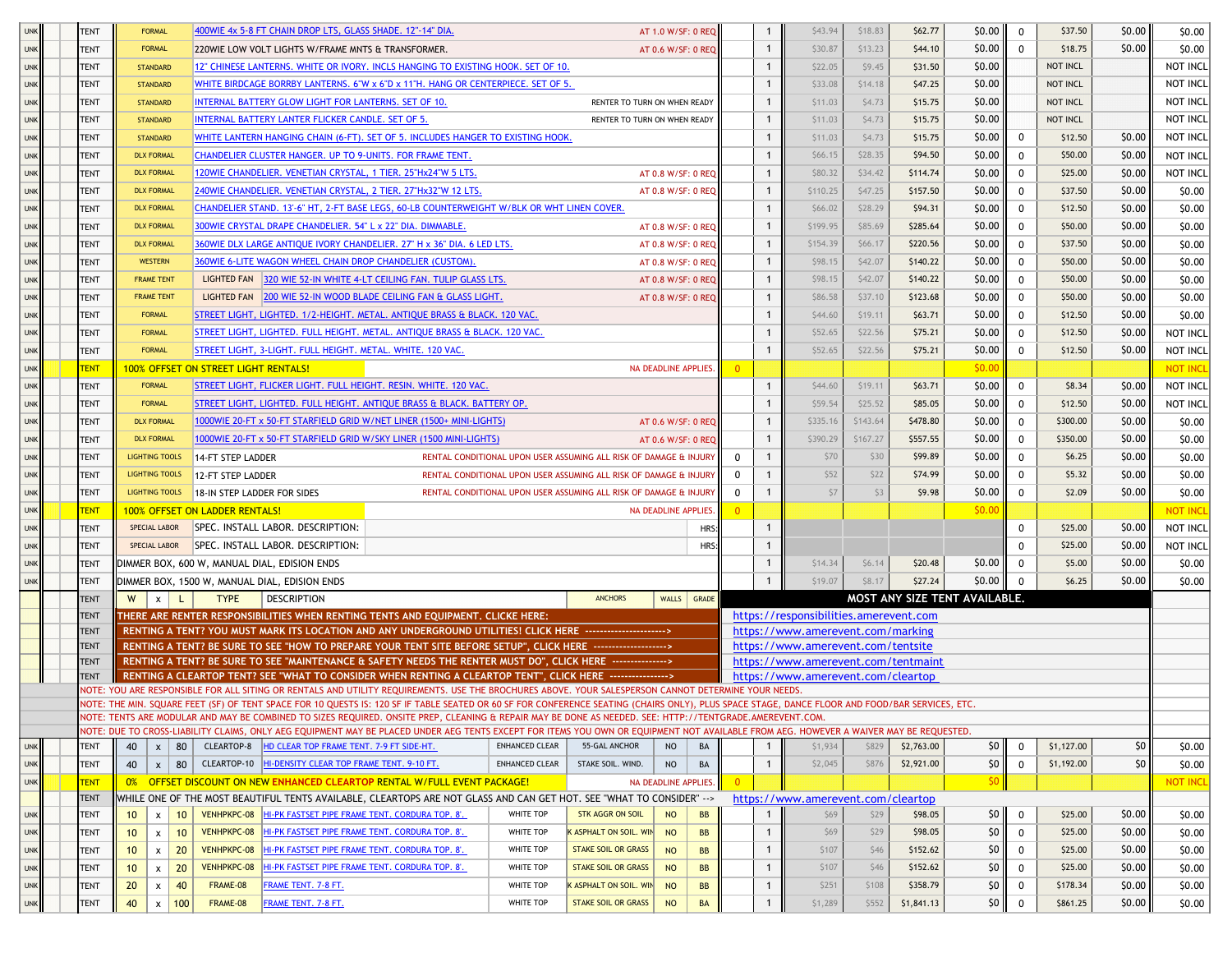| <b>UNK</b>               | <b>TENT</b> | <b>FORMAL</b>                         | 400WIE 4x 5-8 FT CHAIN DROP LTS, GLASS SHADE. 12"-14" DIA.                                                                                                                                                                                                                                                                                              |                       |                                                                   | AT 1.0 W/SF: 0 REQ         |                | $\mathbf{1}$ | \$43.94                                | \$18.83  | \$62.77    | \$0.00                        | $\mathbf 0$ | \$37.50    | \$0.00          | \$0.00           |
|--------------------------|-------------|---------------------------------------|---------------------------------------------------------------------------------------------------------------------------------------------------------------------------------------------------------------------------------------------------------------------------------------------------------------------------------------------------------|-----------------------|-------------------------------------------------------------------|----------------------------|----------------|--------------|----------------------------------------|----------|------------|-------------------------------|-------------|------------|-----------------|------------------|
| <b>UNK</b>               | TENT        | <b>FORMAL</b>                         | 220WIE LOW VOLT LIGHTS W/FRAME MNTS & TRANSFORMER.                                                                                                                                                                                                                                                                                                      |                       |                                                                   | AT 0.6 W/SF: 0 REQ         |                | $\mathbf{1}$ | \$30.87                                | \$13.23  | \$44.10    | \$0.00                        | $\mathbf 0$ | \$18.75    | \$0.00          | \$0.00           |
| <b>UNK</b>               | <b>TENT</b> | <b>STANDARD</b>                       | 12" CHINESE LANTERNS. WHITE OR IVORY. INCLS HANGING TO EXISTING HOOK. SET OF 10.                                                                                                                                                                                                                                                                        |                       |                                                                   |                            |                |              | \$22.05                                | \$9.45   | \$31.50    | \$0.00                        |             | NOT INCL   |                 | NOT INCL         |
| <b>UNK</b>               | TENT        | <b>STANDARD</b>                       | WHITE BIRDCAGE BORRBY LANTERNS. 6"W x 6"D x 11"H. HANG OR CENTERPIECE. SET OF 5.                                                                                                                                                                                                                                                                        |                       |                                                                   |                            |                |              | \$33.08                                | \$14.18  | \$47.25    | \$0.00                        |             | NOT INCL   |                 | NOT INCL         |
| <b>UNK</b>               | TENT        | <b>STANDARD</b>                       | INTERNAL BATTERY GLOW LIGHT FOR LANTERNS. SET OF 10.                                                                                                                                                                                                                                                                                                    |                       | RENTER TO TURN ON WHEN READY                                      |                            |                | $\mathbf{1}$ | \$11.03                                | \$4.73   | \$15.75    | \$0.00                        |             | NOT INCL   |                 | NOT INCL         |
| <b>UNK</b>               | TENT        | <b>STANDARD</b>                       | INTERNAL BATTERY LANTER FLICKER CANDLE. SET OF 5.                                                                                                                                                                                                                                                                                                       |                       | RENTER TO TURN ON WHEN READY                                      |                            |                | $\mathbf{1}$ | \$11.03                                | \$4.73   | \$15.75    | \$0.00                        |             | NOT INCL   |                 | NOT INCL         |
| <b>UNK</b>               | TENT        | <b>STANDARD</b>                       | WHITE LANTERN HANGING CHAIN (6-FT). SET OF 5. INCLUDES HANGER TO EXISTING HOOK.                                                                                                                                                                                                                                                                         |                       |                                                                   |                            |                | $\mathbf{1}$ | \$11.03                                | \$4.73   | \$15.75    | \$0.00                        | $\mathbf 0$ | \$12.50    | \$0.00          | NOT INCL         |
| <b>UNK</b>               | TENT        | <b>DLX FORMAL</b>                     | CHANDELIER CLUSTER HANGER. UP TO 9-UNITS. FOR FRAME TENT.                                                                                                                                                                                                                                                                                               |                       |                                                                   |                            |                | -1           | \$66.15                                | \$28.35  | \$94.50    | \$0.00                        | 0           | \$50.00    | \$0.00          | NOT INCL         |
| <b>UNK</b>               | TENT        | <b>DLX FORMAL</b>                     | 120WIE CHANDELIER. VENETIAN CRYSTAL, 1 TIER. 25"Hx24"W 5 LTS.                                                                                                                                                                                                                                                                                           |                       |                                                                   | AT 0.8 W/SF: 0 REQ         |                |              | \$80.32                                | \$34.42  | \$114.74   | \$0.00                        | $^{\circ}$  | \$25.00    | \$0.00          | NOT INCL         |
| <b>UNK</b>               | TENT        | <b>DLX FORMAL</b>                     | 240WIE CHANDELIER. VENETIAN CRYSTAL, 2 TIER. 27"Hx32"W 12 LTS.                                                                                                                                                                                                                                                                                          |                       |                                                                   | AT 0.8 W/SF: 0 REQ         |                | $\mathbf{1}$ | \$110.25                               | \$47.25  | \$157.50   | \$0.00                        | 0           | \$37.50    | \$0.00          | \$0.00           |
| <b>UNK</b>               | <b>TENT</b> | <b>DLX FORMAL</b>                     | CHANDELIER STAND. 13'-6" HT, 2-FT BASE LEGS, 60-LB COUNTERWEIGHT W/BLK OR WHT LINEN COVER.                                                                                                                                                                                                                                                              |                       |                                                                   |                            |                | $\mathbf{1}$ | \$66.02                                | \$28.29  | \$94.31    | \$0.00                        | 0           | \$12.50    | \$0.00          | \$0.00           |
| <b>UNK</b>               | TENT        | <b>DLX FORMAL</b>                     | 300WIE CRYSTAL DRAPE CHANDELIER. 54" L x 22" DIA. DIMMABLE.                                                                                                                                                                                                                                                                                             |                       |                                                                   | AT 0.8 W/SF: 0 REO         |                | $\mathbf{1}$ | \$199.95                               | \$85.69  | \$285.64   | \$0.00                        | $\mathbf 0$ | \$50.00    | \$0.00          | \$0.00           |
| <b>UNK</b>               | TENT        | <b>DLX FORMAL</b>                     | 360WIE DLX LARGE ANTIQUE IVORY CHANDELIER, 27" H x 36" DIA, 6 LED LTS.                                                                                                                                                                                                                                                                                  |                       |                                                                   | AT 0.8 W/SF: 0 REQ         |                | $\mathbf{1}$ | \$154.39                               | \$66.17  | \$220.56   | \$0.00                        | $\mathbf 0$ | \$37.50    | \$0.00          | \$0.00           |
| <b>UNK</b>               | <b>TENT</b> | <b>WESTERN</b>                        | 360WIE 6-LITE WAGON WHEEL CHAIN DROP CHANDELIER (CUSTOM).                                                                                                                                                                                                                                                                                               |                       |                                                                   | AT 0.8 W/SF: 0 REQ         |                | $\mathbf{1}$ | \$98.15                                | \$42.07  | \$140.22   | \$0.00                        | $\mathbf 0$ | \$50.00    | \$0.00          | \$0.00           |
| <b>UNK</b>               | TENT        | <b>FRAME TENT</b>                     | LIGHTED FAN 320 WIE 52-IN WHITE 4-LT CEILING FAN. TULIP GLASS LTS.                                                                                                                                                                                                                                                                                      |                       |                                                                   | AT 0.8 W/SF: 0 REQ         |                | $\mathbf{1}$ | \$98.15                                | \$42.07  | \$140.22   | \$0.00                        | $\mathbf 0$ | \$50.00    | \$0.00          | \$0.00           |
| <b>UNK</b>               | <b>TENT</b> | <b>FRAME TENT</b>                     | LIGHTED FAN 200 WIE 52-IN WOOD BLADE CEILING FAN & GLASS LIGHT.                                                                                                                                                                                                                                                                                         |                       |                                                                   | AT 0.8 W/SF: 0 REQ         |                | $\mathbf{1}$ | \$86.58                                | \$37.10  | \$123.68   | \$0.00                        | 0           | \$50.00    | \$0.00          | \$0.00           |
| <b>UNK</b>               | TENT        | <b>FORMAL</b>                         | STREET LIGHT, LIGHTED. 1/2-HEIGHT. METAL. ANTIQUE BRASS & BLACK. 120 VAC.                                                                                                                                                                                                                                                                               |                       |                                                                   |                            |                | $\mathbf{1}$ | \$44.60                                | \$19.11  | \$63.71    | \$0.00                        | 0           | \$12.50    | \$0.00          | \$0.00           |
| <b>UNK</b>               | TENT        | <b>FORMAL</b>                         | STREET LIGHT, LIGHTED. FULL HEIGHT. METAL. ANTIQUE BRASS & BLACK. 120 VAC.                                                                                                                                                                                                                                                                              |                       |                                                                   |                            |                |              | \$52.65                                | \$22.56  | \$75.21    | \$0.00                        | 0           | \$12.50    | \$0.00          | NOT INCL         |
| <b>UNK</b>               | <b>TENT</b> | <b>FORMAL</b>                         | STREET LIGHT, 3-LIGHT. FULL HEIGHT. METAL. WHITE. 120 VAC.                                                                                                                                                                                                                                                                                              |                       |                                                                   |                            |                |              | \$52.65                                | \$22.56  | \$75.21    | \$0.00                        | $\mathbf 0$ | \$12.50    | \$0.00          | NOT INCL         |
| <b>UNK</b>               | <b>TENT</b> |                                       | <u>100% OFFSET ON STREET LIGHT RENTALS!</u>                                                                                                                                                                                                                                                                                                             |                       |                                                                   | NA DEADLINE APPLIES.       |                |              |                                        |          |            | \$0.00                        |             |            |                 | <b>NOT INCL</b>  |
| <b>UNK</b>               | <b>TENT</b> | <b>FORMAL</b>                         | STREET LIGHT, FLICKER LIGHT. FULL HEIGHT. RESIN. WHITE. 120 VAC.                                                                                                                                                                                                                                                                                        |                       |                                                                   |                            |                | $\mathbf{1}$ | \$44.60                                | \$19.11  | \$63.71    | \$0.00                        | $\mathbf 0$ | \$8.34     | \$0.00          | NOT INCL         |
| <b>UNK</b>               | TENT        | <b>FORMAL</b>                         | STREET LIGHT, LIGHTED. FULL HEIGHT. ANTIQUE BRASS & BLACK. BATTERY OP.                                                                                                                                                                                                                                                                                  |                       |                                                                   |                            |                |              | \$59.54                                | \$25.52  | \$85.05    | \$0.00                        | $\mathbf 0$ | \$12.50    | \$0.00          | NOT INCL         |
| <b>UNK</b>               | TENT        | <b>DLX FORMAL</b>                     | 1000WIE 20-FT x 50-FT STARFIELD GRID W/NET LINER (1500+ MINI-LIGHTS)                                                                                                                                                                                                                                                                                    |                       |                                                                   | AT 0.6 W/SF: 0 REQ         |                | $\mathbf{1}$ | \$335.16                               | \$143.64 | \$478.80   | \$0.00                        | $\mathbf 0$ | \$300.00   | \$0.00          | \$0.00           |
| <b>UNK</b>               | TENT        | <b>DLX FORMAL</b>                     | 1000WIE 20-FT x 50-FT STARFIELD GRID W/SKY LINER (1500 MINI-LIGHTS)                                                                                                                                                                                                                                                                                     |                       |                                                                   | AT 0.6 W/SF: 0 REQ         |                | $\mathbf{1}$ | \$390.29                               | \$167.27 | \$557.55   | \$0.00                        | 0           | \$350.00   | \$0.00          | \$0.00           |
| <b>UNK</b>               | TENT        | <b>LIGHTING TOOLS</b>                 | 14-FT STEP LADDER                                                                                                                                                                                                                                                                                                                                       |                       | RENTAL CONDITIONAL UPON USER ASSUMING ALL RISK OF DAMAGE & INJURY |                            | $\Omega$       | $\mathbf{1}$ | \$70                                   | \$30     | \$99.89    | \$0.00                        | 0           | \$6.25     | \$0.00          | \$0.00           |
| <b>UNK</b>               | <b>TENT</b> | <b>LIGHTING TOOLS</b>                 |                                                                                                                                                                                                                                                                                                                                                         |                       | RENTAL CONDITIONAL UPON USER ASSUMING ALL RISK OF DAMAGE & INJURY |                            | $\Omega$       | $\mathbf{1}$ | \$52                                   | \$22     | \$74.99    | \$0.00                        | 0           | \$5.32     | \$0.00          |                  |
| <b>UNK</b>               | TENT        | <b>LIGHTING TOOLS</b>                 | 12-FT STEP LADDER                                                                                                                                                                                                                                                                                                                                       |                       | RENTAL CONDITIONAL UPON USER ASSUMING ALL RISK OF DAMAGE & INJURY |                            | $\Omega$       |              | \$7                                    | \$3      | \$9.98     | \$0.00                        | 0           | \$2.09     | \$0.00          | \$0.00<br>\$0.00 |
|                          | <b>TENT</b> |                                       | 18-IN STEP LADDER FOR SIDES                                                                                                                                                                                                                                                                                                                             |                       |                                                                   | <b>NA DEADLINE APPLIES</b> | $\overline{0}$ |              |                                        |          |            | \$0.00                        |             |            |                 | <b>NOT INCL</b>  |
| <b>UNK</b><br><b>UNK</b> | TENT        | SPECIAL LABOR                         | 100% OFFSET ON LADDER RENTALS!<br>SPEC. INSTALL LABOR. DESCRIPTION:                                                                                                                                                                                                                                                                                     |                       |                                                                   | <b>HRS</b>                 |                |              |                                        |          |            |                               | 0           | \$25.00    | \$0.00          | <b>NOT INCL</b>  |
| <b>UNK</b>               | TENT        | SPECIAL LABOR                         | SPEC. INSTALL LABOR. DESCRIPTION:                                                                                                                                                                                                                                                                                                                       |                       |                                                                   | HRS:                       |                | $\mathbf 1$  |                                        |          |            |                               | $\Omega$    | \$25.00    | \$0.00          | NOT INCL         |
| <b>UNK</b>               | <b>TENT</b> |                                       |                                                                                                                                                                                                                                                                                                                                                         |                       |                                                                   |                            |                | $\mathbf{1}$ | \$14.34                                | \$6.14   | \$20.48    | \$0.00                        | $\mathbf 0$ | \$5.00     | \$0.00          | \$0.00           |
| <b>UNK</b>               | TENT        |                                       | DIMMER BOX, 600 W, MANUAL DIAL, EDISION ENDS                                                                                                                                                                                                                                                                                                            |                       |                                                                   |                            |                |              | \$19.07                                | \$8.17   | \$27.24    | \$0.00                        | 0           | \$6.25     | \$0.00          | \$0.00           |
|                          | <b>TENT</b> | W                                     | DIMMER BOX, 1500 W, MANUAL DIAL, EDISION ENDS<br><b>TYPE</b><br><b>DESCRIPTION</b>                                                                                                                                                                                                                                                                      |                       | <b>ANCHORS</b>                                                    | WALLS GRADE                |                |              |                                        |          |            | MOST ANY SIZE TENT AVAILABLE. |             |            |                 |                  |
|                          | <b>TENT</b> | $\mathsf{x}$                          | THERE ARE RENTER RESPONSIBILITIES WHEN RENTING TENTS AND EQUIPMENT. CLICKE HERE:                                                                                                                                                                                                                                                                        |                       |                                                                   |                            |                |              | https://responsibilities.amerevent.com |          |            |                               |             |            |                 |                  |
|                          | <b>TENT</b> |                                       | RENTING A TENT? YOU MUST MARK ITS LOCATION AND ANY UNDERGROUND UTILITIES! CLICK HERE --------------------->>                                                                                                                                                                                                                                            |                       |                                                                   |                            |                |              | https://www.amerevent.com/marking      |          |            |                               |             |            |                 |                  |
|                          | <b>TENT</b> |                                       | RENTING A TENT? BE SURE TO SEE "HOW TO PREPARE YOUR TENT SITE BEFORE SETUP", CLICK HERE ------------------->                                                                                                                                                                                                                                            |                       |                                                                   |                            |                |              | https://www.amerevent.com/tentsite     |          |            |                               |             |            |                 |                  |
|                          | <b>TENT</b> |                                       | RENTING A TENT? BE SURE TO SEE "MAINTENANCE & SAFETY NEEDS THE RENTER MUST DO", CLICK HERE --------------->                                                                                                                                                                                                                                             |                       |                                                                   |                            |                |              | https://www.amerevent.com/tentmaint    |          |            |                               |             |            |                 |                  |
|                          | <b>TENT</b> |                                       | RENTING A CLEARTOP TENT? SEE "WHAT TO CONSIDER WHEN RENTING A CLEARTOP TENT", CLICK HERE --------------->                                                                                                                                                                                                                                               |                       |                                                                   |                            |                |              | https://www.amerevent.com/cleartop     |          |            |                               |             |            |                 |                  |
|                          |             |                                       | NOTE: YOU ARE RESPONSIBLE FOR ALL SITING OR RENTALS AND UTILITY REQUIREMENTS. USE THE BROCHURES ABOVE. YOUR SALESPERSON CANNOT DETERMINE YOUR NEEDS.<br>NOTE: THE MIN. SQUARE FEET (SF) OF TENT SPACE FOR 10 QUESTS IS: 120 SF IF TABLE SEATED OR 60 SF FOR CONFERENCE SEATING (CHAIRS ONLY), PLUS SPACE STAGE, DANCE FLOOR AND FOOD/BAR SERVICES, ETC. |                       |                                                                   |                            |                |              |                                        |          |            |                               |             |            |                 |                  |
|                          |             |                                       | NOTE: TENTS ARE MODULAR AND MAY BE COMBINED TO SIZES REQUIRED. ONSITE PREP, CLEANING & REPAIR MAY BE DONE AS NEEDED. SEE: HTTP://TENTGRADE.AMEREVENT.COM.                                                                                                                                                                                               |                       |                                                                   |                            |                |              |                                        |          |            |                               |             |            |                 |                  |
|                          |             |                                       | NOTE: DUE TO CROSS-LIABILITY CLAIMS, ONLY AEG EQUIPMENT MAY BE PLACED UNDER AEG TENTS EXCEPT FOR ITEMS YOU OWN OR EQUIPMENT NOT AVAILABLE FROM AEG. HOWEVER A WAIVER MAY BE REQUESTED.                                                                                                                                                                  |                       |                                                                   |                            |                |              |                                        |          |            |                               |             |            |                 |                  |
| <b>UNK</b>               | TENT        | 80<br>40<br>$x \mid$                  | CLEARTOP-8 HD CLEAR TOP FRAME TENT. 7-9 FT SIDE-HT.                                                                                                                                                                                                                                                                                                     | ENHANCED CLEAR        | 55-GAL ANCHOR                                                     | <b>NO</b><br>BA            |                |              | \$1,934                                | \$829    | \$2,763.00 | 50                            | $\mathbf 0$ | \$1,127.00 | \$0             | \$0.00           |
| <b>UNK</b>               | <b>TENT</b> | 40                                    | $x$   80   CLEARTOP-10   HI-DENSITY CLEAR TOP FRAME TENT. 9-10 FT.                                                                                                                                                                                                                                                                                      | <b>ENHANCED CLEAR</b> | STAKE SOIL. WIND.                                                 | <b>NO</b><br>BA            |                | $\mathbf{1}$ | \$2,045                                | \$876    | \$2,921.00 | \$0                           | $\mathbf 0$ | \$1,192.00 | 50 <sub>1</sub> | \$0.00           |
| <b>UNK</b>               | <b>TENT</b> |                                       | 0% OFFSET DISCOUNT ON NEW ENHANCED CLEARTOP RENTAL W/FULL EVENT PACKAGE!                                                                                                                                                                                                                                                                                |                       |                                                                   | NA DEADLINE APPLIES.       | $\overline{0}$ |              |                                        |          |            | \$0                           |             |            |                 | <b>NOT INCI</b>  |
|                          | <b>TENT</b> |                                       | WHILE ONE OF THE MOST BEAUTIFUL TENTS AVAILABLE, CLEARTOPS ARE NOT GLASS AND CAN GET HOT. SEE "WHAT TO CONSIDER" -->                                                                                                                                                                                                                                    |                       |                                                                   |                            |                |              | https://www.amerevent.com/cleartop     |          |            |                               |             |            |                 |                  |
| <b>UNK</b>               | <b>TENT</b> | 10<br>10 <sup>°</sup><br>$\mathsf{x}$ | VENHPKPC-08 HI-PK FASTSET PIPE FRAME TENT. CORDURA TOP. 8'.                                                                                                                                                                                                                                                                                             | WHITE TOP             | <b>STK AGGR ON SOIL</b>                                           | <b>NO</b><br>BB            |                |              | \$69                                   | \$29     | \$98.05    | 50 <sub>1</sub>               | $\mathbf 0$ | \$25.00    | \$0.00          | \$0.00           |
| <b>UNK</b>               | <b>TENT</b> | 10<br>10 <sup>°</sup><br>$\mathsf{x}$ | VENHPKPC-08 HI-PK FASTSET PIPE FRAME TENT. CORDURA TOP. 8'.                                                                                                                                                                                                                                                                                             | WHITE TOP             | K ASPHALT ON SOIL. WIN                                            | <b>NO</b><br><b>BB</b>     |                | $\mathbf{1}$ | \$69                                   | \$29     | \$98.05    | \$0                           | $\mathbf 0$ | \$25.00    | \$0.00          | \$0.00           |
| <b>UNK</b>               | TENT        | $x \mid 20$<br>10 <sup>1</sup>        | VENHPKPC-08 HI-PK FASTSET PIPE FRAME TENT. CORDURA TOP. 8'.                                                                                                                                                                                                                                                                                             | WHITE TOP             | <b>STAKE SOIL OR GRASS</b>                                        | <b>NO</b><br><b>BB</b>     |                | $\mathbf{1}$ | \$107                                  | \$46     | \$152.62   | \$0                           | $\mathbf 0$ | \$25.00    | \$0.00          | \$0.00           |
| <b>UNK</b>               | <b>TENT</b> | 20<br>10 <sup>1</sup><br>$x \mid$     | VENHPKPC-08 HI-PK FASTSET PIPE FRAME TENT. CORDURA TOP. 8'.                                                                                                                                                                                                                                                                                             | WHITE TOP             | <b>STAKE SOIL OR GRASS</b>                                        | <b>NO</b><br><b>BB</b>     |                | $\mathbf{1}$ | \$107                                  | \$46     | \$152.62   | \$0                           | $\mathbf 0$ | \$25.00    | \$0.00          | \$0.00           |
| <b>UNK</b>               | TENT        | 20 <sub>2</sub><br>40<br>$\mathsf{x}$ | FRAME TENT. 7-8 FT.<br>FRAME-08                                                                                                                                                                                                                                                                                                                         | WHITE TOP             | K ASPHALT ON SOIL. WIN                                            | <b>NO</b><br>BB            |                | $\mathbf{1}$ | \$251                                  | \$108    | \$358.79   | \$0                           | $\mathbf 0$ | \$178.34   | \$0.00          | \$0.00           |
| <b>UNK</b>               | TENT        | 40<br>100<br>$\mathsf{x}$             | FRAME TENT. 7-8 FT.<br>FRAME-08                                                                                                                                                                                                                                                                                                                         | WHITE TOP             | <b>STAKE SOIL OR GRASS</b>                                        | <b>NO</b><br>BA            |                |              | \$1,289                                | \$552    | \$1,841.13 | 50 <sub>1</sub>               | $\mathbf 0$ | \$861.25   | \$0.00          | \$0.00           |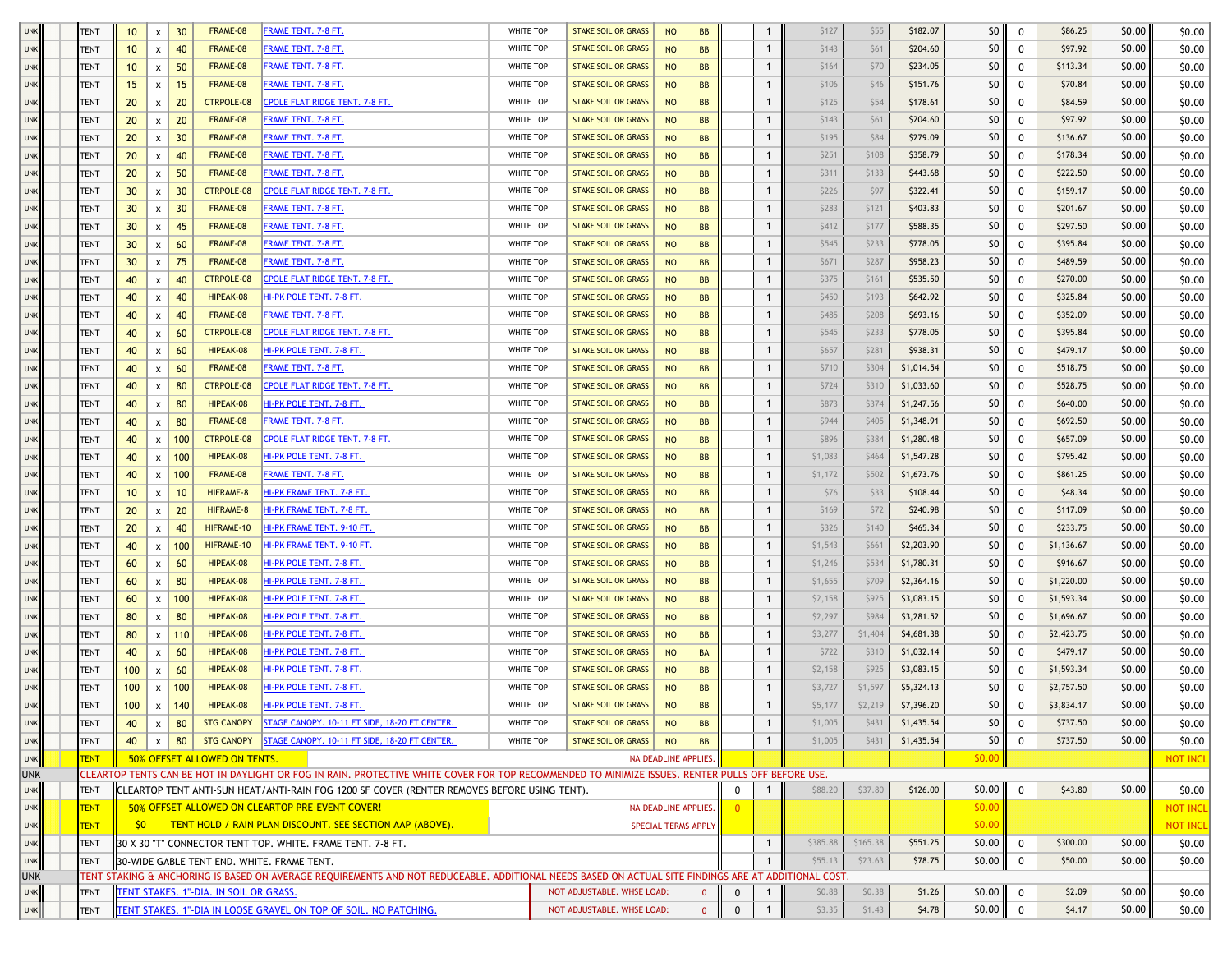| <b>UNK</b>               | <b>TENT</b> | 10              | X                         | 30              | FRAME-08                               | FRAME TENT. 7-8 FT.                                                                                                                                  | WHITE TOP        | <b>STAKE SOIL OR GRASS</b> | <b>NO</b>            | <b>BB</b>    | 1                           | \$127        | \$55    | \$182.07   | 50 <sub>1</sub> | $\mathbf{0}$ | \$86.25    | \$0.00 | \$0.00          |
|--------------------------|-------------|-----------------|---------------------------|-----------------|----------------------------------------|------------------------------------------------------------------------------------------------------------------------------------------------------|------------------|----------------------------|----------------------|--------------|-----------------------------|--------------|---------|------------|-----------------|--------------|------------|--------|-----------------|
| <b>UNK</b>               | TENT        | 10 <sup>°</sup> | $\pmb{\mathsf{x}}$        | 40              | FRAME-08                               | FRAME TENT. 7-8 FT.                                                                                                                                  | WHITE TOP        | <b>STAKE SOIL OR GRASS</b> | <b>NO</b>            | <b>BB</b>    | 1                           | \$143        | \$61    | \$204.60   | \$0             | 0            | \$97.92    | \$0.00 | \$0.00          |
| <b>UNK</b>               | TENT        | 10              | X                         | 50              | FRAME-08                               | <u>FRAME TENT. 7-8 FT.</u>                                                                                                                           | WHITE TOP        | <b>STAKE SOIL OR GRASS</b> | <b>NO</b>            | <b>BB</b>    | 1                           | \$164        | \$70    | \$234.05   | \$0             | 0            | \$113.34   | \$0.00 | \$0.00          |
| <b>UNK</b>               | <b>TENT</b> | 15              | $\boldsymbol{\mathsf{x}}$ | 15              | FRAME-08                               | FRAME TENT. 7-8 FT.                                                                                                                                  | WHITE TOP        | <b>STAKE SOIL OR GRASS</b> | <b>NO</b>            | <b>BB</b>    | 1                           | \$106        | \$46    | \$151.76   | \$0             | 0            | \$70.84    | \$0.00 | \$0.00          |
| <b>UNK</b>               | TENT        | 20              | $\boldsymbol{\mathsf{x}}$ | 20              | <b>CTRPOLE-08</b>                      | CPOLE FLAT RIDGE TENT. 7-8 FT.                                                                                                                       | WHITE TOP        | <b>STAKE SOIL OR GRASS</b> | <b>NO</b>            | <b>BB</b>    | $\mathbf{1}$                | \$125        | \$54    | \$178.61   | \$0             | 0            | \$84.59    | \$0.00 | \$0.00          |
| <b>UNK</b>               | <b>TENT</b> | 20              | x                         | 20              | FRAME-08                               | FRAME TENT. 7-8 FT.                                                                                                                                  | WHITE TOP        | <b>STAKE SOIL OR GRASS</b> | <b>NO</b>            | <b>BB</b>    | 1                           | \$143        | \$61    | \$204.60   | \$0             | 0            | \$97.92    | \$0.00 | \$0.00          |
| <b>UNK</b>               | <b>TENT</b> | 20              | X                         | 30              | FRAME-08                               | FRAME TENT. 7-8 FT.                                                                                                                                  | <b>WHITE TOP</b> | <b>STAKE SOIL OR GRASS</b> | <b>NO</b>            | <b>BB</b>    | $\mathbf{1}$                | \$195        | \$84    | \$279.09   | \$0             | 0            | \$136.67   | \$0.00 | \$0.00          |
| <b>UNK</b>               | <b>TENT</b> | 20              | x                         | 40              | FRAME-08                               | <u>FRAME TENT. 7-8 FT.</u>                                                                                                                           | WHITE TOP        | <b>STAKE SOIL OR GRASS</b> | <b>NO</b>            | <b>BB</b>    | 1                           | \$251        | \$108   | \$358.79   | \$0             | 0            | \$178.34   | \$0.00 | \$0.00          |
| <b>UNK</b>               | <b>TENT</b> | 20              | X                         | 50              | FRAME-08                               | FRAME TENT. 7-8 FT.                                                                                                                                  | WHITE TOP        | <b>STAKE SOIL OR GRASS</b> | <b>NO</b>            | <b>BB</b>    | 1                           | \$311        | \$133   | \$443.68   | \$0             | 0            | \$222.50   | \$0.00 | \$0.00          |
| <b>UNK</b>               | TENT        | 30              | $\boldsymbol{\mathsf{x}}$ | 30              | <b>CTRPOLE-08</b>                      | CPOLE FLAT RIDGE TENT. 7-8 FT.                                                                                                                       | WHITE TOP        | <b>STAKE SOIL OR GRASS</b> | <b>NO</b>            | <b>BB</b>    | $\mathbf{1}$                | \$226        | \$97    | \$322.41   | \$0             | $\mathbf 0$  | \$159.17   | \$0.00 | \$0.00          |
| <b>UNK</b>               | <b>TENT</b> | 30 <sup>2</sup> | X                         | 30              | FRAME-08                               | FRAME TENT. 7-8 FT.                                                                                                                                  | WHITE TOP        | <b>STAKE SOIL OR GRASS</b> | <b>NO</b>            | <b>BB</b>    | 1                           | \$283        | \$121   | \$403.83   | \$0             | 0            | \$201.67   | \$0.00 | \$0.00          |
| <b>UNK</b>               | TENT        | 30              | $\pmb{\mathsf{x}}$        | 45              | FRAME-08                               | FRAME TENT. 7-8 FT.                                                                                                                                  | WHITE TOP        | <b>STAKE SOIL OR GRASS</b> | <b>NO</b>            | <b>BB</b>    | 1                           | \$412        | \$177   | \$588.35   | \$0             | 0            | \$297.50   | \$0.00 | \$0.00          |
| <b>UNK</b>               | <b>TENT</b> | 30              | X                         | 60              | FRAME-08                               | FRAME TENT. 7-8 FT.                                                                                                                                  | WHITE TOP        | <b>STAKE SOIL OR GRASS</b> | <b>NO</b>            | <b>BB</b>    | -1                          | \$545        | \$233   | \$778.05   | \$0             | 0            | \$395.84   | \$0.00 | \$0.00          |
| <b>UNK</b>               | <b>TENT</b> | 30              | $\pmb{\mathsf{x}}$        | 75              | FRAME-08                               | FRAME TENT. 7-8 FT.                                                                                                                                  | WHITE TOP        | <b>STAKE SOIL OR GRASS</b> | <b>NO</b>            | <b>BB</b>    | 1                           | \$671        | \$287   | \$958.23   | \$0             | 0            | \$489.59   | \$0.00 | \$0.00          |
| <b>UNK</b>               | TENT        | 40              | $\boldsymbol{\mathsf{x}}$ | 40              | <b>CTRPOLE-08</b>                      | CPOLE FLAT RIDGE TENT. 7-8 FT.                                                                                                                       | WHITE TOP        | <b>STAKE SOIL OR GRASS</b> | <b>NO</b>            | <b>BB</b>    | 1                           | \$375        | \$161   | \$535.50   | \$0             | 0            | \$270.00   | \$0.00 | \$0.00          |
| <b>UNK</b>               | <b>TENT</b> | 40              | X                         | 40              | HIPEAK-08                              | HI-PK POLE TENT. 7-8 FT.                                                                                                                             | WHITE TOP        | <b>STAKE SOIL OR GRASS</b> | <b>NO</b>            | <b>BB</b>    | 1                           | \$450        | \$193   | \$642.92   | \$0             | 0            | \$325.84   | \$0.00 | \$0.00          |
| <b>UNK</b>               | <b>TENT</b> | 40              | x                         | 40              | FRAME-08                               | FRAME TENT. 7-8 FT.                                                                                                                                  | WHITE TOP        | <b>STAKE SOIL OR GRASS</b> | <b>NO</b>            | <b>BB</b>    | $\mathbf{1}$                | \$485        | \$208   | \$693.16   | \$0             | 0            | \$352.09   | \$0.00 | \$0.00          |
| <b>UNK</b>               | TENT        | 40              | X                         | 60              | <b>CTRPOLE-08</b>                      | <u>CPOLE FLAT RIDGE TENT. 7-8 FT.</u>                                                                                                                | WHITE TOP        | <b>STAKE SOIL OR GRASS</b> | <b>NO</b>            | <b>BB</b>    | 1                           | \$545        | \$233   | \$778.05   | \$0             | 0            | \$395.84   | \$0.00 | \$0.00          |
| <b>UNK</b>               | <b>TENT</b> | 40              | X                         | 60              | HIPEAK-08                              | HI-PK POLE TENT. 7-8 FT.                                                                                                                             | WHITE TOP        | <b>STAKE SOIL OR GRASS</b> | <b>NO</b>            | <b>BB</b>    | 1                           | \$657        | \$281   | \$938.31   | \$0             | 0            | \$479.17   | \$0.00 | \$0.00          |
| <b>UNK</b>               | TENT        | 40              | X                         | 60              | FRAME-08                               | FRAME TENT. 7-8 FT.                                                                                                                                  | WHITE TOP        | <b>STAKE SOIL OR GRASS</b> | <b>NO</b>            | <b>BB</b>    | $\mathbf{1}$                | \$710        | \$304   | \$1,014.54 | \$0             | $\mathbf 0$  | \$518.75   | \$0.00 | \$0.00          |
| <b>UNK</b>               | TENT        | 40              | X                         | 80              | CTRPOLE-08                             | CPOLE FLAT RIDGE TENT. 7-8 FT.                                                                                                                       | WHITE TOP        | <b>STAKE SOIL OR GRASS</b> | <b>NO</b>            | <b>BB</b>    | $\mathbf{1}$                | \$724        | \$310   | \$1,033.60 | \$0             | 0            | \$528.75   | \$0.00 | \$0.00          |
| <b>UNK</b>               | TENT        | 40              | $\pmb{\mathsf{x}}$        | 80              | HIPEAK-08                              | HI-PK POLE TENT. 7-8 FT.                                                                                                                             | WHITE TOP        | <b>STAKE SOIL OR GRASS</b> | <b>NO</b>            | <b>BB</b>    | -1                          | \$873        | \$374   | \$1,247.56 | \$0             | 0            | \$640.00   | \$0.00 | \$0.00          |
| <b>UNK</b>               | <b>TENT</b> | 40              | x                         | 80              | FRAME-08                               | FRAME TENT. 7-8 FT.                                                                                                                                  | WHITE TOP        | <b>STAKE SOIL OR GRASS</b> | <b>NO</b>            | <b>BB</b>    | -1                          | \$944        | \$405   | \$1,348.91 | \$0             | 0            | \$692.50   | \$0.00 | \$0.00          |
| <b>UNK</b>               | <b>TENT</b> | 40              | $\boldsymbol{\mathsf{x}}$ | 100             | <b>CTRPOLE-08</b>                      | CPOLE FLAT RIDGE TENT. 7-8 FT.                                                                                                                       | WHITE TOP        | <b>STAKE SOIL OR GRASS</b> | <b>NO</b>            | <b>BB</b>    | 1                           | \$896        | \$384   | \$1,280.48 | \$0             | 0            | \$657.09   | \$0.00 | \$0.00          |
| <b>UNK</b>               | <b>TENT</b> | 40              | $\mathsf{x}$              | 100             | HIPEAK-08                              | HI-PK POLE TENT. 7-8 FT.                                                                                                                             | WHITE TOP        | <b>STAKE SOIL OR GRASS</b> | <b>NO</b>            | <b>BB</b>    | $\mathbf{1}$                | \$1,083      | \$464   | \$1,547.28 | \$0             | $\mathbf 0$  | \$795.42   | \$0.00 | \$0.00          |
| <b>UNK</b>               | <b>TENT</b> | 40              | X                         | 100             | FRAME-08                               | FRAME TENT. 7-8 FT.                                                                                                                                  | WHITE TOP        | <b>STAKE SOIL OR GRASS</b> | <b>NO</b>            | <b>BB</b>    | 1                           | \$1,172      | \$502   | \$1,673.76 | \$0             | 0            | \$861.25   | \$0.00 | \$0.00          |
| <b>UNK</b>               | <b>TENT</b> | 10 <sup>°</sup> | x                         | 10              | HIFRAME-8                              | HI-PK FRAME TENT. 7-8 FT.                                                                                                                            | WHITE TOP        | <b>STAKE SOIL OR GRASS</b> | <b>NO</b>            | <b>BB</b>    | 1                           | \$76         | \$33    | \$108.44   | \$0             | 0            | \$48.34    | \$0.00 | \$0.00          |
| <b>UNK</b>               | TENT        | 20              | x                         | 20              | HIFRAME-8                              | HI-PK FRAME TENT. 7-8 FT.                                                                                                                            | WHITE TOP        | <b>STAKE SOIL OR GRASS</b> | <b>NO</b>            | <b>BB</b>    | 1                           | \$169        | \$72    | \$240.98   | \$0             | 0            | \$117.09   | \$0.00 | \$0.00          |
| <b>UNK</b>               | <b>TENT</b> | 20              | x                         | 40              | HIFRAME-10                             | HI-PK FRAME TENT. 9-10 FT.                                                                                                                           | WHITE TOP        | <b>STAKE SOIL OR GRASS</b> | <b>NO</b>            | <b>BB</b>    | 1                           | \$326        | \$140   | \$465.34   | \$0             | 0            | \$233.75   | \$0.00 | \$0.00          |
| <b>UNK</b>               | TENT        | 40              | $\boldsymbol{\mathsf{x}}$ | 100             | HIFRAME-10                             | HI-PK FRAME TENT. 9-10 FT.                                                                                                                           | WHITE TOP        | <b>STAKE SOIL OR GRASS</b> | <b>NO</b>            | <b>BB</b>    | $\mathbf{1}$                | \$1,543      | \$661   | \$2,203.90 | \$0             | 0            | \$1,136.67 | \$0.00 | \$0.00          |
| <b>UNK</b>               | <b>TENT</b> | 60              | X                         | 60              | HIPEAK-08                              | HI-PK POLE TENT. 7-8 FT.                                                                                                                             | <b>WHITE TOP</b> | <b>STAKE SOIL OR GRASS</b> | <b>NO</b>            | <b>BB</b>    | $\mathbf{1}$                | \$1,246      | \$534   | \$1,780.31 | \$0             | 0            | \$916.67   | \$0.00 | \$0.00          |
| <b>UNK</b>               | TENT        | 60              | $\pmb{\mathsf{x}}$        | 80              | HIPEAK-08                              | HI-PK POLE TENT. 7-8 FT.                                                                                                                             | WHITE TOP        | <b>STAKE SOIL OR GRASS</b> | <b>NO</b>            | <b>BB</b>    | -1                          | \$1,655      | \$709   | \$2,364.16 | \$0             | $\mathbf 0$  | \$1,220.00 | \$0.00 | \$0.00          |
| <b>UNK</b>               | <b>TENT</b> | 60              | X                         | 100             | HIPEAK-08                              | HI-PK POLE TENT. 7-8 FT.                                                                                                                             | WHITE TOP        | <b>STAKE SOIL OR GRASS</b> | <b>NO</b>            | <b>BB</b>    | 1                           | \$2,158      | \$925   | \$3,083.15 | \$0             | 0            | \$1,593.34 | \$0.00 | \$0.00          |
| <b>UNK</b>               | <b>TENT</b> | 80              | $\boldsymbol{\mathsf{x}}$ | 80              | HIPEAK-08                              | HI-PK POLE TENT. 7-8 FT.                                                                                                                             | WHITE TOP        | <b>STAKE SOIL OR GRASS</b> | <b>NO</b>            | <b>BB</b>    | 1                           | \$2,297      | \$984   | \$3,281.52 | \$0             | 0            | \$1,696.67 | \$0.00 | \$0.00          |
| <b>UNK</b>               | <b>TENT</b> | 80              |                           | $x \mid 110$    | HIPEAK-08                              | HI-PK POLE TENT. 7-8 FT.                                                                                                                             | WHITE TOP        | <b>STAKE SOIL OR GRASS</b> | <b>NO</b>            | <b>BB</b>    | $\mathbf{1}$                | \$3,277      | \$1,404 | \$4,681.38 | \$0             | $\mathbf 0$  | \$2,423.75 | \$0.00 | \$0.00          |
| <b>UNK</b>               | <b>TENT</b> | 40              | X                         | 60              | HIPEAK-08                              | HI-PK POLE TENT. 7-8 FT.                                                                                                                             | WHITE TOP        | <b>STAKE SOIL OR GRASS</b> | <b>NO</b>            | BA           | $\mathbf{1}$                | \$722        | \$310   | \$1,032.14 | \$0             | 0            | \$479.17   | \$0.00 | \$0.00          |
| <b>UNK</b>               | TENT        | 100             | X                         | 60              | HIPEAK-08                              | HI-PK POLE TENT. 7-8 FT.                                                                                                                             | WHITE TOP        | <b>STAKE SOIL OR GRASS</b> | <b>NO</b>            | <b>BB</b>    | $\mathbf{1}$                | \$2,158      | \$925   | \$3,083.15 | \$0             | 0            | \$1,593.34 | \$0.00 | \$0.00          |
| <b>UNK</b>               | TENT        | 100             | X                         | 10 <sup>c</sup> | HIPEAK-08                              | <b>HI-PK POLE TENT. 7-8 FT.</b>                                                                                                                      | WHITE TOP        | <b>STAKE SOIL OR GRASS</b> | NO.                  | <b>BB</b>    | 1                           | \$3,727      | \$1,597 | \$5,324.13 | \$0             | 0            | \$2,757.50 | \$0.00 | \$0.00          |
| <b>UNK</b>               | <b>TENT</b> | 100             | $\boldsymbol{\mathsf{x}}$ | 140             | HIPEAK-08                              | HI-PK POLE TENT. 7-8 FT.                                                                                                                             | WHITE TOP        | <b>STAKE SOIL OR GRASS</b> | <b>NO</b>            | <b>BB</b>    | $\mathbf{1}$                | \$5,177      | \$2,219 | \$7,396.20 | \$0             | 0            | \$3,834.17 | \$0.00 | \$0.00          |
| <b>UNK</b>               | <b>TENT</b> |                 | $\boldsymbol{\mathsf{x}}$ |                 |                                        | 80 STG CANOPY STAGE CANOPY. 10-11 FT SIDE, 18-20 FT CENTER.                                                                                          | WHITE TOP        | <b>STAKE SOIL OR GRASS</b> | NO                   | BB           | $\mathbf{1}$                | \$1,005      | \$431   | \$1,435.54 | \$0             | $\mathbf{0}$ | \$737.50   | \$0.00 | \$0.00          |
| <b>UNK</b>               | <b>TENT</b> | 40              | $\boldsymbol{\mathsf{x}}$ | 80              |                                        | STG CANOPY STAGE CANOPY. 10-11 FT SIDE, 18-20 FT CENTER.                                                                                             | WHITE TOP        | <b>STAKE SOIL OR GRASS</b> | <b>NO</b>            | <b>BB</b>    | 1                           | \$1,005      | \$431   | \$1,435.54 | 50 <sub>1</sub> | $\mathbf 0$  | \$737.50   | \$0.00 | \$0.00          |
| <b>UNK</b>               | <b>TENT</b> |                 |                           |                 | 50% OFFSET ALLOWED ON TENTS.           |                                                                                                                                                      |                  |                            | NA DEADLINE APPLIES. |              |                             |              |         |            | \$0.00          |              |            |        | <b>NOT INCL</b> |
| <b>UNK</b>               |             |                 |                           |                 |                                        | CLEARTOP TENTS CAN BE HOT IN DAYLIGHT OR FOG IN RAIN. PROTECTIVE WHITE COVER FOR TOP RECOMMENDED TO MINIMIZE ISSUES. RENTER PULLS OFF BEFORE USE.    |                  |                            |                      |              |                             |              |         |            |                 |              |            |        |                 |
| <b>UNK</b>               | <b>TENT</b> |                 |                           |                 |                                        | CLEARTOP TENT ANTI-SUN HEAT/ANTI-RAIN FOG 1200 SF COVER (RENTER REMOVES BEFORE USING TENT).                                                          | 0                | \$88.20                    | \$37.80              | \$126.00     | \$0.00                      | $\mathbf{0}$ | \$43.80 | \$0.00     | \$0.00          |              |            |        |                 |
| <b>UNK</b>               | <b>TENT</b> |                 |                           |                 |                                        | 50% OFFSET ALLOWED ON CLEARTOP PRE-EVENT COVER!                                                                                                      | $\overline{0}$   |                            |                      |              | \$0.00                      |              |         |            | <b>NOT INCL</b> |              |            |        |                 |
| <b>UNK</b>               | <b>TENT</b> | $50^{\circ}$    |                           |                 |                                        | <b>TENT HOLD / RAIN PLAN DISCOUNT. SEE SECTION AAP (ABOVE).</b>                                                                                      | $\mathbf{1}$     |                            |                      |              | \$0.00                      |              |         |            | <b>NOT INCL</b> |              |            |        |                 |
| <b>UNK</b>               | TENT        |                 |                           |                 |                                        | 30 X 30 "T" CONNECTOR TENT TOP. WHITE, FRAME TENT, 7-8 FT.                                                                                           | \$385.88         | \$165.38                   | \$551.25             | \$0.00       | $\mathbf 0$                 | \$300.00     | \$0.00  | \$0.00     |                 |              |            |        |                 |
| <b>UNK</b>               | TENT        |                 |                           |                 |                                        | 30-WIDE GABLE TENT END. WHITE, FRAME TENT.                                                                                                           |                  |                            |                      |              |                             | \$55.13      | \$23.63 | \$78.75    | \$0.00          | $\mathbf{0}$ | \$50.00    | \$0.00 | \$0.00          |
| <b>UNK</b><br><b>UNK</b> | <b>TENT</b> |                 |                           |                 | TENT STAKES. 1"-DIA. IN SOIL OR GRASS. | TENT STAKING & ANCHORING IS BASED ON AVERAGE REQUIREMENTS AND NOT REDUCEABLE. ADDITIONAL NEEDS BASED ON ACTUAL SITE FINDINGS ARE AT ADDITIONAL COST. |                  | NOT ADJUSTABLE. WHSE LOAD: |                      | $\mathbf{0}$ | 0                           | \$0.88       | \$0.38  | \$1.26     | \$0.00          | $\mathbf 0$  | \$2.09     | \$0.00 | \$0.00          |
| <b>UNK</b>               | TENT        |                 |                           |                 |                                        | TENT STAKES. 1"-DIA IN LOOSE GRAVEL ON TOP OF SOIL. NO PATCHING.                                                                                     |                  | NOT ADJUSTABLE. WHSE LOAD: |                      | $\mathbf{0}$ | $\mathbf{1}$<br>$\mathbf 0$ | \$3.35       | \$1.43  | \$4.78     | \$0.00          | $\mathbf{0}$ | \$4.17     | \$0.00 | \$0.00          |
|                          |             |                 |                           |                 |                                        |                                                                                                                                                      |                  |                            |                      |              |                             |              |         |            |                 |              |            |        |                 |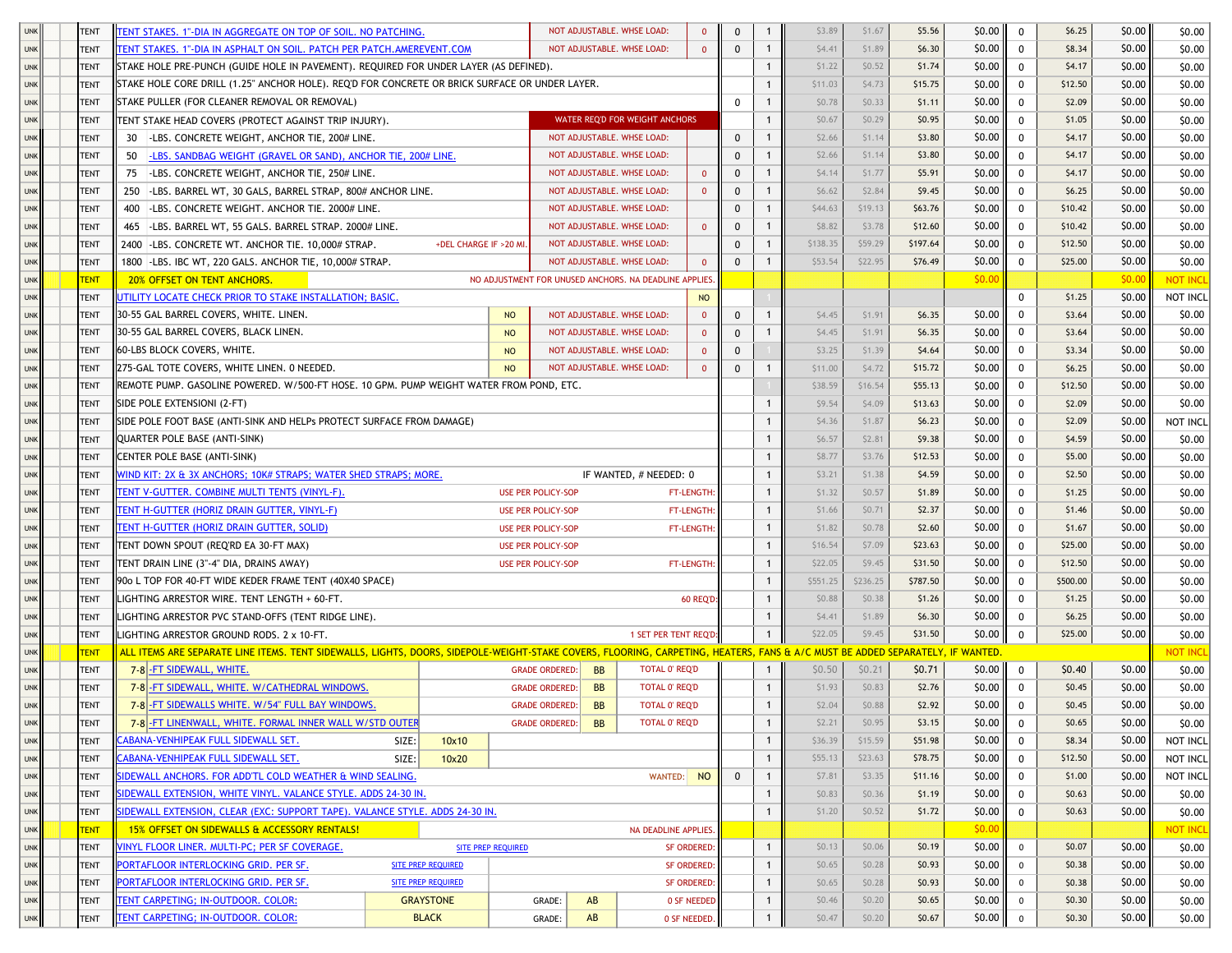| <b>UNK</b> | <b>TENT</b> | <b>ENT STAKES. 1"-DIA IN AGGREGATE ON TOP OF SOIL. NO PATCHING.</b>                                                                                                           |                           |                                                       |           | NOT ADJUSTABLE. WHSE LOAD:     | $\mathbf{0}$        | $\Omega$                    | \$3.89   | \$1.67   | \$5.56   | \$0.00 | $\mathbf 0$  | \$6.25   | \$0.00 | \$0.00          |
|------------|-------------|-------------------------------------------------------------------------------------------------------------------------------------------------------------------------------|---------------------------|-------------------------------------------------------|-----------|--------------------------------|---------------------|-----------------------------|----------|----------|----------|--------|--------------|----------|--------|-----------------|
|            | <b>TENT</b> |                                                                                                                                                                               |                           |                                                       |           |                                |                     |                             | \$4.41   | \$1.89   | \$6.30   | \$0.00 |              | \$8.34   | \$0.00 |                 |
| <b>UNK</b> |             | <b>TENT STAKES. 1"-DIA IN ASPHALT ON SOIL. PATCH PER PATCH.AMEREVENT.COM</b>                                                                                                  |                           |                                                       |           | NOT ADJUSTABLE. WHSE LOAD:     |                     | $\Omega$<br>$\overline{1}$  |          |          |          |        | $^{\circ}$   |          |        | \$0.00          |
| <b>UNK</b> | <b>TENT</b> | STAKE HOLE PRE-PUNCH (GUIDE HOLE IN PAVEMENT). REQUIRED FOR UNDER LAYER (AS DEFINED).                                                                                         |                           |                                                       |           |                                |                     | 1                           | \$1.22   | \$0.52   | \$1.74   | \$0.00 | $\mathbf 0$  | \$4.17   | \$0.00 | \$0.00          |
| <b>UNK</b> | TENT        | STAKE HOLE CORE DRILL (1.25" ANCHOR HOLE). REQ'D FOR CONCRETE OR BRICK SURFACE OR UNDER LAYER.                                                                                |                           |                                                       |           |                                |                     | 1                           | \$11.03  | \$4.73   | \$15.75  | \$0.00 | $\mathbf 0$  | \$12.50  | \$0.00 | \$0.00          |
| <b>UNK</b> | <b>TENT</b> | STAKE PULLER (FOR CLEANER REMOVAL OR REMOVAL)                                                                                                                                 |                           |                                                       |           |                                |                     | 0                           | \$0.78   | \$0.33   | \$1.11   | \$0.00 | $\mathbf 0$  | \$2.09   | \$0.00 | \$0.00          |
| <b>UNK</b> | <b>TENT</b> | TENT STAKE HEAD COVERS (PROTECT AGAINST TRIP INJURY).                                                                                                                         |                           |                                                       |           | WATER REQ'D FOR WEIGHT ANCHORS |                     | 1                           | \$0.67   | \$0.29   | \$0.95   | \$0.00 | $\mathbf 0$  | \$1.05   | \$0.00 | \$0.00          |
| <b>UNK</b> | <b>TENT</b> | 30 -LBS. CONCRETE WEIGHT, ANCHOR TIE, 200# LINE.                                                                                                                              |                           |                                                       |           | NOT ADJUSTABLE. WHSE LOAD:     |                     | $\Omega$<br>$\mathbf{1}$    | \$2.66   | \$1.14   | \$3.80   | \$0.00 | $\Omega$     | \$4.17   | \$0.00 | \$0.00          |
| <b>UNK</b> | <b>TENT</b> | -LBS. SANDBAG WEIGHT (GRAVEL OR SAND), ANCHOR TIE, 200# LINE.<br>50                                                                                                           |                           |                                                       |           | NOT ADJUSTABLE. WHSE LOAD:     |                     | $\Omega$<br>$\mathbf{1}$    | \$2.66   | \$1.14   | \$3.80   | \$0.00 | $\mathbf 0$  | \$4.17   | \$0.00 | \$0.00          |
| <b>UNK</b> | <b>TENT</b> | 75 -LBS. CONCRETE WEIGHT, ANCHOR TIE, 250# LINE.                                                                                                                              |                           |                                                       |           | NOT ADJUSTABLE. WHSE LOAD:     | $\mathbf{0}$        | $\Omega$<br>1               | \$4.14   | \$1.77   | \$5.91   | \$0.00 | $\mathbf 0$  | \$4.17   | \$0.00 | \$0.00          |
| <b>UNK</b> | <b>TENT</b> | 250 -LBS. BARREL WT, 30 GALS, BARREL STRAP, 800# ANCHOR LINE.                                                                                                                 |                           |                                                       |           | NOT ADJUSTABLE. WHSE LOAD:     | $\Omega$            | $\Omega$<br>1               | \$6.62   | \$2.84   | \$9.45   | \$0.00 | $\mathbf 0$  | \$6.25   | \$0.00 | \$0.00          |
| <b>UNK</b> | <b>TENT</b> | 400 - LBS. CONCRETE WEIGHT. ANCHOR TIE. 2000# LINE.                                                                                                                           |                           |                                                       |           | NOT ADJUSTABLE. WHSE LOAD:     |                     | $\Omega$<br>1               | \$44.63  | \$19.13  | \$63.76  | \$0.00 | $\mathbf 0$  | \$10.42  | \$0.00 | \$0.00          |
| <b>UNK</b> | <b>TENT</b> | 465 - LBS. BARREL WT, 55 GALS. BARREL STRAP. 2000# LINE.                                                                                                                      |                           |                                                       |           | NOT ADJUSTABLE. WHSE LOAD:     | $\Omega$            | $\mathbf{1}$<br>$\Omega$    | \$8.82   | \$3.78   | \$12.60  | \$0.00 | $^{\circ}$   | \$10.42  | \$0.00 | \$0.00          |
| <b>UNK</b> | <b>TENT</b> | 2400 - LBS. CONCRETE WT. ANCHOR TIE. 10,000# STRAP.                                                                                                                           | +DEL CHARGE IF >20 MI     |                                                       |           | NOT ADJUSTABLE. WHSE LOAD:     |                     | $\Omega$<br>$\mathbf{1}$    | \$138.35 | \$59.29  | \$197.64 | \$0.00 | $^{\circ}$   | \$12.50  | \$0.00 | \$0.00          |
| <b>UNK</b> | TENT        | 1800 - LBS. IBC WT, 220 GALS. ANCHOR TIE, 10,000# STRAP.                                                                                                                      |                           |                                                       |           | NOT ADJUSTABLE. WHSE LOAD:     | $\mathbf{0}$        | $\Omega$<br>-1              | \$53.54  | \$22.95  | \$76.49  | \$0.00 | $^{\circ}$   | \$25.00  | \$0.00 | \$0.00          |
| <b>UNK</b> | <b>TENT</b> | <b>20% OFFSET ON TENT ANCHORS.</b>                                                                                                                                            |                           | NO ADJUSTMENT FOR UNUSED ANCHORS. NA DEADLINE APPLIES |           |                                |                     |                             |          |          |          | \$0.00 |              |          | \$0.00 | <b>NOT INCL</b> |
| <b>UNK</b> | <b>TENT</b> | JTILITY LOCATE CHECK PRIOR TO STAKE INSTALLATION; BASIC.                                                                                                                      |                           |                                                       |           |                                | <b>NO</b>           |                             |          |          |          |        | $\mathbf{0}$ | \$1.25   | \$0.00 | NOT INCL        |
| <b>UNK</b> | <b>TENT</b> | 30-55 GAL BARREL COVERS, WHITE. LINEN.                                                                                                                                        |                           | <b>NO</b>                                             |           | NOT ADJUSTABLE. WHSE LOAD:     | $\mathbf{0}$        | $\mathbf{1}$<br>$\Omega$    | \$4.45   | \$1.91   | \$6.35   | \$0.00 | 0            | \$3.64   | \$0.00 | \$0.00          |
| <b>UNK</b> | <b>TENT</b> | 30-55 GAL BARREL COVERS, BLACK LINEN.                                                                                                                                         |                           | <b>NO</b>                                             |           | NOT ADJUSTABLE. WHSE LOAD:     | $\mathbf{0}$        | $\Omega$<br>$\mathbf{1}$    | \$4.45   | \$1.91   | \$6.35   | \$0.00 | $\mathbf 0$  | \$3.64   | \$0.00 | \$0.00          |
| <b>UNK</b> | <b>TENT</b> | 60-LBS BLOCK COVERS, WHITE,                                                                                                                                                   |                           | <b>NO</b>                                             |           | NOT ADJUSTABLE. WHSE LOAD:     | $\mathbf{0}$        | $\Omega$                    | \$3.25   | \$1.39   | \$4.64   | \$0.00 | $\mathbf 0$  | \$3.34   | \$0.00 | \$0.00          |
| <b>UNK</b> | <b>TENT</b> | 275-GAL TOTE COVERS, WHITE LINEN. 0 NEEDED.                                                                                                                                   |                           | NO                                                    |           | NOT ADJUSTABLE. WHSE LOAD:     | $\Omega$            | $\Omega$<br>1               | \$11.00  | \$4.72   | \$15.72  | \$0.00 | $\mathbf 0$  | \$6.25   | \$0.00 | \$0.00          |
| <b>UNK</b> | <b>TENT</b> | REMOTE PUMP. GASOLINE POWERED. W/500-FT HOSE. 10 GPM. PUMP WEIGHT WATER FROM POND, ETC.                                                                                       |                           |                                                       |           |                                |                     |                             | \$38.59  | \$16.54  | \$55.13  | \$0.00 | $^{\circ}$   | \$12.50  | \$0.00 | \$0.00          |
| <b>UNK</b> | <b>TENT</b> | SIDE POLE EXTENSIONI (2-FT)                                                                                                                                                   |                           |                                                       |           |                                |                     | $\mathbf{1}$                | \$9.54   | \$4.09   | \$13.63  | \$0.00 | $\mathbf 0$  | \$2.09   | \$0.00 | \$0.00          |
|            |             | SIDE POLE FOOT BASE (ANTI-SINK AND HELPs PROTECT SURFACE FROM DAMAGE)                                                                                                         |                           |                                                       |           |                                |                     |                             | \$4.36   | \$1.87   | \$6.23   | \$0.00 | $\mathbf 0$  | \$2.09   | \$0.00 | NOT INCL        |
| <b>UNK</b> | <b>TENT</b> |                                                                                                                                                                               |                           |                                                       |           |                                |                     | $\mathbf{1}$                |          |          |          |        |              |          |        |                 |
| <b>UNK</b> | <b>TENT</b> | <b>QUARTER POLE BASE (ANTI-SINK)</b>                                                                                                                                          |                           |                                                       |           |                                |                     | -1                          | \$6.57   | \$2.81   | \$9.38   | \$0.00 | $\mathbf 0$  | \$4.59   | \$0.00 | \$0.00          |
| <b>UNK</b> | <b>TENT</b> | CENTER POLE BASE (ANTI-SINK)                                                                                                                                                  |                           |                                                       |           |                                |                     |                             | \$8.77   | \$3.76   | \$12.53  | \$0.00 | $\mathbf 0$  | \$5.00   | \$0.00 | \$0.00          |
| <b>UNK</b> | <b>TENT</b> | VIND KIT: 2X & 3X ANCHORS; 10K# STRAPS; WATER SHED STRAPS; MORE.                                                                                                              |                           |                                                       |           | IF WANTED, # NEEDED: 0         |                     | 1                           | \$3.21   | \$1.38   | \$4.59   | \$0.00 | $\mathbf 0$  | \$2.50   | \$0.00 | \$0.00          |
| <b>UNK</b> | <b>TENT</b> | TENT V-GUTTER. COMBINE MULTI TENTS (VINYL-F).                                                                                                                                 |                           | <b>USE PER POLICY-SOP</b>                             |           |                                | <b>FT-LENGTH</b>    | $\mathbf{1}$                | \$1.32   | \$0.57   | \$1.89   | \$0.00 | $\Omega$     | \$1.25   | \$0.00 | \$0.00          |
| <b>UNK</b> | <b>TENT</b> | <b>ENT H-GUTTER (HORIZ DRAIN GUTTER, VINYL-F)</b>                                                                                                                             |                           | <b>USE PER POLICY-SOP</b>                             |           |                                | FT-LENGTH:          | $\mathbf{1}$                | \$1.66   | \$0.71   | \$2.37   | \$0.00 | $\mathbf 0$  | \$1.46   | \$0.00 | \$0.00          |
| <b>UNK</b> | <b>TENT</b> | <b>ENT H-GUTTER (HORIZ DRAIN GUTTER, SOLID)</b>                                                                                                                               |                           | <b>USE PER POLICY-SOP</b>                             |           |                                | FT-LENGTH:          | $\mathbf{1}$                | \$1.82   | \$0.78   | \$2.60   | \$0.00 | $\mathbf 0$  | \$1.67   | \$0.00 | \$0.00          |
| <b>UNK</b> | <b>TENT</b> | TENT DOWN SPOUT (REQ'RD EA 30-FT MAX)                                                                                                                                         |                           | <b>USE PER POLICY-SOP</b>                             |           |                                |                     | 1                           | \$16.54  | \$7.09   | \$23.63  | \$0.00 | $\mathbf 0$  | \$25.00  | \$0.00 | \$0.00          |
| <b>UNK</b> | <b>TENT</b> | TENT DRAIN LINE (3"-4" DIA, DRAINS AWAY)                                                                                                                                      |                           | <b>USE PER POLICY-SOP</b>                             |           |                                | FT-LENGTH           | $\mathbf{1}$                | \$22.05  | \$9.45   | \$31.50  | \$0.00 | $\mathbf 0$  | \$12.50  | \$0.00 | \$0.00          |
| <b>UNK</b> | <b>TENT</b> | 90o L TOP FOR 40-FT WIDE KEDER FRAME TENT (40X40 SPACE)                                                                                                                       |                           |                                                       |           |                                |                     | $\mathbf{1}$                | \$551.25 | \$236.25 | \$787.50 | \$0.00 | $\mathbf 0$  | \$500.00 | \$0.00 | \$0.00          |
| <b>UNK</b> | <b>TENT</b> | LIGHTING ARRESTOR WIRE. TENT LENGTH + 60-FT.                                                                                                                                  |                           |                                                       |           |                                | <b>60 REQ'D:</b>    | $\mathbf{1}$                | \$0.88   | \$0.38   | \$1.26   | \$0.00 | $^{\circ}$   | \$1.25   | \$0.00 | \$0.00          |
| <b>UNK</b> | <b>TENT</b> | LIGHTING ARRESTOR PVC STAND-OFFS (TENT RIDGE LINE).                                                                                                                           |                           |                                                       |           |                                |                     | -1                          | \$4.41   | \$1.89   | \$6.30   | \$0.00 | $\mathbf{0}$ | \$6.25   | \$0.00 | \$0.00          |
| <b>UNK</b> | <b>TENT</b> | LIGHTING ARRESTOR GROUND RODS, 2 x 10-FT.                                                                                                                                     |                           |                                                       |           | 1 SET PER TENT REQ'D:          |                     |                             | \$22.05  | \$9.45   | \$31.50  | \$0.00 | $\mathbf 0$  | \$25.00  | \$0.00 | \$0.00          |
| <b>UNK</b> | <b>TENT</b> | ALL ITEMS ARE SEPARATE LINE ITEMS. TENT SIDEWALLS, LIGHTS, DOORS, SIDEPOLE-WEIGHT-STAKE COVERS, FLOORING, CARPETING, HEATERS, FANS & A/C MUST BE ADDED SEPARATELY, IF WANTED. |                           |                                                       |           |                                |                     |                             |          |          |          |        |              |          |        | <b>NOT INCL</b> |
| <b>UNK</b> | <b>TENT</b> | 7-8 - FT SIDEWALL, WHITE.                                                                                                                                                     |                           | <b>GRADE ORDERED:</b>                                 | <b>BB</b> | <b>TOTAL 0' REQ'D</b>          |                     | $\mathbf{1}$                | \$0.50   | \$0.21   | \$0.71   | \$0.00 | 0            | \$0.40   | \$0.00 | \$0.00          |
| <b>UNK</b> | <b>TENT</b> | 7-8 - FT SIDEWALL, WHITE, W/CATHEDRAL WINDOWS.                                                                                                                                |                           | <b>GRADE ORDERED</b>                                  | <b>BB</b> | <b>TOTAL 0' REQ'D</b>          |                     | $\mathbf{1}$                | \$1.93   | \$0.83   | \$2.76   | \$0.00 | $\mathbf 0$  | \$0.45   | \$0.00 | \$0.00          |
| <b>UNK</b> | <b>TENT</b> | 7-8 - FT SIDEWALLS WHITE. W/54" FULL BAY WINDOWS.                                                                                                                             |                           | <b>GRADE ORDERED:</b>                                 | <b>BB</b> | <b>TOTAL 0' REQ'D</b>          |                     | $\mathbf{1}$                | \$2.04   | \$0.88   | \$2.92   | \$0.00 | $\Omega$     | \$0.45   | \$0.00 | \$0.00          |
| <b>UNK</b> | <b>TENT</b> | 7-8 -FT LINENWALL, WHITE. FORMAL INNER WALL W/STD OUTER                                                                                                                       |                           | <b>GRADE ORDERED:</b>                                 | <b>BB</b> | TOTAL 0' REQ'D                 |                     | 1                           | \$2.21   | \$0.95   | \$3.15   | \$0.00 | 0            | \$0.65   | \$0.00 | \$0.00          |
| <b>UNK</b> | <b>TENT</b> | <u>CABANA-VENHIPEAK FULL SIDEWALL SET.</u>                                                                                                                                    | SIZE:<br>10x10            |                                                       |           |                                |                     | $\mathbf{1}$                | \$36.39  | \$15.59  | \$51.98  | \$0.00 | 0            | \$8.34   | \$0.00 | NOT INCL        |
| <b>UNK</b> | <b>TENT</b> | CABANA-VENHIPEAK FULL SIDEWALL SET.                                                                                                                                           | SIZE:<br>10x20            |                                                       |           |                                |                     | $\mathbf{1}$                | \$55.13  | \$23.63  | \$78.75  | \$0.00 | 0            | \$12.50  | \$0.00 | NOT INCL        |
| <b>UNK</b> | <b>TENT</b> | SIDEWALL ANCHORS. FOR ADD'TL COLD WEATHER & WIND SEALING.                                                                                                                     |                           |                                                       |           | WANTED: NO                     |                     | $\mathbf 0$<br>$\mathbf{1}$ | \$7.81   | \$3.35   | \$11.16  | \$0.00 | 0            | \$1.00   | \$0.00 | NOT INCL        |
| <b>UNK</b> | TENT        | SIDEWALL EXTENSION, WHITE VINYL. VALANCE STYLE. ADDS 24-30 IN.                                                                                                                |                           |                                                       |           |                                |                     | 1                           | \$0.83   | \$0.36   | \$1.19   | \$0.00 | $\mathbf 0$  | \$0.63   | \$0.00 | \$0.00          |
| <b>UNK</b> | <b>TENT</b> | IDEWALL EXTENSION, CLEAR (EXC: SUPPORT TAPE). VALANCE STYLE. ADDS 24-30 IN.                                                                                                   |                           |                                                       |           |                                |                     |                             | \$1.20   | \$0.52   | \$1.72   | \$0.00 | $\mathbf 0$  | \$0.63   | \$0.00 | \$0.00          |
| <b>UNK</b> | <b>TENT</b> | 15% OFFSET ON SIDEWALLS & ACCESSORY RENTALS!                                                                                                                                  |                           |                                                       |           | NA DEADLINE APPLIES.           |                     |                             |          |          |          | \$0.00 |              |          |        | <b>NOT INCL</b> |
| <b>UNK</b> | TENT        | VINYL FLOOR LINER. MULTI-PC; PER SF COVERAGE.                                                                                                                                 |                           | <b>SITE PREP REQUIRED</b>                             |           |                                | <b>SF ORDERED:</b>  | $\mathbf{1}$                | \$0.13   | \$0.06   | \$0.19   | \$0.00 | $^{\circ}$   | \$0.07   | \$0.00 | \$0.00          |
| <b>UNK</b> | <b>TENT</b> | PORTAFLOOR INTERLOCKING GRID. PER SF.                                                                                                                                         | SITE PREP REQUIRED        |                                                       |           |                                | <b>SF ORDERED:</b>  | $\mathbf{1}$                | \$0.65   | \$0.28   | \$0.93   | \$0.00 | $\mathbf{0}$ | \$0.38   | \$0.00 | \$0.00          |
| <b>UNK</b> | <b>TENT</b> | PORTAFLOOR INTERLOCKING GRID. PER SF.                                                                                                                                         | <b>SITE PREP REQUIRED</b> |                                                       |           |                                | <b>SF ORDERED:</b>  | $\mathbf{1}$                | \$0.65   | \$0.28   | \$0.93   | \$0.00 | $\mathbf 0$  | \$0.38   | \$0.00 | \$0.00          |
| <b>UNK</b> | <b>TENT</b> | <b>TENT CARPETING; IN-OUTDOOR. COLOR:</b>                                                                                                                                     | <b>GRAYSTONE</b>          | GRADE:                                                | AB        |                                | <b>0 SF NEEDED</b>  | $\mathbf{1}$                | \$0.46   | \$0.20   | \$0.65   | \$0.00 | $\mathbf 0$  | \$0.30   | \$0.00 | \$0.00          |
| <b>UNK</b> | <b>TENT</b> | TENT CARPETING; IN-OUTDOOR. COLOR:                                                                                                                                            | <b>BLACK</b>              | GRADE:                                                | AB        |                                | <b>0 SF NEEDED.</b> |                             | \$0.47   | \$0.20   | \$0.67   | \$0.00 | $\mathbf 0$  | \$0.30   | \$0.00 | \$0.00          |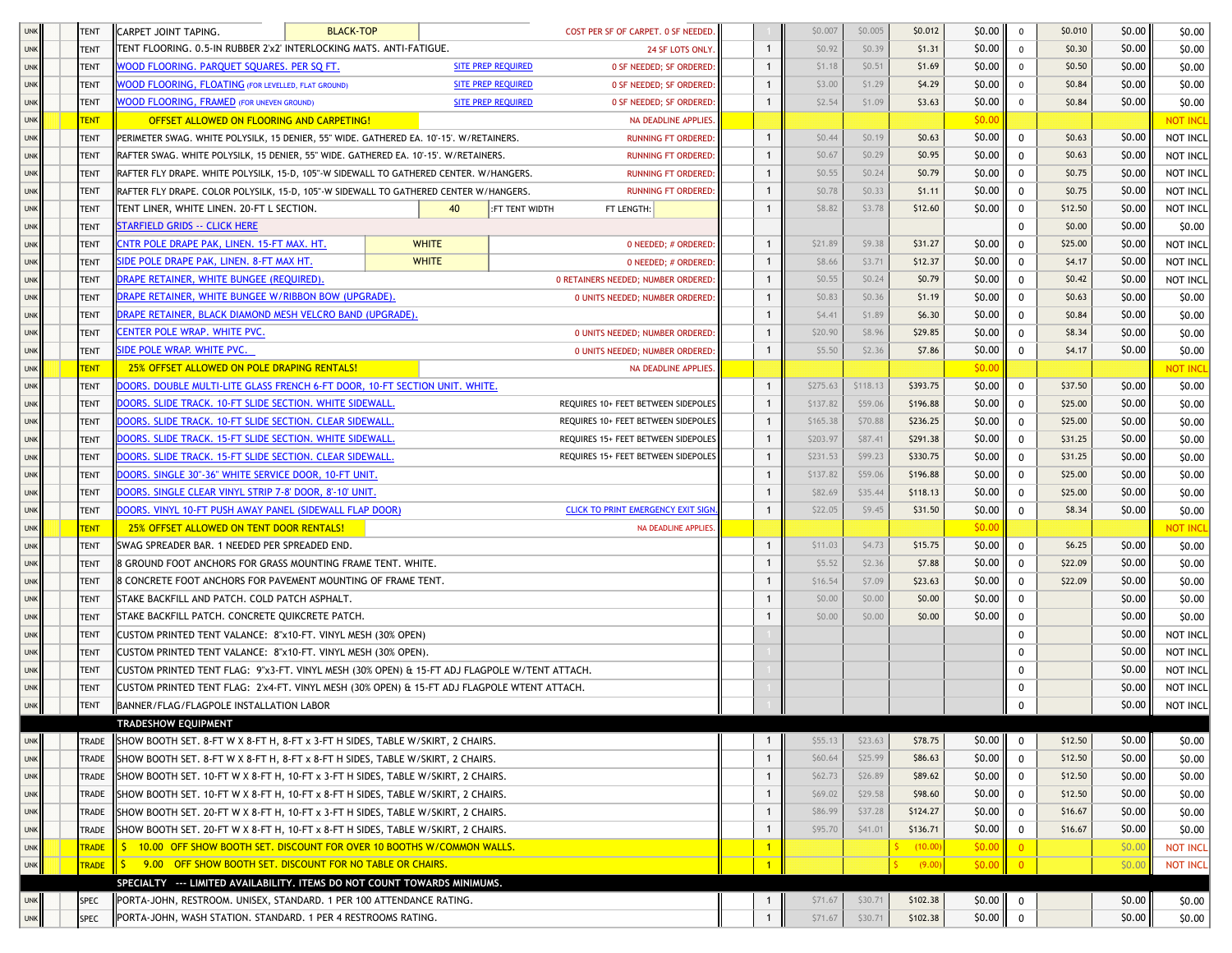| <b>UNK</b> | <b>TENT</b>                | CARPET JOINT TAPING.                                                                                                                    | <b>BLACK-TOP</b> | COST PER SF OF CARPET. 0 SF NEEDED.                   |                        |                   | \$0.007            | \$0.005            | \$0.012              | \$0.00           | $\mathbf 0$    | \$0.010            | \$0.00           | \$0.00          |
|------------|----------------------------|-----------------------------------------------------------------------------------------------------------------------------------------|------------------|-------------------------------------------------------|------------------------|-------------------|--------------------|--------------------|----------------------|------------------|----------------|--------------------|------------------|-----------------|
| <b>UNK</b> | <b>TENT</b>                | FENT FLOORING. 0.5-IN RUBBER 2'x2' INTERLOCKING MATS. ANTI-FATIGUE.                                                                     |                  |                                                       | <b>24 SF LOTS ONLY</b> | $\mathbf{1}$      | \$0.92             | \$0.39             | \$1.31               | \$0.00           | $\mathbf 0$    | \$0.30             | \$0.00           | \$0.00          |
| <b>UNK</b> | <b>TENT</b>                | VOOD FLOORING. PARQUET SQUARES. PER SQ FT.                                                                                              |                  | <b>SITE PREP REQUIRED</b><br>0 SF NEEDED; SF ORDERED: |                        | $\mathbf{1}$      | \$1.18             | \$0.51             | \$1.69               | \$0.00           | $\mathbf 0$    | \$0.50             | \$0.00           | \$0.00          |
| <b>UNK</b> | TENT                       | <b>VOOD FLOORING, FLOATING (FOR LEVELLED, FLAT GROUND)</b>                                                                              |                  | <b>SITE PREP REQUIRED</b><br>0 SF NEEDED; SF ORDERED: |                        |                   | \$3.00             | \$1.29             | \$4.29               | \$0.00           | $\mathbf 0$    | \$0.84             | \$0.00           | \$0.00          |
| <b>UNK</b> | <b>TENT</b>                | VOOD FLOORING, FRAMED (FOR UNEVEN GROUND)                                                                                               |                  | <b>SITE PREP REQUIRED</b><br>0 SF NEEDED; SF ORDERED: |                        |                   | \$2.54             | \$1.09             | \$3.63               | \$0.00           | $\mathbf{0}$   | \$0.84             | \$0.00           | \$0.00          |
| <b>UNK</b> | <b>TENT</b>                | OFFSET ALLOWED ON FLOORING AND CARPETING!                                                                                               |                  | NA DEADLINE APPLIES.                                  |                        |                   |                    |                    |                      | \$0.00           |                |                    |                  | <b>NOT INCL</b> |
| <b>UNK</b> | TENT                       | PERIMETER SWAG. WHITE POLYSILK, 15 DENIER, 55" WIDE. GATHERED EA. 10'-15'. W/RETAINERS.                                                 |                  | <b>RUNNING FT ORDERED:</b>                            |                        | $\mathbf{1}$      | \$0.44             | \$0.19             | \$0.63               | \$0.00           | 0              | \$0.63             | \$0.00           | NOT INCL        |
| <b>UNK</b> | <b>TENT</b>                | RAFTER SWAG. WHITE POLYSILK, 15 DENIER, 55" WIDE. GATHERED EA. 10'-15'. W/RETAINERS.                                                    |                  | <b>RUNNING FT ORDERED:</b>                            |                        | 1                 | \$0.67             | \$0.29             | \$0.95               | \$0.00           | 0              | \$0.63             | \$0.00           | NOT INCL        |
| <b>UNK</b> | <b>TENT</b>                | RAFTER FLY DRAPE. WHITE POLYSILK, 15-D, 105"-W SIDEWALL TO GATHERED CENTER. W/HANGERS.                                                  |                  | <b>RUNNING FT ORDERED:</b>                            |                        | 1                 | \$0.55             | \$0.24             | \$0.79               | \$0.00           | 0              | \$0.75             | \$0.00           | NOT INCL        |
| <b>UNK</b> | <b>TENT</b>                | RAFTER FLY DRAPE. COLOR POLYSILK, 15-D, 105"-W SIDEWALL TO GATHERED CENTER W/HANGERS.                                                   |                  | <b>RUNNING FT ORDERED:</b>                            |                        | 1                 | \$0.78             | \$0.33             | \$1.11               | \$0.00           | $\mathbf 0$    | \$0.75             | \$0.00           | NOT INCL        |
| <b>UNK</b> | <b>TENT</b>                | TENT LINER, WHITE LINEN. 20-FT L SECTION.                                                                                               | 40               | :FT TENT WIDTH<br>FT LENGTH:                          |                        | 1                 | \$8.82             | \$3.78             | \$12.60              | \$0.00           | 0              | \$12.50            | \$0.00           | NOT INCL        |
| <b>UNK</b> | <b>TENT</b>                | <b>STARFIELD GRIDS -- CLICK HERE</b>                                                                                                    |                  |                                                       |                        |                   |                    |                    |                      |                  | 0              | \$0.00             | \$0.00           | \$0.00          |
| <b>UNK</b> | <b>TENT</b>                | INTR POLE DRAPE PAK, LINEN. 15-FT MAX. HT.                                                                                              | <b>WHITE</b>     | 0 NEEDED; # ORDERED:                                  |                        | $\mathbf{1}$      | \$21.89            | \$9.38             | \$31.27              | \$0.00           | $\mathbf 0$    | \$25.00            | \$0.00           | NOT INCL        |
| <b>UNK</b> | <b>TENT</b>                | SIDE POLE DRAPE PAK, LINEN. 8-FT MAX HT.                                                                                                | <b>WHITE</b>     | 0 NEEDED; # ORDERED:                                  |                        | 1                 | \$8.66             | \$3.71             | \$12.37              | \$0.00           | $\mathbf 0$    | \$4.17             | \$0.00           | NOT INCL        |
| <b>UNK</b> | <b>TENT</b>                | RAPE RETAINER, WHITE BUNGEE (REQUIRED)                                                                                                  |                  | <b>0 RETAINERS NEEDED; NUMBER ORDERED</b>             |                        | 1                 | \$0.55             | \$0.24             | \$0.79               | \$0.00           | $\mathbf 0$    | \$0.42             | \$0.00           | NOT INCL        |
| <b>UNK</b> | <b>TENT</b>                | DRAPE RETAINER, WHITE BUNGEE W/RIBBON BOW (UPGRADE).                                                                                    |                  | <b>0 UNITS NEEDED; NUMBER ORDERED</b>                 |                        | 1                 | \$0.83             | \$0.36             | \$1.19               | \$0.00           | 0              | \$0.63             | \$0.00           | \$0.00          |
| <b>UNK</b> | <b>TENT</b>                | DRAPE RETAINER, BLACK DIAMOND MESH VELCRO BAND (UPGRADE).                                                                               |                  |                                                       |                        | $\mathbf{1}$      | \$4.41             | \$1.89             | \$6.30               | \$0.00           | 0              | \$0.84             | \$0.00           | \$0.00          |
| <b>UNK</b> | <b>TENT</b>                | ENTER POLE WRAP. WHITE PVC.                                                                                                             |                  | <b>0 UNITS NEEDED; NUMBER ORDERED:</b>                |                        | 1                 | \$20.90            | \$8.96             | \$29.85              | \$0.00           | 0              | \$8.34             | \$0.00           | \$0.00          |
| <b>UNK</b> | <b>TENT</b>                | <b>IDE POLE WRAP. WHITE PVC.</b>                                                                                                        |                  | <b>0 UNITS NEEDED; NUMBER ORDERED:</b>                |                        | 1                 | \$5.50             | \$2.36             | \$7.86               | \$0.00           | 0              | \$4.17             | \$0.00           | \$0.00          |
| <b>UNK</b> | <b>TENT</b>                | 25% OFFSET ALLOWED ON POLE DRAPING RENTALS!                                                                                             |                  | NA DEADLINE APPLIES.                                  |                        |                   |                    |                    |                      | \$0.00           |                |                    |                  | NOT INCL        |
| <b>UNK</b> | <b>TENT</b>                | <u>DOORS. DOUBLE MULTI-LITE GLASS FRENCH 6-FT DOOR, 10-FT SECTION UNIT. WHITE.</u>                                                      |                  |                                                       |                        | $\mathbf{1}$      | \$275.63           | \$118.13           | \$393.75             | \$0.00           | $\mathbf 0$    | \$37.50            | \$0.00           | \$0.00          |
| <b>UNK</b> | <b>TENT</b>                | DOORS. SLIDE TRACK. 10-FT SLIDE SECTION. WHITE SIDEWALL                                                                                 |                  | REQUIRES 10+ FEET BETWEEN SIDEPOLES                   |                        | $\mathbf{1}$      | \$137.82           | \$59.06            | \$196.88             | \$0.00           | 0              | \$25.00            | \$0.00           | \$0.00          |
| <b>UNK</b> | <b>TENT</b>                | OOORS. SLIDE TRACK. 10-FT SLIDE SECTION. CLEAR SIDEWALL.                                                                                |                  | REQUIRES 10+ FEET BETWEEN SIDEPOLES                   |                        | $\mathbf{1}$      | \$165.38           | \$70.88            | \$236.25             | \$0.00           | $\mathbf{0}$   | \$25.00            | \$0.00           | \$0.00          |
| <b>UNK</b> | TENT                       | DOORS. SLIDE TRACK. 15-FT SLIDE SECTION. WHITE SIDEWALL.                                                                                |                  | REQUIRES 15+ FEET BETWEEN SIDEPOLES                   |                        | 1                 | \$203.97           | \$87.41            | \$291.38             | \$0.00           |                | \$31.25            | \$0.00           |                 |
|            | <b>TENT</b>                | DOORS. SLIDE TRACK. 15-FT SLIDE SECTION. CLEAR SIDEWALL                                                                                 |                  | REQUIRES 15+ FEET BETWEEN SIDEPOLES                   |                        | $\mathbf{1}$      | \$231.53           | \$99.23            | \$330.75             | \$0.00           | $\mathbf 0$    | \$31.25            | \$0.00           | \$0.00          |
| <b>UNK</b> |                            |                                                                                                                                         |                  |                                                       |                        |                   |                    |                    |                      |                  | $\mathbf 0$    |                    |                  | \$0.00          |
| <b>UNK</b> | <b>TENT</b>                | DOORS. SINGLE 30"-36" WHITE SERVICE DOOR, 10-FT UNIT.                                                                                   |                  |                                                       |                        | $\mathbf{1}$      | \$137.82           | \$59.06            | \$196.88             | \$0.00           | 0              | \$25.00            | \$0.00           | \$0.00          |
| <b>UNK</b> | <b>TENT</b>                | DOORS. SINGLE CLEAR VINYL STRIP 7-8' DOOR, 8'-10' UNIT.                                                                                 |                  |                                                       |                        | $\mathbf{1}$      | \$82.69            | \$35.44            | \$118.13             | \$0.00           | 0              | \$25.00            | \$0.00           | \$0.00          |
| <b>UNK</b> | <b>TENT</b>                | DOORS. VINYL 10-FT PUSH AWAY PANEL (SIDEWALL FLAP DOOR)                                                                                 |                  | <b>CLICK TO PRINT EMERGENCY EXIT SIGN</b>             |                        | $\mathbf{1}$      | \$22.05            | \$9.45             | \$31.50              | \$0.00           | 0              | \$8.34             | \$0.00           | \$0.00          |
| <b>UNK</b> | <b>TENT</b><br><b>TENT</b> | 25% OFFSET ALLOWED ON TENT DOOR RENTALS!<br>SWAG SPREADER BAR. 1 NEEDED PER SPREADED END.                                               |                  | NA DEADLINE APPLIES.                                  |                        |                   | \$11.03            | \$4.73             | \$15.75              | \$0.00<br>\$0.00 |                | \$6.25             | \$0.00           | <b>NOT INCL</b> |
| <b>UNK</b> |                            |                                                                                                                                         |                  |                                                       |                        | 1                 |                    | \$2.36             |                      |                  | 0              |                    |                  | \$0.00          |
| <b>UNK</b> | <b>TENT</b>                | <b>8 GROUND FOOT ANCHORS FOR GRASS MOUNTING FRAME TENT. WHITE.</b><br>8 CONCRETE FOOT ANCHORS FOR PAVEMENT MOUNTING OF FRAME TENT.      |                  |                                                       |                        | $\mathbf{1}$<br>1 | \$5.52<br>\$16.54  | \$7.09             | \$7.88<br>\$23.63    | \$0.00<br>\$0.00 | $\mathbf 0$    | \$22.09<br>\$22.09 | \$0.00<br>\$0.00 | \$0.00          |
| <b>UNK</b> | <b>TENT</b>                | STAKE BACKFILL AND PATCH. COLD PATCH ASPHALT.                                                                                           |                  |                                                       |                        |                   |                    |                    |                      |                  | 0              |                    |                  | \$0.00          |
| <b>UNK</b> | <b>TENT</b>                |                                                                                                                                         |                  |                                                       |                        | -1                | \$0.00             | \$0.00             | \$0.00               | \$0.00           | 0              |                    | \$0.00           | \$0.00          |
| <b>UNK</b> | <b>TENT</b>                | STAKE BACKFILL PATCH. CONCRETE QUIKCRETE PATCH.                                                                                         |                  |                                                       |                        |                   | \$0.00             | \$0.00             | \$0.00               | \$0.00           | 0              |                    | \$0.00           | \$0.00          |
| <b>UNK</b> | <b>TENT</b>                | CUSTOM PRINTED TENT VALANCE: 8"x10-FT. VINYL MESH (30% OPEN)                                                                            |                  |                                                       |                        |                   |                    |                    |                      |                  | 0              |                    | \$0.00           | NOT INCL        |
| <b>UNK</b> | <b>TENT</b>                | CUSTOM PRINTED TENT VALANCE: 8"x10-FT. VINYL MESH (30% OPEN).                                                                           |                  |                                                       |                        |                   |                    |                    |                      |                  | 0              |                    | \$0.00           | NOT INCL        |
| <b>UNK</b> | <b>TENT</b>                | CUSTOM PRINTED TENT FLAG:  9"x3-FT. VINYL MESH (30% OPEN) & 15-FT ADJ FLAGPOLE W/TENT ATTACH.                                           |                  |                                                       |                        |                   |                    |                    |                      |                  | 0              |                    | \$0.00<br>\$0.00 | NOT INCL        |
| <b>UNK</b> | <b>TENT</b>                | CUSTOM PRINTED TENT FLAG:  2'x4-FT. VINYL MESH (30% OPEN) & 15-FT ADJ FLAGPOLE WTENT ATTACH.                                            |                  |                                                       |                        |                   |                    |                    |                      |                  | 0<br>$\Omega$  |                    | \$0.00           | NOT INCL        |
| <b>UNK</b> | TENT                       | BANNER/FLAG/FLAGPOLE INSTALLATION LABOR                                                                                                 |                  |                                                       |                        |                   |                    |                    |                      |                  |                |                    |                  | NOT INCL        |
|            |                            | TRADESHOW EQUIPMENT                                                                                                                     |                  |                                                       |                        |                   |                    |                    |                      |                  |                |                    |                  |                 |
| <b>UNK</b> | <b>TRADE</b>               | <b>SHOW BOOTH SET. 8-FT W X 8-FT H, 8-FT x 3-FT H SIDES, TABLE W/SKIRT, 2 CHAIRS.</b>                                                   |                  |                                                       |                        | 1<br>$\mathbf{1}$ | \$55.13<br>\$60.64 | \$23.63<br>\$25.99 | \$78.75<br>\$86.63   | \$0.00<br>\$0.00 | $\mathbf 0$    | \$12.50<br>\$12.50 | \$0.00           | \$0.00          |
| <b>UNK</b> | TRADE                      | SHOW BOOTH SET. 8-FT W X 8-FT H, 8-FT x 8-FT H SIDES, TABLE W/SKIRT, 2 CHAIRS.                                                          |                  |                                                       |                        |                   |                    |                    |                      |                  | $\mathbf 0$    |                    | \$0.00           | \$0.00          |
| <b>UNK</b> | TRADE                      | SHOW BOOTH SET. 10-FT W X 8-FT H, 10-FT x 3-FT H SIDES, TABLE W/SKIRT, 2 CHAIRS.                                                        |                  |                                                       |                        | 1                 | \$62.73            | \$26.89            | \$89.62              | \$0.00           | $\mathbf 0$    | \$12.50            | \$0.00           | \$0.00          |
| <b>UNK</b> | TRADE                      | SHOW BOOTH SET. 10-FT W X 8-FT H, 10-FT x 8-FT H SIDES, TABLE W/SKIRT, 2 CHAIRS.                                                        |                  |                                                       |                        | 1                 | \$69.02            | \$29.58            | \$98.60              | \$0.00           | $\mathbf 0$    | \$12.50            | \$0.00           | \$0.00          |
| <b>UNK</b> | TRADE                      | SHOW BOOTH SET. 20-FT W X 8-FT H, 10-FT x 3-FT H SIDES, TABLE W/SKIRT, 2 CHAIRS.                                                        |                  |                                                       |                        | 1                 | \$86.99            | \$37.28            | \$124.27             | \$0.00           | $\mathbf 0$    | \$16.67            | \$0.00           | \$0.00          |
| <b>UNK</b> | TRADE                      | SHOW BOOTH SET. 20-FT W X 8-FT H, 10-FT x 8-FT H SIDES, TABLE W/SKIRT, 2 CHAIRS.                                                        |                  |                                                       |                        | $\mathbf{1}$      | \$95.70            | \$41.01            | \$136.71             | \$0.00           | $\mathbf 0$    | \$16.67            | \$0.00           | \$0.00          |
| <b>UNK</b> | <b>TRADE</b>               | S 10.00 OFF SHOW BOOTH SET. DISCOUNT FOR OVER 10 BOOTHS W/COMMON WALLS.                                                                 |                  |                                                       |                        | $\overline{1}$    |                    |                    | \$ (10.00)           | \$0.00           | $\overline{0}$ |                    | \$0.00           | <b>NOT INCL</b> |
| <b>UNK</b> | <b>TRADE</b>               | S 9.00 OFF SHOW BOOTH SET. DISCOUNT FOR NO TABLE OR CHAIRS.<br>SPECIALTY --- LIMITED AVAILABILITY. ITEMS DO NOT COUNT TOWARDS MINIMUMS. |                  |                                                       |                        | $\sqrt{1}$        |                    |                    | $\frac{1}{2}$ (9.00) | \$0.00           | $\overline{0}$ |                    | \$0.00           | <b>NOT INCL</b> |
|            |                            |                                                                                                                                         |                  |                                                       |                        |                   |                    |                    |                      |                  |                |                    |                  |                 |
| <b>UNK</b> | <b>SPEC</b>                | PORTA-JOHN, RESTROOM. UNISEX, STANDARD. 1 PER 100 ATTENDANCE RATING.                                                                    |                  |                                                       |                        |                   | \$71.67            | \$30.71            | \$102.38             | \$0.00           | $\mathbf{0}$   |                    | \$0.00           | \$0.00          |
| <b>UNK</b> | <b>SPEC</b>                | PORTA-JOHN, WASH STATION. STANDARD. 1 PER 4 RESTROOMS RATING.                                                                           |                  |                                                       |                        | $\mathbf{1}$      | \$71.67            | \$30.71            | \$102.38             | \$0.00           | $\mathbf{0}$   |                    | \$0.00           | \$0.00          |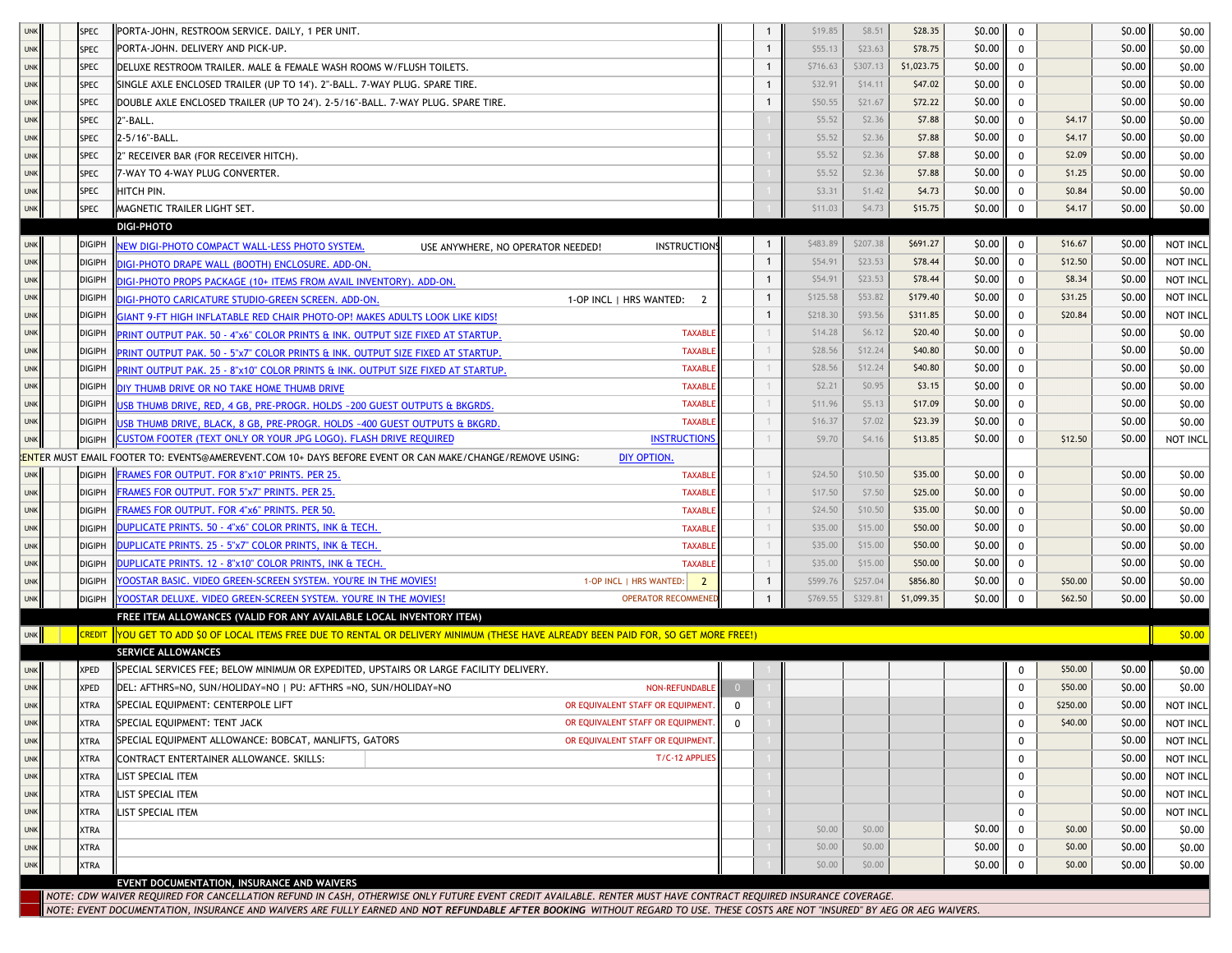| <b>UNK</b> |                                                                                                                                                                                                                                                                                                                                                   | <b>SPEC</b>   | PORTA-JOHN, RESTROOM SERVICE. DAILY, 1 PER UNIT.                                                                                       |                |              | \$19.85          | \$8.51           | \$28.35    | \$0.00           | 0                |                  | \$0.00           | \$0.00           |
|------------|---------------------------------------------------------------------------------------------------------------------------------------------------------------------------------------------------------------------------------------------------------------------------------------------------------------------------------------------------|---------------|----------------------------------------------------------------------------------------------------------------------------------------|----------------|--------------|------------------|------------------|------------|------------------|------------------|------------------|------------------|------------------|
| <b>UNK</b> |                                                                                                                                                                                                                                                                                                                                                   | <b>SPEC</b>   | PORTA-JOHN. DELIVERY AND PICK-UP.                                                                                                      |                | $\mathbf{1}$ | \$55.13          | \$23.63          | \$78.75    | \$0.00           | 0                |                  | \$0.00           | \$0.00           |
| <b>UNK</b> |                                                                                                                                                                                                                                                                                                                                                   | <b>SPEC</b>   | DELUXE RESTROOM TRAILER. MALE & FEMALE WASH ROOMS W/FLUSH TOILETS.                                                                     |                | $\mathbf{1}$ | \$716.63         | \$307.13         | \$1,023.75 | \$0.00           | $\mathbf 0$      |                  | \$0.00           | \$0.00           |
| <b>UNK</b> |                                                                                                                                                                                                                                                                                                                                                   | <b>SPEC</b>   | SINGLE AXLE ENCLOSED TRAILER (UP TO 14'). 2"-BALL. 7-WAY PLUG. SPARE TIRE.                                                             |                | -1           | \$32.91          | \$14.11          | \$47.02    | \$0.00           | $\mathbf 0$      |                  | \$0.00           | \$0.00           |
| <b>UNK</b> |                                                                                                                                                                                                                                                                                                                                                   | <b>SPEC</b>   | DOUBLE AXLE ENCLOSED TRAILER (UP TO 24'). 2-5/16"-BALL. 7-WAY PLUG. SPARE TIRE.                                                        |                |              | \$50.55          | \$21.67          | \$72.22    | \$0.00           | 0                |                  | \$0.00           | \$0.00           |
| <b>UNK</b> |                                                                                                                                                                                                                                                                                                                                                   | <b>SPEC</b>   | 2"-BALL.                                                                                                                               |                |              | \$5.52           | \$2.36           | \$7.88     | \$0.00           | 0                | \$4.17           | \$0.00           | \$0.00           |
| <b>UNK</b> |                                                                                                                                                                                                                                                                                                                                                   | <b>SPEC</b>   | 2-5/16"-BALL.                                                                                                                          |                |              | \$5.52           | \$2.36           | \$7.88     | \$0.00           | 0                | \$4.17           | \$0.00           | \$0.00           |
| <b>UNK</b> |                                                                                                                                                                                                                                                                                                                                                   | <b>SPEC</b>   | 2" RECEIVER BAR (FOR RECEIVER HITCH).                                                                                                  |                |              | \$5.52           | \$2.36           | \$7.88     | \$0.00           | 0                | \$2.09           | \$0.00           | \$0.00           |
| <b>UNK</b> |                                                                                                                                                                                                                                                                                                                                                   | <b>SPEC</b>   | 7-WAY TO 4-WAY PLUG CONVERTER.                                                                                                         |                |              | \$5.52           | \$2.36           | \$7.88     | \$0.00           | 0                | \$1.25           | \$0.00           | \$0.00           |
| <b>UNK</b> |                                                                                                                                                                                                                                                                                                                                                   | <b>SPEC</b>   | HITCH PIN.                                                                                                                             |                |              | \$3.31           | \$1.42           | \$4.73     | \$0.00           | $\mathbf 0$      | \$0.84           | \$0.00           | \$0.00           |
| <b>UNK</b> |                                                                                                                                                                                                                                                                                                                                                   | <b>SPEC</b>   | MAGNETIC TRAILER LIGHT SET.                                                                                                            |                |              | \$11.03          | \$4.73           | \$15.75    | \$0.00           | $\mathbf 0$      | \$4.17           | \$0.00           | \$0.00           |
|            |                                                                                                                                                                                                                                                                                                                                                   |               | <b>DIGI-PHOTO</b>                                                                                                                      |                |              |                  |                  |            |                  |                  |                  |                  |                  |
| <b>UNK</b> |                                                                                                                                                                                                                                                                                                                                                   | <b>DIGIPH</b> | NEW DIGI-PHOTO COMPACT WALL-LESS PHOTO SYSTEM.<br><b>INSTRUCTIONS</b><br>USE ANYWHERE, NO OPERATOR NEEDED!                             |                |              | \$483.89         | \$207.38         | \$691.27   | \$0.00           | $\mathbf 0$      | \$16.67          | \$0.00           | NOT INCL         |
| <b>UNK</b> |                                                                                                                                                                                                                                                                                                                                                   | <b>DIGIPH</b> | DIGI-PHOTO DRAPE WALL (BOOTH) ENCLOSURE. ADD-ON.                                                                                       |                | $\mathbf{1}$ | \$54.91          | \$23.53          | \$78.44    | \$0.00           | $^{\circ}$       | \$12.50          | \$0.00           | NOT INCL         |
| <b>UNK</b> |                                                                                                                                                                                                                                                                                                                                                   | <b>DIGIPH</b> | DIGI-PHOTO PROPS PACKAGE (10+ ITEMS FROM AVAIL INVENTORY), ADD-ON.                                                                     |                |              | \$54.91          | \$23.53          | \$78.44    | \$0.00           | 0                | \$8.34           | \$0.00           | NOT INCL         |
| <b>UNK</b> |                                                                                                                                                                                                                                                                                                                                                   | <b>DIGIPH</b> | DIGI-PHOTO CARICATURE STUDIO-GREEN SCREEN. ADD-ON.<br>1-OP INCL   HRS WANTED: 2                                                        |                | $\mathbf{1}$ | \$125.58         | \$53.82          | \$179.40   | \$0.00           | 0                | \$31.25          | \$0.00           | NOT INCL         |
| <b>UNK</b> |                                                                                                                                                                                                                                                                                                                                                   | <b>DIGIPH</b> | GIANT 9-FT HIGH INFLATABLE RED CHAIR PHOTO-OP! MAKES ADULTS LOOK LIKE KIDS!                                                            |                | $\mathbf{1}$ | \$218.30         | \$93.56          | \$311.85   | \$0.00           | 0                | \$20.84          | \$0.00           | NOT INCL         |
| <b>UNK</b> |                                                                                                                                                                                                                                                                                                                                                   | <b>DIGIPH</b> | <b>TAXABLE</b><br>PRINT OUTPUT PAK. 50 - 4"x6" COLOR PRINTS & INK. OUTPUT SIZE FIXED AT STARTUP.                                       |                |              | \$14.28          | \$6.12           | \$20.40    | \$0.00           | 0                |                  | \$0.00           | \$0.00           |
| <b>UNK</b> |                                                                                                                                                                                                                                                                                                                                                   | <b>DIGIPH</b> | <b>TAXABLE</b><br>PRINT OUTPUT PAK. 50 - 5"x7" COLOR PRINTS & INK. OUTPUT SIZE FIXED AT STARTUP.                                       |                |              | \$28.56          | \$12.24          | \$40.80    | \$0.00           | $\mathbf{0}$     |                  | \$0.00           | \$0.00           |
| <b>UNK</b> |                                                                                                                                                                                                                                                                                                                                                   | <b>DIGIPH</b> | <b>TAXABLE</b><br>PRINT OUTPUT PAK. 25 - 8"x10" COLOR PRINTS & INK. OUTPUT SIZE FIXED AT STARTUP.                                      |                |              | \$28.56          | \$12.24          | \$40.80    | \$0.00           | $\mathbf{0}$     |                  | \$0.00           | \$0.00           |
| <b>UNK</b> |                                                                                                                                                                                                                                                                                                                                                   | <b>DIGIPH</b> | <b>TAXABLE</b><br>DIY THUMB DRIVE OR NO TAKE HOME THUMB DRIVE                                                                          |                |              | \$2.21           | \$0.95           | \$3.15     | \$0.00           | 0                |                  | \$0.00           | \$0.00           |
| <b>UNK</b> |                                                                                                                                                                                                                                                                                                                                                   | <b>DIGIPH</b> | <b>TAXABLE</b><br>USB THUMB DRIVE, RED, 4 GB, PRE-PROGR. HOLDS ~200 GUEST OUTPUTS & BKGRDS.                                            |                |              | \$11.96          | \$5.13           | \$17.09    | \$0.00           | 0                |                  | \$0.00           | \$0.00           |
| <b>UNK</b> |                                                                                                                                                                                                                                                                                                                                                   | <b>DIGIPH</b> | <b>TAXABLE</b><br>USB THUMB DRIVE, BLACK, 8 GB, PRE-PROGR. HOLDS ~400 GUEST OUTPUTS & BKGRD.                                           |                |              | \$16.37          | \$7.02           | \$23.39    | \$0.00           | 0                |                  | \$0.00           | \$0.00           |
| <b>UNK</b> |                                                                                                                                                                                                                                                                                                                                                   | <b>DIGIPH</b> | CUSTOM FOOTER (TEXT ONLY OR YOUR JPG LOGO). FLASH DRIVE REQUIRED<br><b>INSTRUCTIONS</b>                                                |                |              | \$9.70           | \$4.16           | \$13.85    | \$0.00           | $\mathbf 0$      | \$12.50          | \$0.00           | NOT INCL         |
|            | .<br><mark>LENTE</mark> R MUST EMAIL FOOTER TO: EVENTS@AMEREVENT.COM 10+ DAYS BEFORE EVENT OR CAN MAKE/CHANGE/REMOVE USING:<br>DIY OPTION.                                                                                                                                                                                                        |               |                                                                                                                                        |                |              |                  |                  |            |                  |                  |                  |                  |                  |
| <b>UNK</b> |                                                                                                                                                                                                                                                                                                                                                   | <b>DIGIPH</b> | FRAMES FOR OUTPUT. FOR 8"x10" PRINTS. PER 25<br><b>TAXABLE</b>                                                                         |                |              | \$24.50          | \$10.50          | \$35.00    | \$0.00           | $\mathbf 0$      |                  | \$0.00           | \$0.00           |
| <b>UNK</b> |                                                                                                                                                                                                                                                                                                                                                   | <b>DIGIPH</b> | FRAMES FOR OUTPUT. FOR 5"x7" PRINTS. PER 25.<br><b>TAXABLE</b>                                                                         |                |              | \$17.50          | \$7.50           | \$25.00    | \$0.00           | 0                |                  | \$0.00           | \$0.00           |
| <b>UNK</b> |                                                                                                                                                                                                                                                                                                                                                   | <b>DIGIPH</b> | FRAMES FOR OUTPUT. FOR 4"x6" PRINTS. PER 50.<br><b>TAXABLE</b>                                                                         |                |              | \$24.50          | \$10.50          | \$35.00    | \$0.00           | 0                |                  | \$0.00           | \$0.00           |
| <b>UNK</b> |                                                                                                                                                                                                                                                                                                                                                   | <b>DIGIPH</b> | DUPLICATE PRINTS. 50 - 4"x6" COLOR PRINTS, INK & TECH.<br><b>TAXABLE</b>                                                               |                |              | \$35.00          | \$15.00          | \$50.00    | \$0.00           | 0                |                  | \$0.00           | \$0.00           |
| <b>UNK</b> |                                                                                                                                                                                                                                                                                                                                                   | <b>DIGIPH</b> | DUPLICATE PRINTS. 25 - 5"x7" COLOR PRINTS, INK & TECH.<br><b>TAXABLE</b>                                                               |                |              | \$35.00          | \$15.00          | \$50.00    | \$0.00           | 0                |                  | \$0.00           | \$0.00           |
| <b>UNK</b> |                                                                                                                                                                                                                                                                                                                                                   | <b>DIGIPH</b> | DUPLICATE PRINTS. 12 - 8"x10" COLOR PRINTS, INK & TECH.<br><b>TAXABLE</b>                                                              |                |              | \$35.00          | \$15.00          | \$50.00    | \$0.00           | 0                |                  | \$0.00           | \$0.00           |
| <b>UNK</b> |                                                                                                                                                                                                                                                                                                                                                   | <b>DIGIPH</b> | YOOSTAR BASIC. VIDEO GREEN-SCREEN SYSTEM. YOU'RE IN THE MOVIES!<br>1-OP INCL   HRS WANTED:<br>$\overline{2}$                           |                |              | \$599.76         | \$257.04         | \$856.80   | \$0.00           | 0                | \$50.00          | \$0.00           | \$0.00           |
| <b>UNK</b> |                                                                                                                                                                                                                                                                                                                                                   | DIGIPH        | YOOSTAR DELUXE. VIDEO GREEN-SCREEN SYSTEM. YOU'RE IN THE MOVIES!<br><b>OPERATOR RECOMMENED</b>                                         |                | $\mathbf{1}$ | \$769.55         | \$329.81         | \$1,099.35 | \$0.00           | $\mathbf 0$      | \$62.50          | \$0.00           | \$0.00           |
|            |                                                                                                                                                                                                                                                                                                                                                   |               | FREE ITEM ALLOWANCES (VALID FOR ANY AVAILABLE LOCAL INVENTORY ITEM)                                                                    |                |              |                  |                  |            |                  |                  |                  |                  |                  |
| <b>UNK</b> |                                                                                                                                                                                                                                                                                                                                                   |               | CREDIT ∥YOU GET TO ADD \$0 OF LOCAL ITEMS FREE DUE TO RENTAL OR DELIVERY MINIMUM (THESE HAVE ALREADY BEEN PAID FOR, SO GET MORE FREE!) |                |              |                  |                  |            |                  |                  |                  |                  | \$0.00           |
|            |                                                                                                                                                                                                                                                                                                                                                   |               | <b>SERVICE ALLOWANCES</b>                                                                                                              |                |              |                  |                  |            |                  |                  |                  |                  |                  |
| <b>UNK</b> |                                                                                                                                                                                                                                                                                                                                                   | <b>XPED</b>   | SPECIAL SERVICES FEE; BELOW MINIMUM OR EXPEDITED, UPSTAIRS OR LARGE FACILITY DELIVERY.                                                 |                |              |                  |                  |            |                  | 0                | \$50.00          | \$0.00           | \$0.00           |
| <b>UNK</b> |                                                                                                                                                                                                                                                                                                                                                   | <b>XPED</b>   | DEL: AFTHRS=NO, SUN/HOLIDAY=NO   PU: AFTHRS =NO, SUN/HOLIDAY=NO<br><b>NON-REFUNDABLE</b>                                               | $\overline{0}$ |              |                  |                  |            |                  | $\mathbf{0}$     | \$50.00          | \$0.00           | \$0.00           |
| <b>UNK</b> |                                                                                                                                                                                                                                                                                                                                                   | <b>XTRA</b>   | SPECIAL EQUIPMENT: CENTERPOLE LIFT<br>OR EQUIVALENT STAFF OR EQUIPMENT.                                                                | $\mathbf{0}$   |              |                  |                  |            |                  | $\mathbf 0$      | \$250.00         | \$0.00           | NOT INCL         |
| <b>UNK</b> |                                                                                                                                                                                                                                                                                                                                                   | <b>XTRA</b>   | SPECIAL EQUIPMENT: TENT JACK<br>OR EQUIVALENT STAFF OR EQUIPMENT.                                                                      | 0              |              |                  |                  |            |                  | 0                | \$40.00          | \$0.00           | NOT INCL         |
| <b>UNK</b> |                                                                                                                                                                                                                                                                                                                                                   | <b>XTRA</b>   | SPECIAL EQUIPMENT ALLOWANCE: BOBCAT, MANLIFTS, GATORS<br>OR EQUIVALENT STAFF OR EQUIPMENT.                                             |                |              |                  |                  |            |                  | $\mathbf 0$      |                  | \$0.00           | NOT INCL         |
| <b>UNK</b> |                                                                                                                                                                                                                                                                                                                                                   | <b>XTRA</b>   | T/C-12 APPLIES<br>CONTRACT ENTERTAINER ALLOWANCE. SKILLS:                                                                              |                |              |                  |                  |            |                  | 0                |                  | \$0.00           | NOT INCL         |
| <b>UNK</b> |                                                                                                                                                                                                                                                                                                                                                   | <b>XTRA</b>   | LIST SPECIAL ITEM                                                                                                                      |                |              |                  |                  |            |                  | 0                |                  | \$0.00           | NOT INCL         |
| <b>UNK</b> |                                                                                                                                                                                                                                                                                                                                                   | <b>XTRA</b>   | LIST SPECIAL ITEM                                                                                                                      |                |              |                  |                  |            |                  | 0                |                  | \$0.00           | NOT INCL         |
| <b>UNK</b> |                                                                                                                                                                                                                                                                                                                                                   | <b>XTRA</b>   | LIST SPECIAL ITEM                                                                                                                      |                |              |                  |                  |            |                  | $\mathbf 0$      |                  | \$0.00           | NOT INCL         |
| <b>UNK</b> |                                                                                                                                                                                                                                                                                                                                                   | <b>XTRA</b>   |                                                                                                                                        |                |              | \$0.00<br>\$0.00 | \$0.00<br>\$0.00 |            | \$0.00           | $\mathbf 0$      | \$0.00           | \$0.00           | \$0.00           |
| <b>UNK</b> |                                                                                                                                                                                                                                                                                                                                                   | <b>XTRA</b>   |                                                                                                                                        |                |              | \$0.00           | \$0.00           |            | \$0.00<br>\$0.00 | 0<br>$\mathbf 0$ | \$0.00<br>\$0.00 | \$0.00<br>\$0.00 | \$0.00<br>\$0.00 |
| <b>UNK</b> |                                                                                                                                                                                                                                                                                                                                                   | <b>XTRA</b>   |                                                                                                                                        |                |              |                  |                  |            |                  |                  |                  |                  |                  |
|            | EVENT DOCUMENTATION, INSURANCE AND WAIVERS                                                                                                                                                                                                                                                                                                        |               |                                                                                                                                        |                |              |                  |                  |            |                  |                  |                  |                  |                  |
|            | NOTE: CDW WAIVER REQUIRED FOR CANCELLATION REFUND IN CASH, OTHERWISE ONLY FUTURE EVENT CREDIT AVAILABLE. RENTER MUST HAVE CONTRACT REQUIRED INSURANCE COVERAGE.<br>NOTE: EVENT DOCUMENTATION, INSURANCE AND WAIVERS ARE FULLY EARNED AND NOT REFUNDABLE AFTER BOOKING WITHOUT REGARD TO USE. THESE COSTS ARE NOT "INSURED" BY AEG OR AEG WAIVERS. |               |                                                                                                                                        |                |              |                  |                  |            |                  |                  |                  |                  |                  |